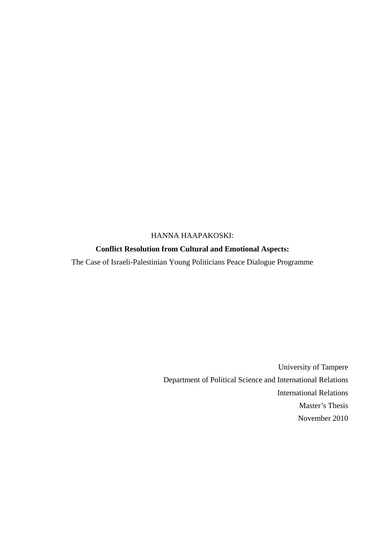### HANNA HAAPAKOSKI:

### **Conflict Resolution from Cultural and Emotional Aspects:**

The Case of Israeli-Palestinian Young Politicians Peace Dialogue Programme

University of Tampere Department of Political Science and International Relations International Relations Master's Thesis November 2010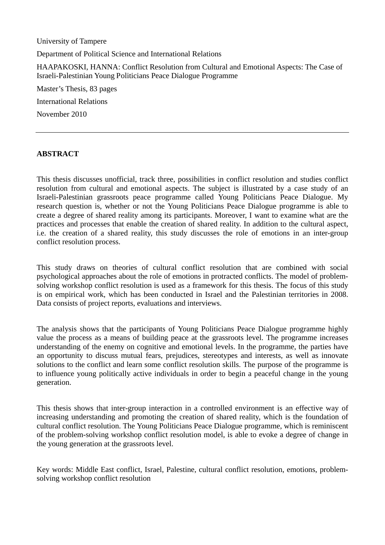University of Tampere

Department of Political Science and International Relations

HAAPAKOSKI, HANNA: Conflict Resolution from Cultural and Emotional Aspects: The Case of Israeli-Palestinian Young Politicians Peace Dialogue Programme

Master's Thesis, 83 pages International Relations November 2010

### **ABSTRACT**

This thesis discusses unofficial, track three, possibilities in conflict resolution and studies conflict resolution from cultural and emotional aspects. The subject is illustrated by a case study of an Israeli-Palestinian grassroots peace programme called Young Politicians Peace Dialogue. My research question is, whether or not the Young Politicians Peace Dialogue programme is able to create a degree of shared reality among its participants. Moreover, I want to examine what are the practices and processes that enable the creation of shared reality. In addition to the cultural aspect, i.e. the creation of a shared reality, this study discusses the role of emotions in an inter-group conflict resolution process.

This study draws on theories of cultural conflict resolution that are combined with social psychological approaches about the role of emotions in protracted conflicts. The model of problemsolving workshop conflict resolution is used as a framework for this thesis. The focus of this study is on empirical work, which has been conducted in Israel and the Palestinian territories in 2008. Data consists of project reports, evaluations and interviews.

The analysis shows that the participants of Young Politicians Peace Dialogue programme highly value the process as a means of building peace at the grassroots level. The programme increases understanding of the enemy on cognitive and emotional levels. In the programme, the parties have an opportunity to discuss mutual fears, prejudices, stereotypes and interests, as well as innovate solutions to the conflict and learn some conflict resolution skills. The purpose of the programme is to influence young politically active individuals in order to begin a peaceful change in the young generation.

This thesis shows that inter-group interaction in a controlled environment is an effective way of increasing understanding and promoting the creation of shared reality, which is the foundation of cultural conflict resolution. The Young Politicians Peace Dialogue programme, which is reminiscent of the problem-solving workshop conflict resolution model, is able to evoke a degree of change in the young generation at the grassroots level.

Key words: Middle East conflict, Israel, Palestine, cultural conflict resolution, emotions, problemsolving workshop conflict resolution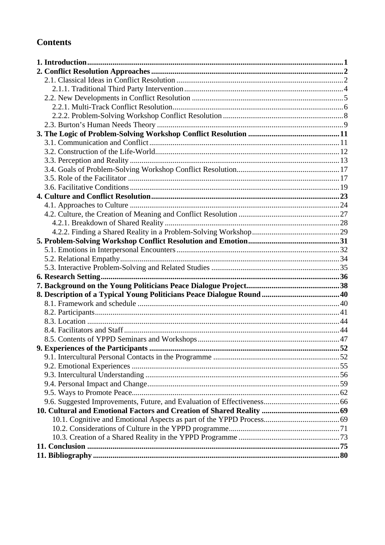# **Contents**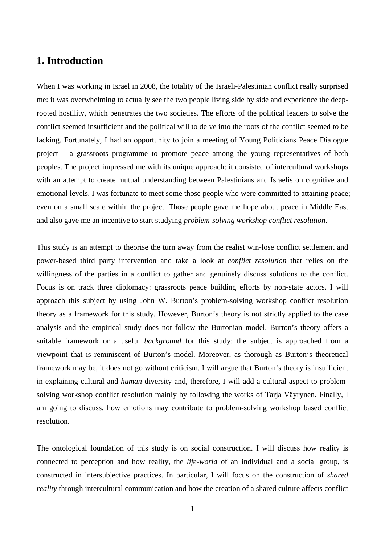# <span id="page-3-0"></span>**1. Introduction**

When I was working in Israel in 2008, the totality of the Israeli-Palestinian conflict really surprised me: it was overwhelming to actually see the two people living side by side and experience the deeprooted hostility, which penetrates the two societies. The efforts of the political leaders to solve the conflict seemed insufficient and the political will to delve into the roots of the conflict seemed to be lacking. Fortunately, I had an opportunity to join a meeting of Young Politicians Peace Dialogue project – a grassroots programme to promote peace among the young representatives of both peoples. The project impressed me with its unique approach: it consisted of intercultural workshops with an attempt to create mutual understanding between Palestinians and Israelis on cognitive and emotional levels. I was fortunate to meet some those people who were committed to attaining peace; even on a small scale within the project. Those people gave me hope about peace in Middle East and also gave me an incentive to start studying *problem-solving workshop conflict resolution*.

This study is an attempt to theorise the turn away from the realist win-lose conflict settlement and power-based third party intervention and take a look at *conflict resolution* that relies on the willingness of the parties in a conflict to gather and genuinely discuss solutions to the conflict. Focus is on track three diplomacy: grassroots peace building efforts by non-state actors. I will approach this subject by using John W. Burton's problem-solving workshop conflict resolution theory as a framework for this study. However, Burton's theory is not strictly applied to the case analysis and the empirical study does not follow the Burtonian model. Burton's theory offers a suitable framework or a useful *background* for this study: the subject is approached from a viewpoint that is reminiscent of Burton's model. Moreover, as thorough as Burton's theoretical framework may be, it does not go without criticism. I will argue that Burton's theory is insufficient in explaining cultural and *human* diversity and, therefore, I will add a cultural aspect to problemsolving workshop conflict resolution mainly by following the works of Tarja Väyrynen. Finally, I am going to discuss, how emotions may contribute to problem-solving workshop based conflict resolution.

The ontological foundation of this study is on social construction. I will discuss how reality is connected to perception and how reality, the *life-world* of an individual and a social group, is constructed in intersubjective practices. In particular, I will focus on the construction of *shared reality* through intercultural communication and how the creation of a shared culture affects conflict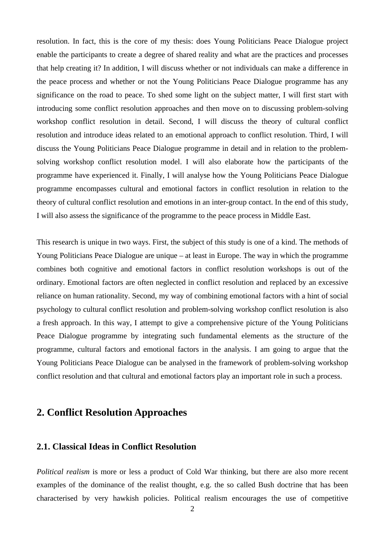resolution. In fact, this is the core of my thesis: does Young Politicians Peace Dialogue project enable the participants to create a degree of shared reality and what are the practices and processes that help creating it? In addition, I will discuss whether or not individuals can make a difference in the peace process and whether or not the Young Politicians Peace Dialogue programme has any significance on the road to peace. To shed some light on the subject matter, I will first start with introducing some conflict resolution approaches and then move on to discussing problem-solving workshop conflict resolution in detail. Second, I will discuss the theory of cultural conflict resolution and introduce ideas related to an emotional approach to conflict resolution. Third, I will discuss the Young Politicians Peace Dialogue programme in detail and in relation to the problemsolving workshop conflict resolution model. I will also elaborate how the participants of the programme have experienced it. Finally, I will analyse how the Young Politicians Peace Dialogue programme encompasses cultural and emotional factors in conflict resolution in relation to the theory of cultural conflict resolution and emotions in an inter-group contact. In the end of this study, I will also assess the significance of the programme to the peace process in Middle East.

This research is unique in two ways. First, the subject of this study is one of a kind. The methods of Young Politicians Peace Dialogue are unique – at least in Europe. The way in which the programme combines both cognitive and emotional factors in conflict resolution workshops is out of the ordinary. Emotional factors are often neglected in conflict resolution and replaced by an excessive reliance on human rationality. Second, my way of combining emotional factors with a hint of social psychology to cultural conflict resolution and problem-solving workshop conflict resolution is also a fresh approach. In this way, I attempt to give a comprehensive picture of the Young Politicians Peace Dialogue programme by integrating such fundamental elements as the structure of the programme, cultural factors and emotional factors in the analysis. I am going to argue that the Young Politicians Peace Dialogue can be analysed in the framework of problem-solving workshop conflict resolution and that cultural and emotional factors play an important role in such a process.

## <span id="page-4-0"></span>**2. Conflict Resolution Approaches**

### <span id="page-4-1"></span>**2.1. Classical Ideas in Conflict Resolution**

*Political realism* is more or less a product of Cold War thinking, but there are also more recent examples of the dominance of the realist thought, e.g. the so called Bush doctrine that has been characterised by very hawkish policies. Political realism encourages the use of competitive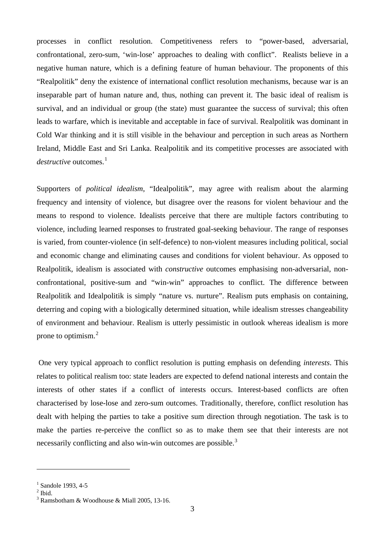processes in conflict resolution. Competitiveness refers to "power-based, adversarial, confrontational, zero-sum, 'win-lose' approaches to dealing with conflict". Realists believe in a negative human nature, which is a defining feature of human behaviour. The proponents of this "Realpolitik" deny the existence of international conflict resolution mechanisms, because war is an inseparable part of human nature and, thus, nothing can prevent it. The basic ideal of realism is survival, and an individual or group (the state) must guarantee the success of survival; this often leads to warfare, which is inevitable and acceptable in face of survival. Realpolitik was dominant in Cold War thinking and it is still visible in the behaviour and perception in such areas as Northern Ireland, Middle East and Sri Lanka. Realpolitik and its competitive processes are associated with *destructive* outcomes.<sup>[1](#page-5-0)</sup>

Supporters of *political idealism*, "Idealpolitik", may agree with realism about the alarming frequency and intensity of violence, but disagree over the reasons for violent behaviour and the means to respond to violence. Idealists perceive that there are multiple factors contributing to violence, including learned responses to frustrated goal-seeking behaviour. The range of responses is varied, from counter-violence (in self-defence) to non-violent measures including political, social and economic change and eliminating causes and conditions for violent behaviour. As opposed to Realpolitik, idealism is associated with *constructive* outcomes emphasising non-adversarial, nonconfrontational, positive-sum and "win-win" approaches to conflict. The difference between Realpolitik and Idealpolitik is simply "nature vs. nurture". Realism puts emphasis on containing, deterring and coping with a biologically determined situation, while idealism stresses changeability of environment and behaviour. Realism is utterly pessimistic in outlook whereas idealism is more prone to optimism.[2](#page-5-1)

One very typical approach to conflict resolution is putting emphasis on defending *interests*. This relates to political realism too: state leaders are expected to defend national interests and contain the interests of other states if a conflict of interests occurs. Interest-based conflicts are often characterised by lose-lose and zero-sum outcomes. Traditionally, therefore, conflict resolution has dealt with helping the parties to take a positive sum direction through negotiation. The task is to make the parties re-perceive the conflict so as to make them see that their interests are not necessarily conflicting and also win-win outcomes are possible.<sup>[3](#page-5-2)</sup>

<span id="page-5-0"></span> $\frac{1}{2}$  Sandole 1993, 4-5  $\frac{2}{1}$  Ibid.

<span id="page-5-1"></span>

<span id="page-5-2"></span><sup>3</sup> Ramsbotham & Woodhouse & Miall 2005, 13-16.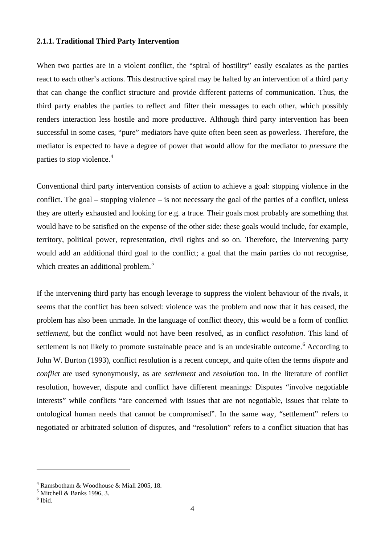#### <span id="page-6-0"></span>**2.1.1. Traditional Third Party Intervention**

When two parties are in a violent conflict, the "spiral of hostility" easily escalates as the parties react to each other's actions. This destructive spiral may be halted by an intervention of a third party that can change the conflict structure and provide different patterns of communication. Thus, the third party enables the parties to reflect and filter their messages to each other, which possibly renders interaction less hostile and more productive. Although third party intervention has been successful in some cases, "pure" mediators have quite often been seen as powerless. Therefore, the mediator is expected to have a degree of power that would allow for the mediator to *pressure* the parties to stop violence.<sup>[4](#page-6-1)</sup>

Conventional third party intervention consists of action to achieve a goal: stopping violence in the conflict. The goal – stopping violence – is not necessary the goal of the parties of a conflict, unless they are utterly exhausted and looking for e.g. a truce. Their goals most probably are something that would have to be satisfied on the expense of the other side: these goals would include, for example, territory, political power, representation, civil rights and so on. Therefore, the intervening party would add an additional third goal to the conflict; a goal that the main parties do not recognise, which creates an additional problem.<sup>[5](#page-6-2)</sup>

If the intervening third party has enough leverage to suppress the violent behaviour of the rivals, it seems that the conflict has been solved: violence was the problem and now that it has ceased, the problem has also been unmade. In the language of conflict theory, this would be a form of conflict *settlement*, but the conflict would not have been resolved, as in conflict *resolution*. This kind of settlement is not likely to promote sustainable peace and is an undesirable outcome.<sup>[6](#page-6-3)</sup> According to John W. Burton (1993), conflict resolution is a recent concept, and quite often the terms *dispute* and *conflict* are used synonymously, as are *settlement* and *resolution* too. In the literature of conflict resolution, however, dispute and conflict have different meanings: Disputes "involve negotiable interests" while conflicts "are concerned with issues that are not negotiable, issues that relate to ontological human needs that cannot be compromised". In the same way, "settlement" refers to negotiated or arbitrated solution of disputes, and "resolution" refers to a conflict situation that has

<sup>4</sup> Ramsbotham & Woodhouse & Miall 2005, 18.

<span id="page-6-2"></span><span id="page-6-1"></span> $\frac{5}{6}$  Mitchell & Banks 1996, 3.

<span id="page-6-3"></span>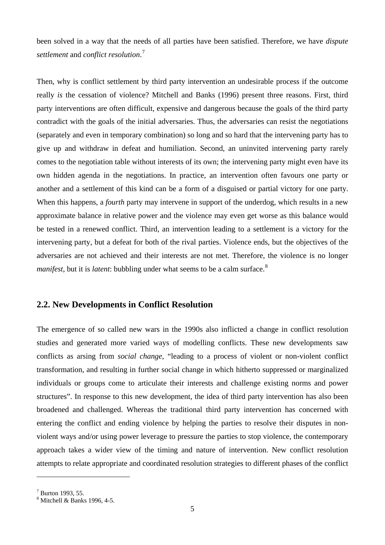been solved in a way that the needs of all parties have been satisfied. Therefore, we have *dispute settlement* and *conflict resolution*. [7](#page-7-1)

Then, why is conflict settlement by third party intervention an undesirable process if the outcome really *is* the cessation of violence? Mitchell and Banks (1996) present three reasons. First, third party interventions are often difficult, expensive and dangerous because the goals of the third party contradict with the goals of the initial adversaries. Thus, the adversaries can resist the negotiations (separately and even in temporary combination) so long and so hard that the intervening party has to give up and withdraw in defeat and humiliation. Second, an uninvited intervening party rarely comes to the negotiation table without interests of its own; the intervening party might even have its own hidden agenda in the negotiations. In practice, an intervention often favours one party or another and a settlement of this kind can be a form of a disguised or partial victory for one party. When this happens, a *fourth* party may intervene in support of the underdog, which results in a new approximate balance in relative power and the violence may even get worse as this balance would be tested in a renewed conflict. Third, an intervention leading to a settlement is a victory for the intervening party, but a defeat for both of the rival parties. Violence ends, but the objectives of the adversaries are not achieved and their interests are not met. Therefore, the violence is no longer *manifest*, but it is *latent*: bubbling under what seems to be a calm surface.<sup>[8](#page-7-2)</sup>

### <span id="page-7-0"></span>**2.2. New Developments in Conflict Resolution**

The emergence of so called new wars in the 1990s also inflicted a change in conflict resolution studies and generated more varied ways of modelling conflicts. These new developments saw conflicts as arsing from *social change*, "leading to a process of violent or non-violent conflict transformation, and resulting in further social change in which hitherto suppressed or marginalized individuals or groups come to articulate their interests and challenge existing norms and power structures". In response to this new development, the idea of third party intervention has also been broadened and challenged. Whereas the traditional third party intervention has concerned with entering the conflict and ending violence by helping the parties to resolve their disputes in nonviolent ways and/or using power leverage to pressure the parties to stop violence, the contemporary approach takes a wider view of the timing and nature of intervention. New conflict resolution attempts to relate appropriate and coordinated resolution strategies to different phases of the conflict

<span id="page-7-2"></span><span id="page-7-1"></span> $^7$  Burton 1993, 55.<br> $^8$  Mitchell & Banks 1996, 4-5.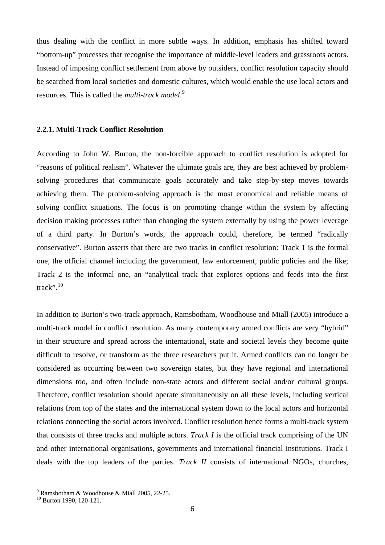thus dealing with the conflict in more subtle ways. In addition, emphasis has shifted toward "bottom-up" processes that recognise the importance of middle-level leaders and grassroots actors. Instead of imposing conflict settlement from above by outsiders, conflict resolution capacity should be searched from local societies and domestic cultures, which would enable the use local actors and resources. This is called the *multi-track model*. [9](#page-8-1)

#### <span id="page-8-0"></span>**2.2.1. Multi-Track Conflict Resolution**

According to John W. Burton, the non-forcible approach to conflict resolution is adopted for "reasons of political realism". Whatever the ultimate goals are, they are best achieved by problemsolving procedures that communicate goals accurately and take step-by-step moves towards achieving them. The problem-solving approach is the most economical and reliable means of solving conflict situations. The focus is on promoting change within the system by affecting decision making processes rather than changing the system externally by using the power leverage of a third party. In Burton's words, the approach could, therefore, be termed "radically conservative". Burton asserts that there are two tracks in conflict resolution: Track 1 is the formal one, the official channel including the government, law enforcement, public policies and the like; Track 2 is the informal one, an "analytical track that explores options and feeds into the first track". [10](#page-8-2)

In addition to Burton's two-track approach, Ramsbotham, Woodhouse and Miall (2005) introduce a multi-track model in conflict resolution. As many contemporary armed conflicts are very "hybrid" in their structure and spread across the international, state and societal levels they become quite difficult to resolve, or transform as the three researchers put it. Armed conflicts can no longer be considered as occurring between two sovereign states, but they have regional and international dimensions too, and often include non-state actors and different social and/or cultural groups. Therefore, conflict resolution should operate simultaneously on all these levels, including vertical relations from top of the states and the international system down to the local actors and horizontal relations connecting the social actors involved. Conflict resolution hence forms a multi-track system that consists of three tracks and multiple actors. *Track I* is the official track comprising of the UN and other international organisations, governments and international financial institutions. Track I deals with the top leaders of the parties. *Track II* consists of international NGOs, churches,

<span id="page-8-1"></span><sup>&</sup>lt;sup>9</sup> Ramsbotham & Woodhouse & Miall 2005, 22-25.<br><sup>10</sup> Burton 1990, 120-121.

<span id="page-8-2"></span>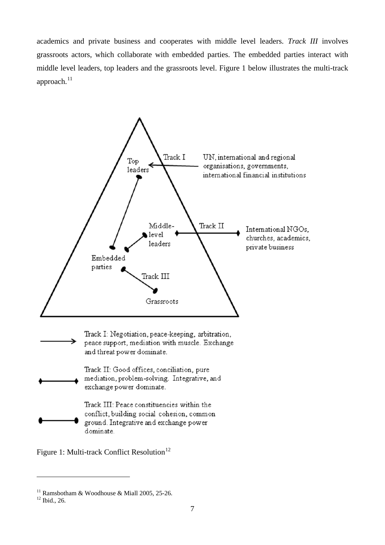academics and private business and cooperates with middle level leaders. *Track III* involves grassroots actors, which collaborate with embedded parties. The embedded parties interact with middle level leaders, top leaders and the grassroots level. Figure 1 below illustrates the multi-track approach. $^{11}$  $^{11}$  $^{11}$ 



Figure 1: Multi-track Conflict Resolution<sup>[12](#page-9-1)</sup>

<span id="page-9-0"></span><sup>&</sup>lt;sup>11</sup> Ramsbotham & Woodhouse & Miall 2005, 25-26.<br><sup>12</sup> Ibid., 26.

<span id="page-9-1"></span>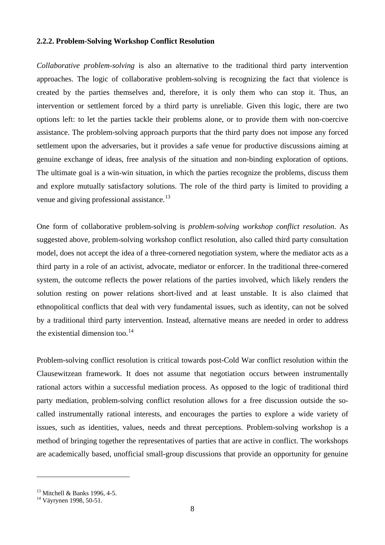#### <span id="page-10-0"></span>**2.2.2. Problem-Solving Workshop Conflict Resolution**

*Collaborative problem-solving* is also an alternative to the traditional third party intervention approaches. The logic of collaborative problem-solving is recognizing the fact that violence is created by the parties themselves and, therefore, it is only them who can stop it. Thus, an intervention or settlement forced by a third party is unreliable. Given this logic, there are two options left: to let the parties tackle their problems alone, or to provide them with non-coercive assistance. The problem-solving approach purports that the third party does not impose any forced settlement upon the adversaries, but it provides a safe venue for productive discussions aiming at genuine exchange of ideas, free analysis of the situation and non-binding exploration of options. The ultimate goal is a win-win situation, in which the parties recognize the problems, discuss them and explore mutually satisfactory solutions. The role of the third party is limited to providing a venue and giving professional assistance.<sup>[13](#page-10-1)</sup>

One form of collaborative problem-solving is *problem-solving workshop conflict resolution*. As suggested above, problem-solving workshop conflict resolution, also called third party consultation model, does not accept the idea of a three-cornered negotiation system, where the mediator acts as a third party in a role of an activist, advocate, mediator or enforcer. In the traditional three-cornered system, the outcome reflects the power relations of the parties involved, which likely renders the solution resting on power relations short-lived and at least unstable. It is also claimed that ethnopolitical conflicts that deal with very fundamental issues, such as identity, can not be solved by a traditional third party intervention. Instead, alternative means are needed in order to address the existential dimension too.<sup>[14](#page-10-2)</sup>

Problem-solving conflict resolution is critical towards post-Cold War conflict resolution within the Clausewitzean framework. It does not assume that negotiation occurs between instrumentally rational actors within a successful mediation process. As opposed to the logic of traditional third party mediation, problem-solving conflict resolution allows for a free discussion outside the socalled instrumentally rational interests, and encourages the parties to explore a wide variety of issues, such as identities, values, needs and threat perceptions. Problem-solving workshop is a method of bringing together the representatives of parties that are active in conflict. The workshops are academically based, unofficial small-group discussions that provide an opportunity for genuine

<span id="page-10-1"></span><sup>&</sup>lt;sup>13</sup> Mitchell & Banks 1996, 4-5.<br><sup>14</sup> Väyrynen 1998, 50-51.

<span id="page-10-2"></span>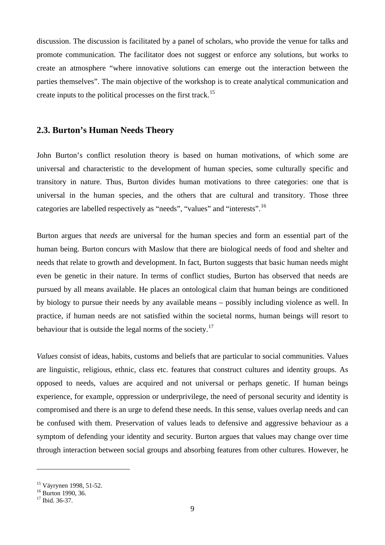discussion. The discussion is facilitated by a panel of scholars, who provide the venue for talks and promote communication. The facilitator does not suggest or enforce any solutions, but works to create an atmosphere "where innovative solutions can emerge out the interaction between the parties themselves". The main objective of the workshop is to create analytical communication and create inputs to the political processes on the first track.<sup>[15](#page-11-1)</sup>

#### <span id="page-11-0"></span>**2.3. Burton's Human Needs Theory**

John Burton's conflict resolution theory is based on human motivations, of which some are universal and characteristic to the development of human species, some culturally specific and transitory in nature. Thus, Burton divides human motivations to three categories: one that is universal in the human species, and the others that are cultural and transitory. Those three categories are labelled respectively as "needs", "values" and "interests".[16](#page-11-2)

Burton argues that *needs* are universal for the human species and form an essential part of the human being. Burton concurs with Maslow that there are biological needs of food and shelter and needs that relate to growth and development. In fact, Burton suggests that basic human needs might even be genetic in their nature. In terms of conflict studies, Burton has observed that needs are pursued by all means available. He places an ontological claim that human beings are conditioned by biology to pursue their needs by any available means – possibly including violence as well. In practice, if human needs are not satisfied within the societal norms, human beings will resort to behaviour that is outside the legal norms of the society.<sup>[17](#page-11-3)</sup>

*Values* consist of ideas, habits, customs and beliefs that are particular to social communities. Values are linguistic, religious, ethnic, class etc. features that construct cultures and identity groups. As opposed to needs, values are acquired and not universal or perhaps genetic. If human beings experience, for example, oppression or underprivilege, the need of personal security and identity is compromised and there is an urge to defend these needs. In this sense, values overlap needs and can be confused with them. Preservation of values leads to defensive and aggressive behaviour as a symptom of defending your identity and security. Burton argues that values may change over time through interaction between social groups and absorbing features from other cultures. However, he

<span id="page-11-1"></span><sup>&</sup>lt;sup>15</sup> Väyrynen 1998, 51-52.<br><sup>16</sup> Burton 1990, 36.<br><sup>17</sup> Ibid. 36-37.

<span id="page-11-2"></span>

<span id="page-11-3"></span>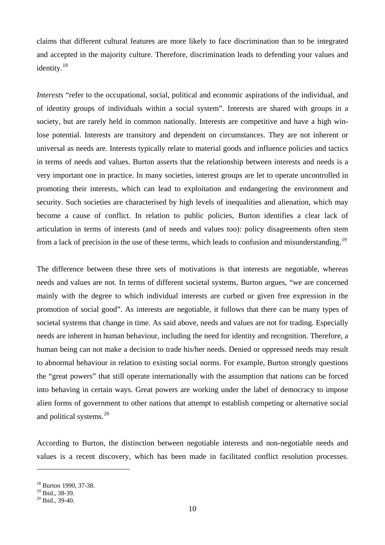claims that different cultural features are more likely to face discrimination than to be integrated and accepted in the majority culture. Therefore, discrimination leads to defending your values and identity.<sup>[18](#page-12-0)</sup>

*Interests* "refer to the occupational, social, political and economic aspirations of the individual, and of identity groups of individuals within a social system". Interests are shared with groups in a society, but are rarely held in common nationally. Interests are competitive and have a high winlose potential. Interests are transitory and dependent on circumstances. They are not inherent or universal as needs are. Interests typically relate to material goods and influence policies and tactics in terms of needs and values. Burton asserts that the relationship between interests and needs is a very important one in practice. In many societies, interest groups are let to operate uncontrolled in promoting their interests, which can lead to exploitation and endangering the environment and security. Such societies are characterised by high levels of inequalities and alienation, which may become a cause of conflict. In relation to public policies, Burton identifies a clear lack of articulation in terms of interests (and of needs and values too): policy disagreements often stem from a lack of precision in the use of these terms, which leads to confusion and misunderstanding.<sup>[19](#page-12-1)</sup>

The difference between these three sets of motivations is that interests are negotiable, whereas needs and values are not. In terms of different societal systems, Burton argues, "we are concerned mainly with the degree to which individual interests are curbed or given free expression in the promotion of social good". As interests are negotiable, it follows that there can be many types of societal systems that change in time. As said above, needs and values are not for trading. Especially needs are inherent in human behaviour, including the need for identity and recognition. Therefore, a human being can not make a decision to trade his/her needs. Denied or oppressed needs may result to abnormal behaviour in relation to existing social norms. For example, Burton strongly questions the "great powers" that still operate internationally with the assumption that nations can be forced into behaving in certain ways. Great powers are working under the label of democracy to impose alien forms of government to other nations that attempt to establish competing or alternative social and political systems. $^{20}$  $^{20}$  $^{20}$ 

According to Burton, the distinction between negotiable interests and non-negotiable needs and values is a recent discovery, which has been made in facilitated conflict resolution processes.

<span id="page-12-0"></span> $^{18}$  Burton 1990, 37-38.<br> $^{19}$  Ibid.. 38-39.

<span id="page-12-2"></span><span id="page-12-1"></span> $20$  Ibid., 39-40.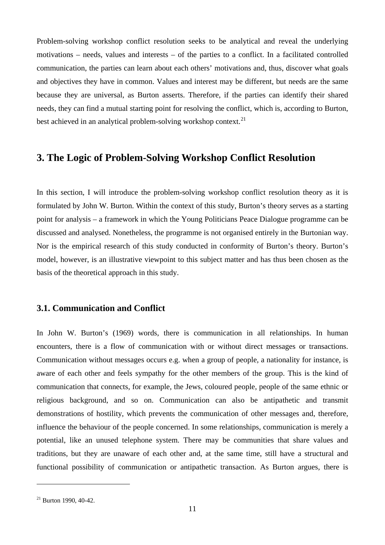Problem-solving workshop conflict resolution seeks to be analytical and reveal the underlying motivations – needs, values and interests – of the parties to a conflict. In a facilitated controlled communication, the parties can learn about each others' motivations and, thus, discover what goals and objectives they have in common. Values and interest may be different, but needs are the same because they are universal, as Burton asserts. Therefore, if the parties can identify their shared needs, they can find a mutual starting point for resolving the conflict, which is, according to Burton, best achieved in an analytical problem-solving workshop context.<sup>[21](#page-13-2)</sup>

## <span id="page-13-0"></span>**3. The Logic of Problem-Solving Workshop Conflict Resolution**

In this section, I will introduce the problem-solving workshop conflict resolution theory as it is formulated by John W. Burton. Within the context of this study, Burton's theory serves as a starting point for analysis – a framework in which the Young Politicians Peace Dialogue programme can be discussed and analysed. Nonetheless, the programme is not organised entirely in the Burtonian way. Nor is the empirical research of this study conducted in conformity of Burton's theory. Burton's model, however, is an illustrative viewpoint to this subject matter and has thus been chosen as the basis of the theoretical approach in this study.

#### <span id="page-13-1"></span>**3.1. Communication and Conflict**

In John W. Burton's (1969) words, there is communication in all relationships. In human encounters, there is a flow of communication with or without direct messages or transactions. Communication without messages occurs e.g. when a group of people, a nationality for instance, is aware of each other and feels sympathy for the other members of the group. This is the kind of communication that connects, for example, the Jews, coloured people, people of the same ethnic or religious background, and so on. Communication can also be antipathetic and transmit demonstrations of hostility, which prevents the communication of other messages and, therefore, influence the behaviour of the people concerned. In some relationships, communication is merely a potential, like an unused telephone system. There may be communities that share values and traditions, but they are unaware of each other and, at the same time, still have a structural and functional possibility of communication or antipathetic transaction. As Burton argues, there is

<span id="page-13-2"></span> $21$  Burton 1990, 40-42.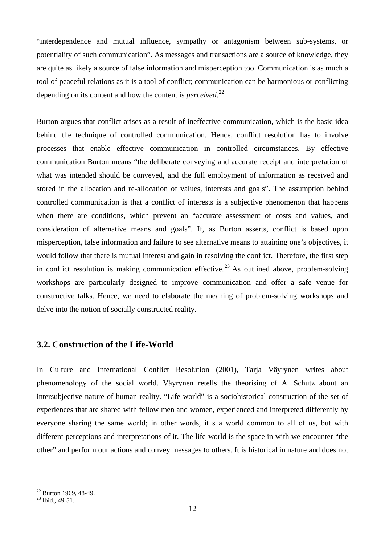"interdependence and mutual influence, sympathy or antagonism between sub-systems, or potentiality of such communication". As messages and transactions are a source of knowledge, they are quite as likely a source of false information and misperception too. Communication is as much a tool of peaceful relations as it is a tool of conflict; communication can be harmonious or conflicting depending on its content and how the content is *perceived*. [22](#page-14-1)

Burton argues that conflict arises as a result of ineffective communication, which is the basic idea behind the technique of controlled communication. Hence, conflict resolution has to involve processes that enable effective communication in controlled circumstances. By effective communication Burton means "the deliberate conveying and accurate receipt and interpretation of what was intended should be conveyed, and the full employment of information as received and stored in the allocation and re-allocation of values, interests and goals". The assumption behind controlled communication is that a conflict of interests is a subjective phenomenon that happens when there are conditions, which prevent an "accurate assessment of costs and values, and consideration of alternative means and goals". If, as Burton asserts, conflict is based upon misperception, false information and failure to see alternative means to attaining one's objectives, it would follow that there is mutual interest and gain in resolving the conflict. Therefore, the first step in conflict resolution is making communication effective.<sup>[23](#page-14-2)</sup> As outlined above, problem-solving workshops are particularly designed to improve communication and offer a safe venue for constructive talks. Hence, we need to elaborate the meaning of problem-solving workshops and delve into the notion of socially constructed reality.

### <span id="page-14-0"></span>**3.2. Construction of the Life-World**

In Culture and International Conflict Resolution (2001), Tarja Väyrynen writes about phenomenology of the social world. Väyrynen retells the theorising of A. Schutz about an intersubjective nature of human reality. "Life-world" is a sociohistorical construction of the set of experiences that are shared with fellow men and women, experienced and interpreted differently by everyone sharing the same world; in other words, it s a world common to all of us, but with different perceptions and interpretations of it. The life-world is the space in with we encounter "the other" and perform our actions and convey messages to others. It is historical in nature and does not

<span id="page-14-1"></span> $^{22}$  Burton 1969, 48-49.<br> $^{23}$  Ibid., 49-51.

<span id="page-14-2"></span>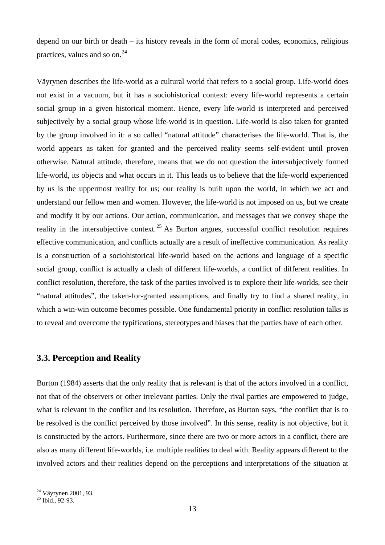depend on our birth or death – its history reveals in the form of moral codes, economics, religious practices, values and so on. $^{24}$  $^{24}$  $^{24}$ 

Väyrynen describes the life-world as a cultural world that refers to a social group. Life-world does not exist in a vacuum, but it has a sociohistorical context: every life-world represents a certain social group in a given historical moment. Hence, every life-world is interpreted and perceived subjectively by a social group whose life-world is in question. Life-world is also taken for granted by the group involved in it: a so called "natural attitude" characterises the life-world. That is, the world appears as taken for granted and the perceived reality seems self-evident until proven otherwise. Natural attitude, therefore, means that we do not question the intersubjectively formed life-world, its objects and what occurs in it. This leads us to believe that the life-world experienced by us is the uppermost reality for us; our reality is built upon the world, in which we act and understand our fellow men and women. However, the life-world is not imposed on us, but we create and modify it by our actions. Our action, communication, and messages that we convey shape the reality in the intersubjective context.<sup>[25](#page-15-2)</sup> As Burton argues, successful conflict resolution requires effective communication, and conflicts actually are a result of ineffective communication. As reality is a construction of a sociohistorical life-world based on the actions and language of a specific social group, conflict is actually a clash of different life-worlds, a conflict of different realities. In conflict resolution, therefore, the task of the parties involved is to explore their life-worlds, see their "natural attitudes", the taken-for-granted assumptions, and finally try to find a shared reality, in which a win-win outcome becomes possible. One fundamental priority in conflict resolution talks is to reveal and overcome the typifications, stereotypes and biases that the parties have of each other.

#### <span id="page-15-0"></span>**3.3. Perception and Reality**

Burton (1984) asserts that the only reality that is relevant is that of the actors involved in a conflict, not that of the observers or other irrelevant parties. Only the rival parties are empowered to judge, what is relevant in the conflict and its resolution. Therefore, as Burton says, "the conflict that is to be resolved is the conflict perceived by those involved". In this sense, reality is not objective, but it is constructed by the actors. Furthermore, since there are two or more actors in a conflict, there are also as many different life-worlds, i.e. multiple realities to deal with. Reality appears different to the involved actors and their realities depend on the perceptions and interpretations of the situation at

<span id="page-15-2"></span><span id="page-15-1"></span> $^{24}$  Väyrynen 2001, 93.<br> $^{25}$  Ibid., 92-93.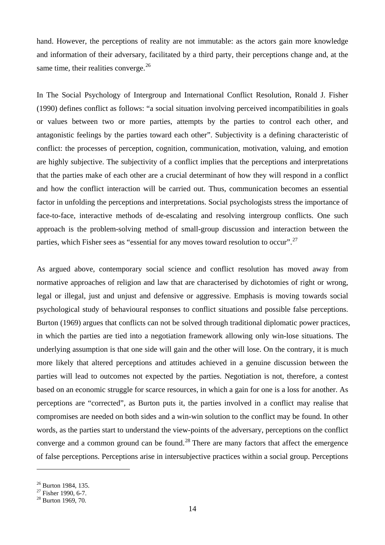hand. However, the perceptions of reality are not immutable: as the actors gain more knowledge and information of their adversary, facilitated by a third party, their perceptions change and, at the same time, their realities converge. $^{26}$  $^{26}$  $^{26}$ 

In The Social Psychology of Intergroup and International Conflict Resolution, Ronald J. Fisher (1990) defines conflict as follows: "a social situation involving perceived incompatibilities in goals or values between two or more parties, attempts by the parties to control each other, and antagonistic feelings by the parties toward each other". Subjectivity is a defining characteristic of conflict: the processes of perception, cognition, communication, motivation, valuing, and emotion are highly subjective. The subjectivity of a conflict implies that the perceptions and interpretations that the parties make of each other are a crucial determinant of how they will respond in a conflict and how the conflict interaction will be carried out. Thus, communication becomes an essential factor in unfolding the perceptions and interpretations. Social psychologists stress the importance of face-to-face, interactive methods of de-escalating and resolving intergroup conflicts. One such approach is the problem-solving method of small-group discussion and interaction between the parties, which Fisher sees as "essential for any moves toward resolution to occur".<sup>[27](#page-16-1)</sup>

As argued above, contemporary social science and conflict resolution has moved away from normative approaches of religion and law that are characterised by dichotomies of right or wrong, legal or illegal, just and unjust and defensive or aggressive. Emphasis is moving towards social psychological study of behavioural responses to conflict situations and possible false perceptions. Burton (1969) argues that conflicts can not be solved through traditional diplomatic power practices, in which the parties are tied into a negotiation framework allowing only win-lose situations. The underlying assumption is that one side will gain and the other will lose. On the contrary, it is much more likely that altered perceptions and attitudes achieved in a genuine discussion between the parties will lead to outcomes not expected by the parties. Negotiation is not, therefore, a contest based on an economic struggle for scarce resources, in which a gain for one is a loss for another. As perceptions are "corrected", as Burton puts it, the parties involved in a conflict may realise that compromises are needed on both sides and a win-win solution to the conflict may be found. In other words, as the parties start to understand the view-points of the adversary, perceptions on the conflict converge and a common ground can be found.<sup>[28](#page-16-2)</sup> There are many factors that affect the emergence of false perceptions. Perceptions arise in intersubjective practices within a social group. Perceptions

<sup>&</sup>lt;sup>26</sup> Burton 1984, 135.

<span id="page-16-1"></span><span id="page-16-0"></span> $^{27}$  Fisher 1990, 6-7.<br><sup>28</sup> Burton 1969, 70.

<span id="page-16-2"></span>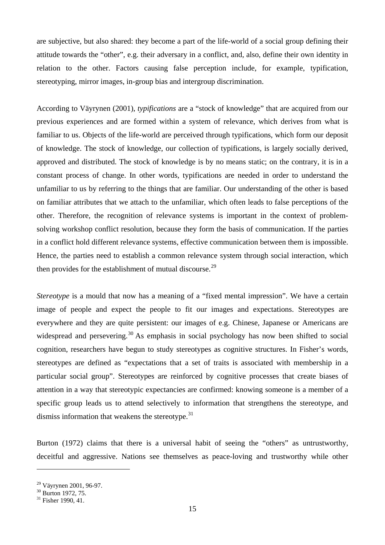are subjective, but also shared: they become a part of the life-world of a social group defining their attitude towards the "other", e.g. their adversary in a conflict, and, also, define their own identity in relation to the other. Factors causing false perception include, for example, typification, stereotyping, mirror images, in-group bias and intergroup discrimination.

According to Väyrynen (2001), *typifications* are a "stock of knowledge" that are acquired from our previous experiences and are formed within a system of relevance, which derives from what is familiar to us. Objects of the life-world are perceived through typifications, which form our deposit of knowledge. The stock of knowledge, our collection of typifications, is largely socially derived, approved and distributed. The stock of knowledge is by no means static; on the contrary, it is in a constant process of change. In other words, typifications are needed in order to understand the unfamiliar to us by referring to the things that are familiar. Our understanding of the other is based on familiar attributes that we attach to the unfamiliar, which often leads to false perceptions of the other. Therefore, the recognition of relevance systems is important in the context of problemsolving workshop conflict resolution, because they form the basis of communication. If the parties in a conflict hold different relevance systems, effective communication between them is impossible. Hence, the parties need to establish a common relevance system through social interaction, which then provides for the establishment of mutual discourse.<sup>[29](#page-17-0)</sup>

*Stereotype* is a mould that now has a meaning of a "fixed mental impression". We have a certain image of people and expect the people to fit our images and expectations. Stereotypes are everywhere and they are quite persistent: our images of e.g. Chinese, Japanese or Americans are widespread and persevering.<sup>[30](#page-17-1)</sup> As emphasis in social psychology has now been shifted to social cognition, researchers have begun to study stereotypes as cognitive structures. In Fisher's words, stereotypes are defined as "expectations that a set of traits is associated with membership in a particular social group". Stereotypes are reinforced by cognitive processes that create biases of attention in a way that stereotypic expectancies are confirmed: knowing someone is a member of a specific group leads us to attend selectively to information that strengthens the stereotype, and dismiss information that weakens the stereotype. $31$ 

Burton (1972) claims that there is a universal habit of seeing the "others" as untrustworthy, deceitful and aggressive. Nations see themselves as peace-loving and trustworthy while other

<span id="page-17-0"></span><sup>&</sup>lt;sup>29</sup> Väyrynen 2001, 96-97.<br><sup>30</sup> Burton 1972, 75.<br><sup>31</sup> Fisher 1990, 41.

<span id="page-17-1"></span>

<span id="page-17-2"></span>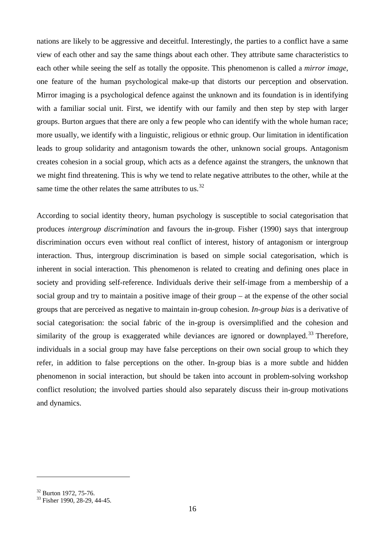nations are likely to be aggressive and deceitful. Interestingly, the parties to a conflict have a same view of each other and say the same things about each other. They attribute same characteristics to each other while seeing the self as totally the opposite. This phenomenon is called a *mirror image*, one feature of the human psychological make-up that distorts our perception and observation. Mirror imaging is a psychological defence against the unknown and its foundation is in identifying with a familiar social unit. First, we identify with our family and then step by step with larger groups. Burton argues that there are only a few people who can identify with the whole human race; more usually, we identify with a linguistic, religious or ethnic group. Our limitation in identification leads to group solidarity and antagonism towards the other, unknown social groups. Antagonism creates cohesion in a social group, which acts as a defence against the strangers, the unknown that we might find threatening. This is why we tend to relate negative attributes to the other, while at the same time the other relates the same attributes to us.<sup>[32](#page-18-0)</sup>

According to social identity theory, human psychology is susceptible to social categorisation that produces *intergroup discrimination* and favours the in-group. Fisher (1990) says that intergroup discrimination occurs even without real conflict of interest, history of antagonism or intergroup interaction. Thus, intergroup discrimination is based on simple social categorisation, which is inherent in social interaction. This phenomenon is related to creating and defining ones place in society and providing self-reference. Individuals derive their self-image from a membership of a social group and try to maintain a positive image of their group – at the expense of the other social groups that are perceived as negative to maintain in-group cohesion. *In-group bias* is a derivative of social categorisation: the social fabric of the in-group is oversimplified and the cohesion and similarity of the group is exaggerated while deviances are ignored or downplayed.<sup>[33](#page-18-1)</sup> Therefore, individuals in a social group may have false perceptions on their own social group to which they refer, in addition to false perceptions on the other. In-group bias is a more subtle and hidden phenomenon in social interaction, but should be taken into account in problem-solving workshop conflict resolution; the involved parties should also separately discuss their in-group motivations and dynamics.

<span id="page-18-0"></span> $\frac{32}{33}$  Burton 1972, 75-76.<br> $\frac{33}{35}$  Fisher 1990, 28-29, 44-45.

<span id="page-18-1"></span>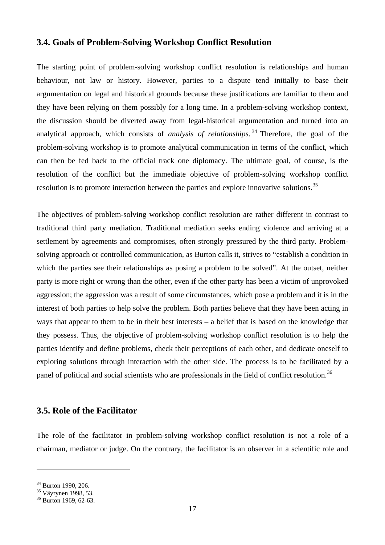#### <span id="page-19-0"></span>**3.4. Goals of Problem-Solving Workshop Conflict Resolution**

The starting point of problem-solving workshop conflict resolution is relationships and human behaviour, not law or history. However, parties to a dispute tend initially to base their argumentation on legal and historical grounds because these justifications are familiar to them and they have been relying on them possibly for a long time. In a problem-solving workshop context, the discussion should be diverted away from legal-historical argumentation and turned into an analytical approach, which consists of *analysis of relationships*. [34](#page-19-2) Therefore, the goal of the problem-solving workshop is to promote analytical communication in terms of the conflict, which can then be fed back to the official track one diplomacy. The ultimate goal, of course, is the resolution of the conflict but the immediate objective of problem-solving workshop conflict resolution is to promote interaction between the parties and explore innovative solutions.<sup>[35](#page-19-3)</sup>

The objectives of problem-solving workshop conflict resolution are rather different in contrast to traditional third party mediation. Traditional mediation seeks ending violence and arriving at a settlement by agreements and compromises, often strongly pressured by the third party. Problemsolving approach or controlled communication, as Burton calls it, strives to "establish a condition in which the parties see their relationships as posing a problem to be solved". At the outset, neither party is more right or wrong than the other, even if the other party has been a victim of unprovoked aggression; the aggression was a result of some circumstances, which pose a problem and it is in the interest of both parties to help solve the problem. Both parties believe that they have been acting in ways that appear to them to be in their best interests – a belief that is based on the knowledge that they possess. Thus, the objective of problem-solving workshop conflict resolution is to help the parties identify and define problems, check their perceptions of each other, and dedicate oneself to exploring solutions through interaction with the other side. The process is to be facilitated by a panel of political and social scientists who are professionals in the field of conflict resolution.<sup>[36](#page-19-4)</sup>

#### <span id="page-19-1"></span>**3.5. Role of the Facilitator**

The role of the facilitator in problem-solving workshop conflict resolution is not a role of a chairman, mediator or judge. On the contrary, the facilitator is an observer in a scientific role and

<span id="page-19-3"></span><span id="page-19-2"></span> $\frac{34}{35}$  Burton 1990, 206.<br> $\frac{35}{36}$  Väyrynen 1998, 53.<br> $\frac{36}{36}$  Burton 1969, 62-63.

<span id="page-19-4"></span>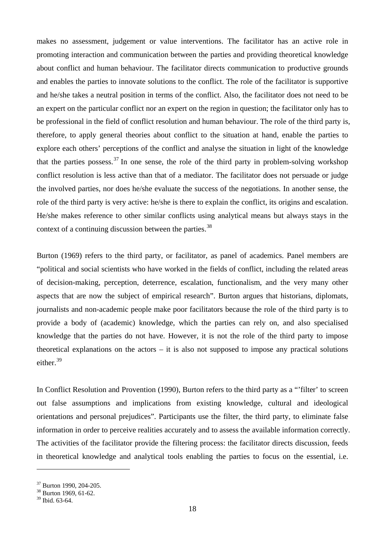makes no assessment, judgement or value interventions. The facilitator has an active role in promoting interaction and communication between the parties and providing theoretical knowledge about conflict and human behaviour. The facilitator directs communication to productive grounds and enables the parties to innovate solutions to the conflict. The role of the facilitator is supportive and he/she takes a neutral position in terms of the conflict. Also, the facilitator does not need to be an expert on the particular conflict nor an expert on the region in question; the facilitator only has to be professional in the field of conflict resolution and human behaviour. The role of the third party is, therefore, to apply general theories about conflict to the situation at hand, enable the parties to explore each others' perceptions of the conflict and analyse the situation in light of the knowledge that the parties possess.<sup>[37](#page-20-0)</sup> In one sense, the role of the third party in problem-solving workshop conflict resolution is less active than that of a mediator. The facilitator does not persuade or judge the involved parties, nor does he/she evaluate the success of the negotiations. In another sense, the role of the third party is very active: he/she is there to explain the conflict, its origins and escalation. He/she makes reference to other similar conflicts using analytical means but always stays in the context of a continuing discussion between the parties.<sup>[38](#page-20-1)</sup>

Burton (1969) refers to the third party, or facilitator, as panel of academics. Panel members are "political and social scientists who have worked in the fields of conflict, including the related areas of decision-making, perception, deterrence, escalation, functionalism, and the very many other aspects that are now the subject of empirical research". Burton argues that historians, diplomats, journalists and non-academic people make poor facilitators because the role of the third party is to provide a body of (academic) knowledge, which the parties can rely on, and also specialised knowledge that the parties do not have. However, it is not the role of the third party to impose theoretical explanations on the actors – it is also not supposed to impose any practical solutions either.<sup>[39](#page-20-2)</sup>

In Conflict Resolution and Provention (1990), Burton refers to the third party as a "'filter' to screen out false assumptions and implications from existing knowledge, cultural and ideological orientations and personal prejudices". Participants use the filter, the third party, to eliminate false information in order to perceive realities accurately and to assess the available information correctly. The activities of the facilitator provide the filtering process: the facilitator directs discussion, feeds in theoretical knowledge and analytical tools enabling the parties to focus on the essential, i.e.

<span id="page-20-0"></span> $\frac{37}{38}$  Burton 1990, 204-205.<br> $\frac{38}{38}$  Burton 1969, 61-62.

<span id="page-20-1"></span>

<span id="page-20-2"></span><sup>39</sup> Ibid. 63-64.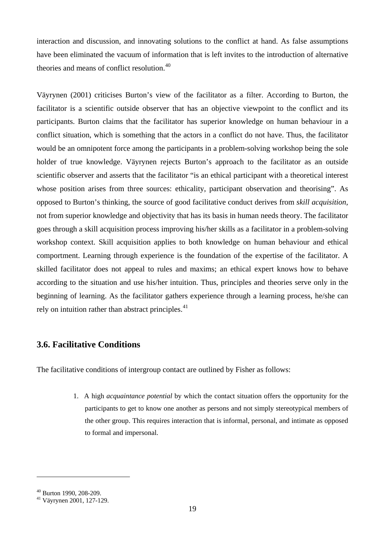interaction and discussion, and innovating solutions to the conflict at hand. As false assumptions have been eliminated the vacuum of information that is left invites to the introduction of alternative theories and means of conflict resolution.<sup>[40](#page-21-1)</sup>

Väyrynen (2001) criticises Burton's view of the facilitator as a filter. According to Burton, the facilitator is a scientific outside observer that has an objective viewpoint to the conflict and its participants. Burton claims that the facilitator has superior knowledge on human behaviour in a conflict situation, which is something that the actors in a conflict do not have. Thus, the facilitator would be an omnipotent force among the participants in a problem-solving workshop being the sole holder of true knowledge. Väyrynen rejects Burton's approach to the facilitator as an outside scientific observer and asserts that the facilitator "is an ethical participant with a theoretical interest whose position arises from three sources: ethicality, participant observation and theorising". As opposed to Burton's thinking, the source of good facilitative conduct derives from *skill acquisition*, not from superior knowledge and objectivity that has its basis in human needs theory. The facilitator goes through a skill acquisition process improving his/her skills as a facilitator in a problem-solving workshop context. Skill acquisition applies to both knowledge on human behaviour and ethical comportment. Learning through experience is the foundation of the expertise of the facilitator. A skilled facilitator does not appeal to rules and maxims; an ethical expert knows how to behave according to the situation and use his/her intuition. Thus, principles and theories serve only in the beginning of learning. As the facilitator gathers experience through a learning process, he/she can rely on intuition rather than abstract principles. $41$ 

### <span id="page-21-0"></span>**3.6. Facilitative Conditions**

The facilitative conditions of intergroup contact are outlined by Fisher as follows:

1. A high *acquaintance potential* by which the contact situation offers the opportunity for the participants to get to know one another as persons and not simply stereotypical members of the other group. This requires interaction that is informal, personal, and intimate as opposed to formal and impersonal.

<span id="page-21-2"></span><span id="page-21-1"></span> $^{40}$  Burton 1990, 208-209.<br> $^{41}$  Väyrynen 2001, 127-129.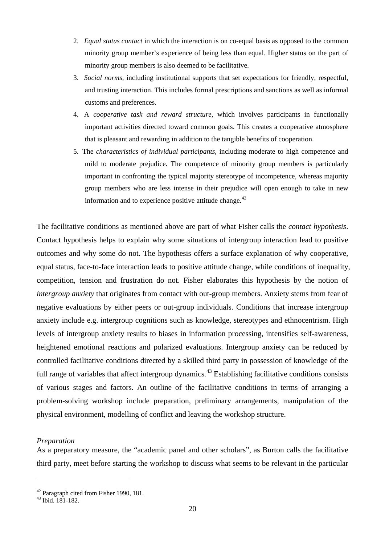- 2. *Equal status contact* in which the interaction is on co-equal basis as opposed to the common minority group member's experience of being less than equal. Higher status on the part of minority group members is also deemed to be facilitative.
- 3. *Social norms*, including institutional supports that set expectations for friendly, respectful, and trusting interaction. This includes formal prescriptions and sanctions as well as informal customs and preferences.
- 4. A *cooperative task and reward structure*, which involves participants in functionally important activities directed toward common goals. This creates a cooperative atmosphere that is pleasant and rewarding in addition to the tangible benefits of cooperation.
- 5. The *characteristics of individual participants*, including moderate to high competence and mild to moderate prejudice. The competence of minority group members is particularly important in confronting the typical majority stereotype of incompetence, whereas majority group members who are less intense in their prejudice will open enough to take in new information and to experience positive attitude change.<sup>[42](#page-22-0)</sup>

The facilitative conditions as mentioned above are part of what Fisher calls the *contact hypothesis*. Contact hypothesis helps to explain why some situations of intergroup interaction lead to positive outcomes and why some do not. The hypothesis offers a surface explanation of why cooperative, equal status, face-to-face interaction leads to positive attitude change, while conditions of inequality, competition, tension and frustration do not. Fisher elaborates this hypothesis by the notion of *intergroup anxiety* that originates from contact with out-group members. Anxiety stems from fear of negative evaluations by either peers or out-group individuals. Conditions that increase intergroup anxiety include e.g. intergroup cognitions such as knowledge, stereotypes and ethnocentrism. High levels of intergroup anxiety results to biases in information processing, intensifies self-awareness, heightened emotional reactions and polarized evaluations. Intergroup anxiety can be reduced by controlled facilitative conditions directed by a skilled third party in possession of knowledge of the full range of variables that affect intergroup dynamics.<sup>[43](#page-22-1)</sup> Establishing facilitative conditions consists of various stages and factors. An outline of the facilitative conditions in terms of arranging a problem-solving workshop include preparation, preliminary arrangements, manipulation of the physical environment, modelling of conflict and leaving the workshop structure.

#### *Preparation*

As a preparatory measure, the "academic panel and other scholars", as Burton calls the facilitative third party, meet before starting the workshop to discuss what seems to be relevant in the particular

<span id="page-22-0"></span><sup>&</sup>lt;sup>42</sup> Paragraph cited from Fisher 1990, 181.<br><sup>43</sup> Ibid. 181-182.

<span id="page-22-1"></span>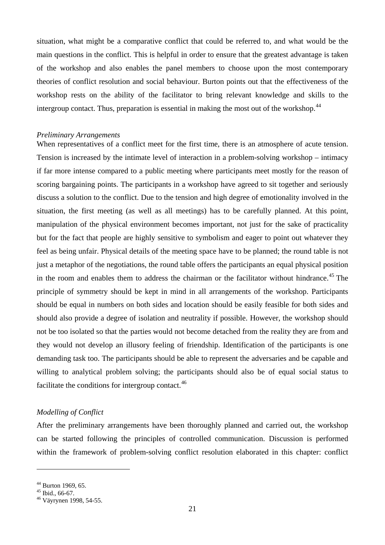situation, what might be a comparative conflict that could be referred to, and what would be the main questions in the conflict. This is helpful in order to ensure that the greatest advantage is taken of the workshop and also enables the panel members to choose upon the most contemporary theories of conflict resolution and social behaviour. Burton points out that the effectiveness of the workshop rests on the ability of the facilitator to bring relevant knowledge and skills to the intergroup contact. Thus, preparation is essential in making the most out of the workshop.<sup>[44](#page-23-0)</sup>

#### *Preliminary Arrangements*

When representatives of a conflict meet for the first time, there is an atmosphere of acute tension. Tension is increased by the intimate level of interaction in a problem-solving workshop – intimacy if far more intense compared to a public meeting where participants meet mostly for the reason of scoring bargaining points. The participants in a workshop have agreed to sit together and seriously discuss a solution to the conflict. Due to the tension and high degree of emotionality involved in the situation, the first meeting (as well as all meetings) has to be carefully planned. At this point, manipulation of the physical environment becomes important, not just for the sake of practicality but for the fact that people are highly sensitive to symbolism and eager to point out whatever they feel as being unfair. Physical details of the meeting space have to be planned; the round table is not just a metaphor of the negotiations, the round table offers the participants an equal physical position in the room and enables them to address the chairman or the facilitator without hindrance.<sup>[45](#page-23-1)</sup> The principle of symmetry should be kept in mind in all arrangements of the workshop. Participants should be equal in numbers on both sides and location should be easily feasible for both sides and should also provide a degree of isolation and neutrality if possible. However, the workshop should not be too isolated so that the parties would not become detached from the reality they are from and they would not develop an illusory feeling of friendship. Identification of the participants is one demanding task too. The participants should be able to represent the adversaries and be capable and willing to analytical problem solving; the participants should also be of equal social status to facilitate the conditions for intergroup contact. $46$ 

#### *Modelling of Conflict*

After the preliminary arrangements have been thoroughly planned and carried out, the workshop can be started following the principles of controlled communication. Discussion is performed within the framework of problem-solving conflict resolution elaborated in this chapter: conflict

<span id="page-23-2"></span>

<span id="page-23-1"></span><span id="page-23-0"></span><sup>&</sup>lt;sup>44</sup> Burton 1969, 65.<br><sup>45</sup> Ibid., 66-67.<br><sup>46</sup> Väyrynen 1998, 54-55.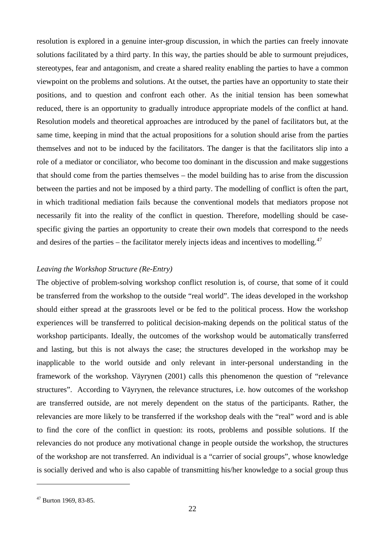resolution is explored in a genuine inter-group discussion, in which the parties can freely innovate solutions facilitated by a third party. In this way, the parties should be able to surmount prejudices, stereotypes, fear and antagonism, and create a shared reality enabling the parties to have a common viewpoint on the problems and solutions. At the outset, the parties have an opportunity to state their positions, and to question and confront each other. As the initial tension has been somewhat reduced, there is an opportunity to gradually introduce appropriate models of the conflict at hand. Resolution models and theoretical approaches are introduced by the panel of facilitators but, at the same time, keeping in mind that the actual propositions for a solution should arise from the parties themselves and not to be induced by the facilitators. The danger is that the facilitators slip into a role of a mediator or conciliator, who become too dominant in the discussion and make suggestions that should come from the parties themselves – the model building has to arise from the discussion between the parties and not be imposed by a third party. The modelling of conflict is often the part, in which traditional mediation fails because the conventional models that mediators propose not necessarily fit into the reality of the conflict in question. Therefore, modelling should be casespecific giving the parties an opportunity to create their own models that correspond to the needs and desires of the parties – the facilitator merely injects ideas and incentives to modelling. $47$ 

#### *Leaving the Workshop Structure (Re-Entry)*

The objective of problem-solving workshop conflict resolution is, of course, that some of it could be transferred from the workshop to the outside "real world". The ideas developed in the workshop should either spread at the grassroots level or be fed to the political process. How the workshop experiences will be transferred to political decision-making depends on the political status of the workshop participants. Ideally, the outcomes of the workshop would be automatically transferred and lasting, but this is not always the case; the structures developed in the workshop may be inapplicable to the world outside and only relevant in inter-personal understanding in the framework of the workshop. Väyrynen (2001) calls this phenomenon the question of "relevance structures". According to Väyrynen, the relevance structures, i.e. how outcomes of the workshop are transferred outside, are not merely dependent on the status of the participants. Rather, the relevancies are more likely to be transferred if the workshop deals with the "real" word and is able to find the core of the conflict in question: its roots, problems and possible solutions. If the relevancies do not produce any motivational change in people outside the workshop, the structures of the workshop are not transferred. An individual is a "carrier of social groups", whose knowledge is socially derived and who is also capable of transmitting his/her knowledge to a social group thus

<span id="page-24-0"></span><sup>47</sup> Burton 1969, 83-85.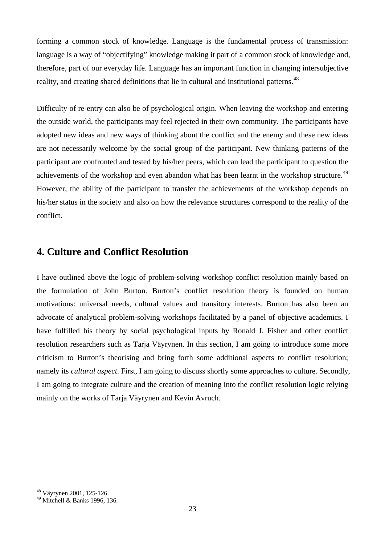forming a common stock of knowledge. Language is the fundamental process of transmission: language is a way of "objectifying" knowledge making it part of a common stock of knowledge and, therefore, part of our everyday life. Language has an important function in changing intersubjective reality, and creating shared definitions that lie in cultural and institutional patterns.<sup>[48](#page-25-1)</sup>

Difficulty of re-entry can also be of psychological origin. When leaving the workshop and entering the outside world, the participants may feel rejected in their own community. The participants have adopted new ideas and new ways of thinking about the conflict and the enemy and these new ideas are not necessarily welcome by the social group of the participant. New thinking patterns of the participant are confronted and tested by his/her peers, which can lead the participant to question the achievements of the workshop and even abandon what has been learnt in the workshop structure.<sup>[49](#page-25-2)</sup> However, the ability of the participant to transfer the achievements of the workshop depends on his/her status in the society and also on how the relevance structures correspond to the reality of the conflict.

## <span id="page-25-0"></span>**4. Culture and Conflict Resolution**

I have outlined above the logic of problem-solving workshop conflict resolution mainly based on the formulation of John Burton. Burton's conflict resolution theory is founded on human motivations: universal needs, cultural values and transitory interests. Burton has also been an advocate of analytical problem-solving workshops facilitated by a panel of objective academics. I have fulfilled his theory by social psychological inputs by Ronald J. Fisher and other conflict resolution researchers such as Tarja Väyrynen. In this section, I am going to introduce some more criticism to Burton's theorising and bring forth some additional aspects to conflict resolution; namely its *cultural aspect*. First, I am going to discuss shortly some approaches to culture. Secondly, I am going to integrate culture and the creation of meaning into the conflict resolution logic relying mainly on the works of Tarja Väyrynen and Kevin Avruch.

<span id="page-25-1"></span><sup>48</sup> Väyrynen 2001, 125-126.

<span id="page-25-2"></span><sup>49</sup> Mitchell & Banks 1996, 136.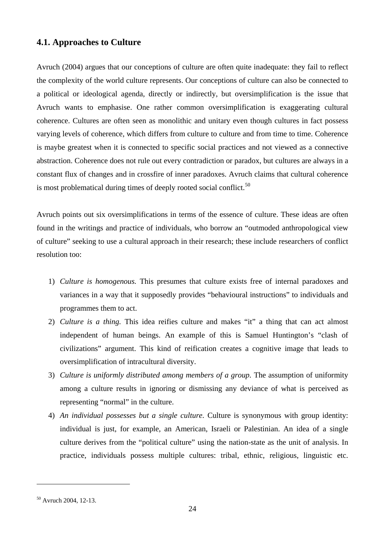### <span id="page-26-0"></span>**4.1. Approaches to Culture**

Avruch (2004) argues that our conceptions of culture are often quite inadequate: they fail to reflect the complexity of the world culture represents. Our conceptions of culture can also be connected to a political or ideological agenda, directly or indirectly, but oversimplification is the issue that Avruch wants to emphasise. One rather common oversimplification is exaggerating cultural coherence. Cultures are often seen as monolithic and unitary even though cultures in fact possess varying levels of coherence, which differs from culture to culture and from time to time. Coherence is maybe greatest when it is connected to specific social practices and not viewed as a connective abstraction. Coherence does not rule out every contradiction or paradox, but cultures are always in a constant flux of changes and in crossfire of inner paradoxes. Avruch claims that cultural coherence is most problematical during times of deeply rooted social conflict.<sup>[50](#page-26-1)</sup>

Avruch points out six oversimplifications in terms of the essence of culture. These ideas are often found in the writings and practice of individuals, who borrow an "outmoded anthropological view of culture" seeking to use a cultural approach in their research; these include researchers of conflict resolution too:

- 1) *Culture is homogenous.* This presumes that culture exists free of internal paradoxes and variances in a way that it supposedly provides "behavioural instructions" to individuals and programmes them to act.
- 2) *Culture is a thing.* This idea reifies culture and makes "it" a thing that can act almost independent of human beings. An example of this is Samuel Huntington's "clash of civilizations" argument. This kind of reification creates a cognitive image that leads to oversimplification of intracultural diversity.
- 3) *Culture is uniformly distributed among members of a group.* The assumption of uniformity among a culture results in ignoring or dismissing any deviance of what is perceived as representing "normal" in the culture.
- 4) *An individual possesses but a single culture.* Culture is synonymous with group identity: individual is just, for example, an American, Israeli or Palestinian. An idea of a single culture derives from the "political culture" using the nation-state as the unit of analysis. In practice, individuals possess multiple cultures: tribal, ethnic, religious, linguistic etc.

<span id="page-26-1"></span><sup>50</sup> Avruch 2004, 12-13.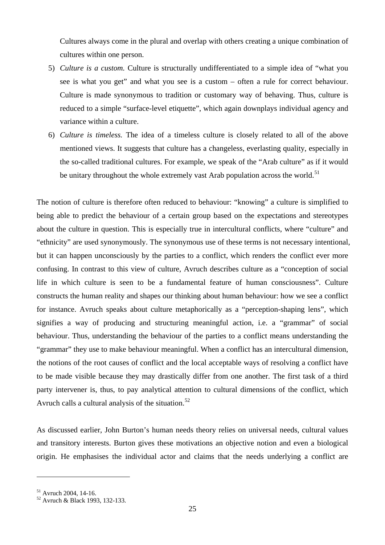Cultures always come in the plural and overlap with others creating a unique combination of cultures within one person.

- 5) *Culture is a custom.* Culture is structurally undifferentiated to a simple idea of "what you see is what you get" and what you see is a custom – often a rule for correct behaviour. Culture is made synonymous to tradition or customary way of behaving. Thus, culture is reduced to a simple "surface-level etiquette", which again downplays individual agency and variance within a culture.
- 6) *Culture is timeless.* The idea of a timeless culture is closely related to all of the above mentioned views. It suggests that culture has a changeless, everlasting quality, especially in the so-called traditional cultures. For example, we speak of the "Arab culture" as if it would be unitary throughout the whole extremely vast Arab population across the world.<sup>[51](#page-27-0)</sup>

The notion of culture is therefore often reduced to behaviour: "knowing" a culture is simplified to being able to predict the behaviour of a certain group based on the expectations and stereotypes about the culture in question. This is especially true in intercultural conflicts, where "culture" and "ethnicity" are used synonymously. The synonymous use of these terms is not necessary intentional, but it can happen unconsciously by the parties to a conflict, which renders the conflict ever more confusing. In contrast to this view of culture, Avruch describes culture as a "conception of social life in which culture is seen to be a fundamental feature of human consciousness". Culture constructs the human reality and shapes our thinking about human behaviour: how we see a conflict for instance. Avruch speaks about culture metaphorically as a "perception-shaping lens", which signifies a way of producing and structuring meaningful action, i.e. a "grammar" of social behaviour. Thus, understanding the behaviour of the parties to a conflict means understanding the "grammar" they use to make behaviour meaningful. When a conflict has an intercultural dimension, the notions of the root causes of conflict and the local acceptable ways of resolving a conflict have to be made visible because they may drastically differ from one another. The first task of a third party intervener is, thus, to pay analytical attention to cultural dimensions of the conflict, which Avruch calls a cultural analysis of the situation.<sup>[52](#page-27-1)</sup>

As discussed earlier, John Burton's human needs theory relies on universal needs, cultural values and transitory interests. Burton gives these motivations an objective notion and even a biological origin. He emphasises the individual actor and claims that the needs underlying a conflict are

<span id="page-27-1"></span><span id="page-27-0"></span> $^{51}$  Avruch 2004, 14-16.<br> $^{52}$  Avruch & Black 1993, 132-133.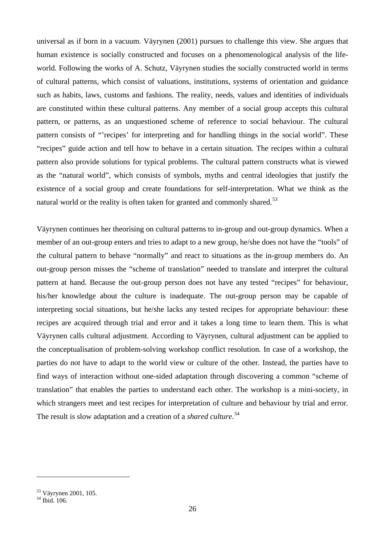universal as if born in a vacuum. Väyrynen (2001) pursues to challenge this view. She argues that human existence is socially constructed and focuses on a phenomenological analysis of the lifeworld. Following the works of A. Schutz, Väyrynen studies the socially constructed world in terms of cultural patterns, which consist of valuations, institutions, systems of orientation and guidance such as habits, laws, customs and fashions. The reality, needs, values and identities of individuals are constituted within these cultural patterns. Any member of a social group accepts this cultural pattern, or patterns, as an unquestioned scheme of reference to social behaviour. The cultural pattern consists of "'recipes' for interpreting and for handling things in the social world". These "recipes" guide action and tell how to behave in a certain situation. The recipes within a cultural pattern also provide solutions for typical problems. The cultural pattern constructs what is viewed as the "natural world", which consists of symbols, myths and central ideologies that justify the existence of a social group and create foundations for self-interpretation. What we think as the natural world or the reality is often taken for granted and commonly shared.<sup>[53](#page-28-0)</sup>

Väyrynen continues her theorising on cultural patterns to in-group and out-group dynamics. When a member of an out-group enters and tries to adapt to a new group, he/she does not have the "tools" of the cultural pattern to behave "normally" and react to situations as the in-group members do. An out-group person misses the "scheme of translation" needed to translate and interpret the cultural pattern at hand. Because the out-group person does not have any tested "recipes" for behaviour, his/her knowledge about the culture is inadequate. The out-group person may be capable of interpreting social situations, but he/she lacks any tested recipes for appropriate behaviour: these recipes are acquired through trial and error and it takes a long time to learn them. This is what Väyrynen calls cultural adjustment. According to Väyrynen, cultural adjustment can be applied to the conceptualisation of problem-solving workshop conflict resolution. In case of a workshop, the parties do not have to adapt to the world view or culture of the other. Instead, the parties have to find ways of interaction without one-sided adaptation through discovering a common "scheme of translation" that enables the parties to understand each other. The workshop is a mini-society, in which strangers meet and test recipes for interpretation of culture and behaviour by trial and error. The result is slow adaptation and a creation of a *shared culture*. [54](#page-28-1)

<span id="page-28-0"></span><sup>&</sup>lt;sup>53</sup> Väyrynen 2001, 105.<br><sup>54</sup> Ibid. 106.

<span id="page-28-1"></span>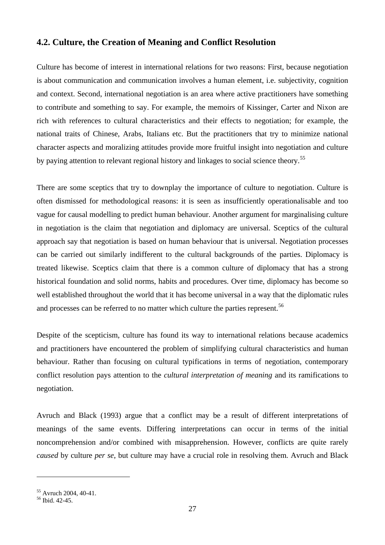### <span id="page-29-0"></span>**4.2. Culture, the Creation of Meaning and Conflict Resolution**

Culture has become of interest in international relations for two reasons: First, because negotiation is about communication and communication involves a human element, i.e. subjectivity, cognition and context. Second, international negotiation is an area where active practitioners have something to contribute and something to say. For example, the memoirs of Kissinger, Carter and Nixon are rich with references to cultural characteristics and their effects to negotiation; for example, the national traits of Chinese, Arabs, Italians etc. But the practitioners that try to minimize national character aspects and moralizing attitudes provide more fruitful insight into negotiation and culture by paying attention to relevant regional history and linkages to social science theory.<sup>[55](#page-29-1)</sup>

There are some sceptics that try to downplay the importance of culture to negotiation. Culture is often dismissed for methodological reasons: it is seen as insufficiently operationalisable and too vague for causal modelling to predict human behaviour. Another argument for marginalising culture in negotiation is the claim that negotiation and diplomacy are universal. Sceptics of the cultural approach say that negotiation is based on human behaviour that is universal. Negotiation processes can be carried out similarly indifferent to the cultural backgrounds of the parties. Diplomacy is treated likewise. Sceptics claim that there is a common culture of diplomacy that has a strong historical foundation and solid norms, habits and procedures. Over time, diplomacy has become so well established throughout the world that it has become universal in a way that the diplomatic rules and processes can be referred to no matter which culture the parties represent.<sup>[56](#page-29-2)</sup>

Despite of the scepticism, culture has found its way to international relations because academics and practitioners have encountered the problem of simplifying cultural characteristics and human behaviour. Rather than focusing on cultural typifications in terms of negotiation, contemporary conflict resolution pays attention to the *cultural interpretation of meaning* and its ramifications to negotiation.

Avruch and Black (1993) argue that a conflict may be a result of different interpretations of meanings of the same events. Differing interpretations can occur in terms of the initial noncomprehension and/or combined with misapprehension. However, conflicts are quite rarely *caused* by culture *per se*, but culture may have a crucial role in resolving them. Avruch and Black

<span id="page-29-1"></span> $\frac{55}{56}$  Avruch 2004, 40-41.<br> $\frac{56}{161}$  Hid. 42-45.

<span id="page-29-2"></span>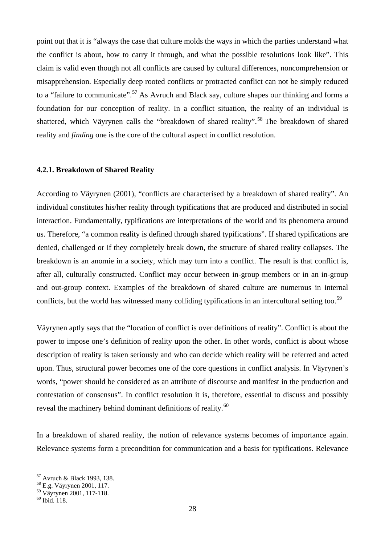point out that it is "always the case that culture molds the ways in which the parties understand what the conflict is about, how to carry it through, and what the possible resolutions look like". This claim is valid even though not all conflicts are caused by cultural differences, noncomprehension or misapprehension. Especially deep rooted conflicts or protracted conflict can not be simply reduced to a "failure to communicate".<sup>[57](#page-30-1)</sup> As Avruch and Black say, culture shapes our thinking and forms a foundation for our conception of reality. In a conflict situation, the reality of an individual is shattered, which Väyrynen calls the "breakdown of shared reality".<sup>[58](#page-30-2)</sup> The breakdown of shared reality and *finding* one is the core of the cultural aspect in conflict resolution.

#### <span id="page-30-0"></span>**4.2.1. Breakdown of Shared Reality**

According to Väyrynen (2001), "conflicts are characterised by a breakdown of shared reality". An individual constitutes his/her reality through typifications that are produced and distributed in social interaction. Fundamentally, typifications are interpretations of the world and its phenomena around us. Therefore, "a common reality is defined through shared typifications". If shared typifications are denied, challenged or if they completely break down, the structure of shared reality collapses. The breakdown is an anomie in a society, which may turn into a conflict. The result is that conflict is, after all, culturally constructed. Conflict may occur between in-group members or in an in-group and out-group context. Examples of the breakdown of shared culture are numerous in internal conflicts, but the world has witnessed many colliding typifications in an intercultural setting too.<sup>[59](#page-30-3)</sup>

Väyrynen aptly says that the "location of conflict is over definitions of reality". Conflict is about the power to impose one's definition of reality upon the other. In other words, conflict is about whose description of reality is taken seriously and who can decide which reality will be referred and acted upon. Thus, structural power becomes one of the core questions in conflict analysis. In Väyrynen's words, "power should be considered as an attribute of discourse and manifest in the production and contestation of consensus". In conflict resolution it is, therefore, essential to discuss and possibly reveal the machinery behind dominant definitions of reality.<sup>[60](#page-30-4)</sup>

In a breakdown of shared reality, the notion of relevance systems becomes of importance again. Relevance systems form a precondition for communication and a basis for typifications. Relevance

<span id="page-30-1"></span><sup>57</sup> Avruch & Black 1993, 138. <sup>58</sup> E.g. Väyrynen 2001, 117.

<span id="page-30-3"></span><span id="page-30-2"></span> $\frac{59}{60}$  Väyrynen 2001, 117-118.

<span id="page-30-4"></span>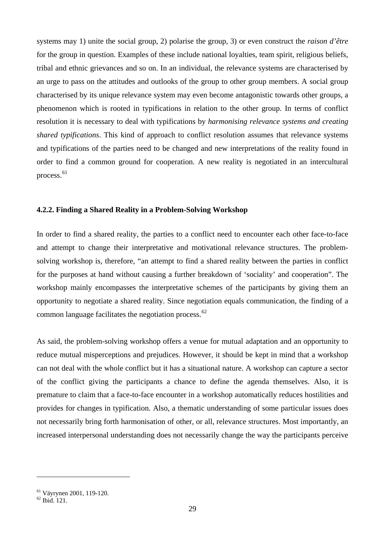systems may 1) unite the social group, 2) polarise the group, 3) or even construct the *raison d'être* for the group in question. Examples of these include national loyalties, team spirit, religious beliefs, tribal and ethnic grievances and so on. In an individual, the relevance systems are characterised by an urge to pass on the attitudes and outlooks of the group to other group members. A social group characterised by its unique relevance system may even become antagonistic towards other groups, a phenomenon which is rooted in typifications in relation to the other group. In terms of conflict resolution it is necessary to deal with typifications by *harmonising relevance systems and creating shared typifications*. This kind of approach to conflict resolution assumes that relevance systems and typifications of the parties need to be changed and new interpretations of the reality found in order to find a common ground for cooperation. A new reality is negotiated in an intercultural process.<sup>[61](#page-31-1)</sup>

#### <span id="page-31-0"></span>**4.2.2. Finding a Shared Reality in a Problem-Solving Workshop**

In order to find a shared reality, the parties to a conflict need to encounter each other face-to-face and attempt to change their interpretative and motivational relevance structures. The problemsolving workshop is, therefore, "an attempt to find a shared reality between the parties in conflict for the purposes at hand without causing a further breakdown of 'sociality' and cooperation". The workshop mainly encompasses the interpretative schemes of the participants by giving them an opportunity to negotiate a shared reality. Since negotiation equals communication, the finding of a common language facilitates the negotiation process.<sup>[62](#page-31-2)</sup>

As said, the problem-solving workshop offers a venue for mutual adaptation and an opportunity to reduce mutual misperceptions and prejudices. However, it should be kept in mind that a workshop can not deal with the whole conflict but it has a situational nature. A workshop can capture a sector of the conflict giving the participants a chance to define the agenda themselves. Also, it is premature to claim that a face-to-face encounter in a workshop automatically reduces hostilities and provides for changes in typification. Also, a thematic understanding of some particular issues does not necessarily bring forth harmonisation of other, or all, relevance structures. Most importantly, an increased interpersonal understanding does not necessarily change the way the participants perceive

<span id="page-31-1"></span><sup>&</sup>lt;sup>61</sup> Väyrynen 2001, 119-120.<br><sup>62</sup> Ibid. 121.

<span id="page-31-2"></span>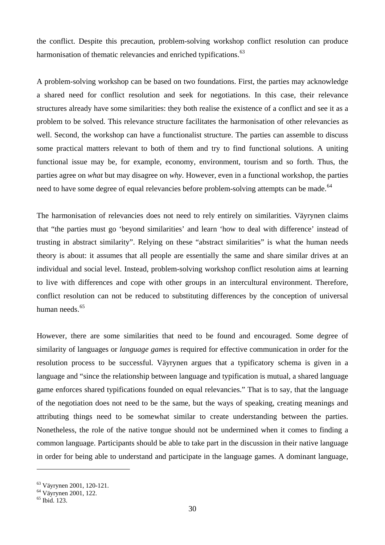the conflict. Despite this precaution, problem-solving workshop conflict resolution can produce harmonisation of thematic relevancies and enriched typifications.<sup>[63](#page-32-0)</sup>

A problem-solving workshop can be based on two foundations. First, the parties may acknowledge a shared need for conflict resolution and seek for negotiations. In this case, their relevance structures already have some similarities: they both realise the existence of a conflict and see it as a problem to be solved. This relevance structure facilitates the harmonisation of other relevancies as well. Second, the workshop can have a functionalist structure. The parties can assemble to discuss some practical matters relevant to both of them and try to find functional solutions. A uniting functional issue may be, for example, economy, environment, tourism and so forth. Thus, the parties agree on *what* but may disagree on *why*. However, even in a functional workshop, the parties need to have some degree of equal relevancies before problem-solving attempts can be made.<sup>[64](#page-32-1)</sup>

The harmonisation of relevancies does not need to rely entirely on similarities. Väyrynen claims that "the parties must go 'beyond similarities' and learn 'how to deal with difference' instead of trusting in abstract similarity". Relying on these "abstract similarities" is what the human needs theory is about: it assumes that all people are essentially the same and share similar drives at an individual and social level. Instead, problem-solving workshop conflict resolution aims at learning to live with differences and cope with other groups in an intercultural environment. Therefore, conflict resolution can not be reduced to substituting differences by the conception of universal human needs<sup>[65](#page-32-2)</sup>

However, there are some similarities that need to be found and encouraged. Some degree of similarity of languages or *language games* is required for effective communication in order for the resolution process to be successful. Väyrynen argues that a typificatory schema is given in a language and "since the relationship between language and typification is mutual, a shared language game enforces shared typifications founded on equal relevancies." That is to say, that the language of the negotiation does not need to be the same, but the ways of speaking, creating meanings and attributing things need to be somewhat similar to create understanding between the parties. Nonetheless, the role of the native tongue should not be undermined when it comes to finding a common language. Participants should be able to take part in the discussion in their native language in order for being able to understand and participate in the language games. A dominant language,

<span id="page-32-0"></span><sup>&</sup>lt;sup>63</sup> Väyrynen 2001, 120-121.<br><sup>64</sup> Väyrynen 2001, 122.<br><sup>65</sup> Ibid. 123.

<span id="page-32-1"></span>

<span id="page-32-2"></span>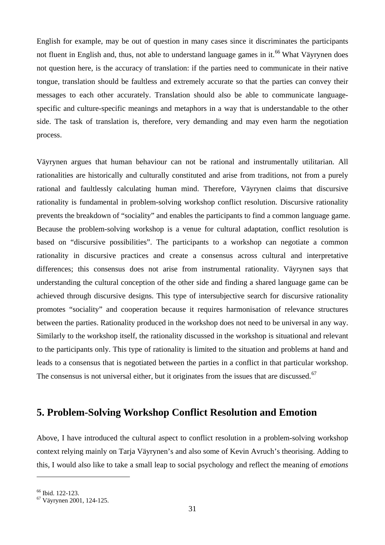English for example, may be out of question in many cases since it discriminates the participants not fluent in English and, thus, not able to understand language games in it.<sup>[66](#page-33-1)</sup> What Väyrynen does not question here, is the accuracy of translation: if the parties need to communicate in their native tongue, translation should be faultless and extremely accurate so that the parties can convey their messages to each other accurately. Translation should also be able to communicate languagespecific and culture-specific meanings and metaphors in a way that is understandable to the other side. The task of translation is, therefore, very demanding and may even harm the negotiation process.

Väyrynen argues that human behaviour can not be rational and instrumentally utilitarian. All rationalities are historically and culturally constituted and arise from traditions, not from a purely rational and faultlessly calculating human mind. Therefore, Väyrynen claims that discursive rationality is fundamental in problem-solving workshop conflict resolution. Discursive rationality prevents the breakdown of "sociality" and enables the participants to find a common language game. Because the problem-solving workshop is a venue for cultural adaptation, conflict resolution is based on "discursive possibilities". The participants to a workshop can negotiate a common rationality in discursive practices and create a consensus across cultural and interpretative differences; this consensus does not arise from instrumental rationality. Väyrynen says that understanding the cultural conception of the other side and finding a shared language game can be achieved through discursive designs. This type of intersubjective search for discursive rationality promotes "sociality" and cooperation because it requires harmonisation of relevance structures between the parties. Rationality produced in the workshop does not need to be universal in any way. Similarly to the workshop itself, the rationality discussed in the workshop is situational and relevant to the participants only. This type of rationality is limited to the situation and problems at hand and leads to a consensus that is negotiated between the parties in a conflict in that particular workshop. The consensus is not universal either, but it originates from the issues that are discussed.<sup>[67](#page-33-2)</sup>

## <span id="page-33-0"></span>**5. Problem-Solving Workshop Conflict Resolution and Emotion**

Above, I have introduced the cultural aspect to conflict resolution in a problem-solving workshop context relying mainly on Tarja Väyrynen's and also some of Kevin Avruch's theorising. Adding to this, I would also like to take a small leap to social psychology and reflect the meaning of *emotions*

<span id="page-33-2"></span><span id="page-33-1"></span> $<sup>66</sup>$  Ibid. 122-123.<br><sup>67</sup> Väyrynen 2001, 124-125.</sup>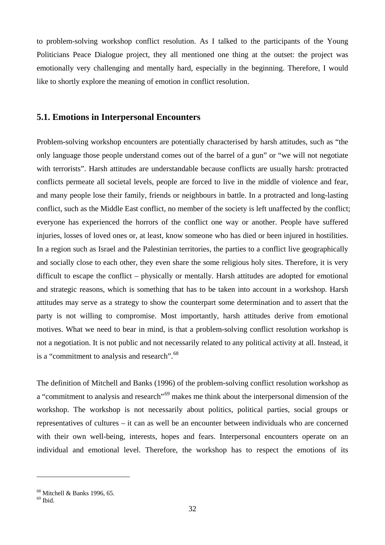to problem-solving workshop conflict resolution. As I talked to the participants of the Young Politicians Peace Dialogue project, they all mentioned one thing at the outset: the project was emotionally very challenging and mentally hard, especially in the beginning. Therefore, I would like to shortly explore the meaning of emotion in conflict resolution.

#### <span id="page-34-0"></span>**5.1. Emotions in Interpersonal Encounters**

Problem-solving workshop encounters are potentially characterised by harsh attitudes, such as "the only language those people understand comes out of the barrel of a gun" or "we will not negotiate with terrorists". Harsh attitudes are understandable because conflicts are usually harsh: protracted conflicts permeate all societal levels, people are forced to live in the middle of violence and fear, and many people lose their family, friends or neighbours in battle. In a protracted and long-lasting conflict, such as the Middle East conflict, no member of the society is left unaffected by the conflict; everyone has experienced the horrors of the conflict one way or another. People have suffered injuries, losses of loved ones or, at least, know someone who has died or been injured in hostilities. In a region such as Israel and the Palestinian territories, the parties to a conflict live geographically and socially close to each other, they even share the some religious holy sites. Therefore, it is very difficult to escape the conflict – physically or mentally. Harsh attitudes are adopted for emotional and strategic reasons, which is something that has to be taken into account in a workshop. Harsh attitudes may serve as a strategy to show the counterpart some determination and to assert that the party is not willing to compromise. Most importantly, harsh attitudes derive from emotional motives. What we need to bear in mind, is that a problem-solving conflict resolution workshop is not a negotiation. It is not public and not necessarily related to any political activity at all. Instead, it is a "commitment to analysis and research".<sup>[68](#page-34-1)</sup>

The definition of Mitchell and Banks (1996) of the problem-solving conflict resolution workshop as a "commitment to analysis and research"<sup>[69](#page-34-2)</sup> makes me think about the interpersonal dimension of the workshop. The workshop is not necessarily about politics, political parties, social groups or representatives of cultures – it can as well be an encounter between individuals who are concerned with their own well-being, interests, hopes and fears. Interpersonal encounters operate on an individual and emotional level. Therefore, the workshop has to respect the emotions of its

<span id="page-34-1"></span><sup>68</sup> Mitchell & Banks 1996, 65.

<span id="page-34-2"></span> $69$  Ibid.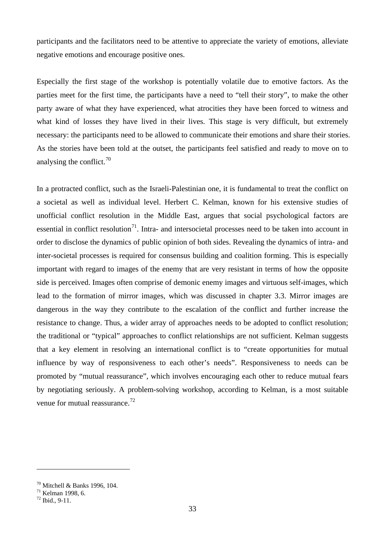participants and the facilitators need to be attentive to appreciate the variety of emotions, alleviate negative emotions and encourage positive ones.

Especially the first stage of the workshop is potentially volatile due to emotive factors. As the parties meet for the first time, the participants have a need to "tell their story", to make the other party aware of what they have experienced, what atrocities they have been forced to witness and what kind of losses they have lived in their lives. This stage is very difficult, but extremely necessary: the participants need to be allowed to communicate their emotions and share their stories. As the stories have been told at the outset, the participants feel satisfied and ready to move on to analysing the conflict. $70$ 

In a protracted conflict, such as the Israeli-Palestinian one, it is fundamental to treat the conflict on a societal as well as individual level. Herbert C. Kelman, known for his extensive studies of unofficial conflict resolution in the Middle East, argues that social psychological factors are essential in conflict resolution<sup>71</sup>. Intra- and intersocietal processes need to be taken into account in order to disclose the dynamics of public opinion of both sides. Revealing the dynamics of intra- and inter-societal processes is required for consensus building and coalition forming. This is especially important with regard to images of the enemy that are very resistant in terms of how the opposite side is perceived. Images often comprise of demonic enemy images and virtuous self-images, which lead to the formation of mirror images, which was discussed in chapter 3.3. Mirror images are dangerous in the way they contribute to the escalation of the conflict and further increase the resistance to change. Thus, a wider array of approaches needs to be adopted to conflict resolution; the traditional or "typical" approaches to conflict relationships are not sufficient. Kelman suggests that a key element in resolving an international conflict is to "create opportunities for mutual influence by way of responsiveness to each other's needs". Responsiveness to needs can be promoted by "mutual reassurance", which involves encouraging each other to reduce mutual fears by negotiating seriously. A problem-solving workshop, according to Kelman, is a most suitable venue for mutual reassurance.<sup>[72](#page-35-2)</sup>

<span id="page-35-1"></span><span id="page-35-0"></span><sup>&</sup>lt;sup>70</sup> Mitchell & Banks 1996, 104.<br><sup>71</sup> Kelman 1998, 6.<br><sup>72</sup> Ibid., 9-11.

<span id="page-35-2"></span>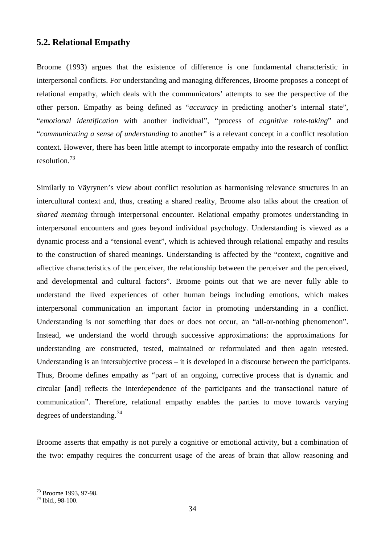### **5.2. Relational Empathy**

Broome (1993) argues that the existence of difference is one fundamental characteristic in interpersonal conflicts. For understanding and managing differences, Broome proposes a concept of relational empathy, which deals with the communicators' attempts to see the perspective of the other person. Empathy as being defined as "*accuracy* in predicting another's internal state", "*emotional identification* with another individual", "process of *cognitive role-taking*" and "*communicating a sense of understanding* to another" is a relevant concept in a conflict resolution context. However, there has been little attempt to incorporate empathy into the research of conflict resolution.[73](#page-36-0)

Similarly to Väyrynen's view about conflict resolution as harmonising relevance structures in an intercultural context and, thus, creating a shared reality, Broome also talks about the creation of *shared meaning* through interpersonal encounter. Relational empathy promotes understanding in interpersonal encounters and goes beyond individual psychology. Understanding is viewed as a dynamic process and a "tensional event", which is achieved through relational empathy and results to the construction of shared meanings. Understanding is affected by the "context, cognitive and affective characteristics of the perceiver, the relationship between the perceiver and the perceived, and developmental and cultural factors". Broome points out that we are never fully able to understand the lived experiences of other human beings including emotions, which makes interpersonal communication an important factor in promoting understanding in a conflict. Understanding is not something that does or does not occur, an "all-or-nothing phenomenon". Instead, we understand the world through successive approximations: the approximations for understanding are constructed, tested, maintained or reformulated and then again retested. Understanding is an intersubjective process – it is developed in a discourse between the participants. Thus, Broome defines empathy as "part of an ongoing, corrective process that is dynamic and circular [and] reflects the interdependence of the participants and the transactional nature of communication". Therefore, relational empathy enables the parties to move towards varying degrees of understanding.<sup>[74](#page-36-1)</sup>

Broome asserts that empathy is not purely a cognitive or emotional activity, but a combination of the two: empathy requires the concurrent usage of the areas of brain that allow reasoning and

<span id="page-36-0"></span><sup>&</sup>lt;sup>73</sup> Broome 1993, 97-98.<br><sup>74</sup> Ibid., 98-100.

<span id="page-36-1"></span>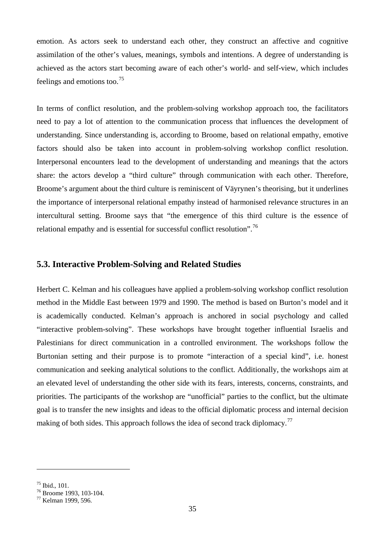emotion. As actors seek to understand each other, they construct an affective and cognitive assimilation of the other's values, meanings, symbols and intentions. A degree of understanding is achieved as the actors start becoming aware of each other's world- and self-view, which includes feelings and emotions too.[75](#page-37-0)

In terms of conflict resolution, and the problem-solving workshop approach too, the facilitators need to pay a lot of attention to the communication process that influences the development of understanding. Since understanding is, according to Broome, based on relational empathy, emotive factors should also be taken into account in problem-solving workshop conflict resolution. Interpersonal encounters lead to the development of understanding and meanings that the actors share: the actors develop a "third culture" through communication with each other. Therefore, Broome's argument about the third culture is reminiscent of Väyrynen's theorising, but it underlines the importance of interpersonal relational empathy instead of harmonised relevance structures in an intercultural setting. Broome says that "the emergence of this third culture is the essence of relational empathy and is essential for successful conflict resolution".<sup>[76](#page-37-1)</sup>

### **5.3. Interactive Problem-Solving and Related Studies**

Herbert C. Kelman and his colleagues have applied a problem-solving workshop conflict resolution method in the Middle East between 1979 and 1990. The method is based on Burton's model and it is academically conducted. Kelman's approach is anchored in social psychology and called "interactive problem-solving". These workshops have brought together influential Israelis and Palestinians for direct communication in a controlled environment. The workshops follow the Burtonian setting and their purpose is to promote "interaction of a special kind", i.e. honest communication and seeking analytical solutions to the conflict. Additionally, the workshops aim at an elevated level of understanding the other side with its fears, interests, concerns, constraints, and priorities. The participants of the workshop are "unofficial" parties to the conflict, but the ultimate goal is to transfer the new insights and ideas to the official diplomatic process and internal decision making of both sides. This approach follows the idea of second track diplomacy.<sup>[77](#page-37-2)</sup>

<span id="page-37-1"></span><span id="page-37-0"></span><sup>&</sup>lt;sup>75</sup> Ibid., 101.<br><sup>76</sup> Broome 1993, 103-104.<br><sup>77</sup> Kelman 1999, 596.

<span id="page-37-2"></span>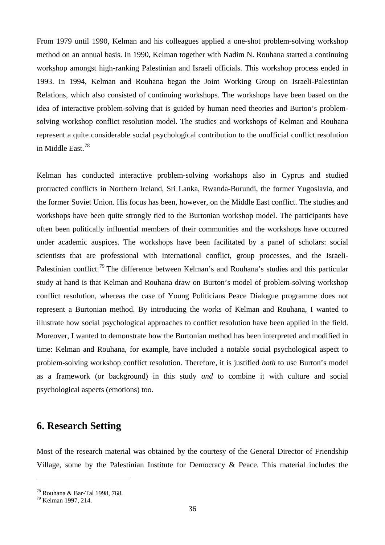From 1979 until 1990, Kelman and his colleagues applied a one-shot problem-solving workshop method on an annual basis. In 1990, Kelman together with Nadim N. Rouhana started a continuing workshop amongst high-ranking Palestinian and Israeli officials. This workshop process ended in 1993. In 1994, Kelman and Rouhana began the Joint Working Group on Israeli-Palestinian Relations, which also consisted of continuing workshops. The workshops have been based on the idea of interactive problem-solving that is guided by human need theories and Burton's problemsolving workshop conflict resolution model. The studies and workshops of Kelman and Rouhana represent a quite considerable social psychological contribution to the unofficial conflict resolution in Middle East.[78](#page-38-0)

Kelman has conducted interactive problem-solving workshops also in Cyprus and studied protracted conflicts in Northern Ireland, Sri Lanka, Rwanda-Burundi, the former Yugoslavia, and the former Soviet Union. His focus has been, however, on the Middle East conflict. The studies and workshops have been quite strongly tied to the Burtonian workshop model. The participants have often been politically influential members of their communities and the workshops have occurred under academic auspices. The workshops have been facilitated by a panel of scholars: social scientists that are professional with international conflict, group processes, and the Israeli-Palestinian conflict.<sup>[79](#page-38-1)</sup> The difference between Kelman's and Rouhana's studies and this particular study at hand is that Kelman and Rouhana draw on Burton's model of problem-solving workshop conflict resolution, whereas the case of Young Politicians Peace Dialogue programme does not represent a Burtonian method. By introducing the works of Kelman and Rouhana, I wanted to illustrate how social psychological approaches to conflict resolution have been applied in the field. Moreover, I wanted to demonstrate how the Burtonian method has been interpreted and modified in time: Kelman and Rouhana, for example, have included a notable social psychological aspect to problem-solving workshop conflict resolution. Therefore, it is justified *both* to use Burton's model as a framework (or background) in this study *and* to combine it with culture and social psychological aspects (emotions) too.

# **6. Research Setting**

Most of the research material was obtained by the courtesy of the General Director of Friendship Village, some by the Palestinian Institute for Democracy & Peace. This material includes the

<span id="page-38-0"></span> $78 \text{ Rouhana}$  & Bar-Tal 1998, 768.<br> $79 \text{ Kelman}$  1997, 214.

<span id="page-38-1"></span>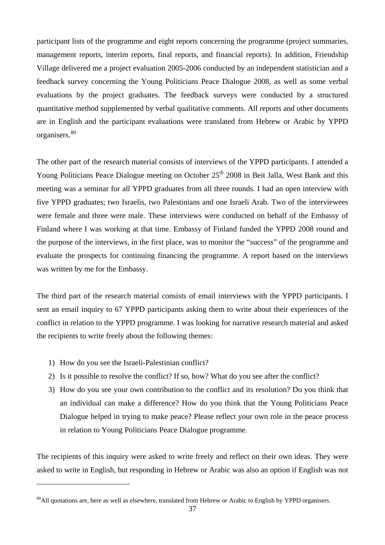participant lists of the programme and eight reports concerning the programme (project summaries, management reports, interim reports, final reports, and financial reports). In addition, Friendship Village delivered me a project evaluation 2005-2006 conducted by an independent statistician and a feedback survey concerning the Young Politicians Peace Dialogue 2008, as well as some verbal evaluations by the project graduates. The feedback surveys were conducted by a structured quantitative method supplemented by verbal qualitative comments. All reports and other documents are in English and the participant evaluations were translated from Hebrew or Arabic by YPPD organisers.<sup>[80](#page-39-0)</sup>

The other part of the research material consists of interviews of the YPPD participants. I attended a Young Politicians Peace Dialogue meeting on October 25<sup>th</sup> 2008 in Beit Jalla, West Bank and this meeting was a seminar for all YPPD graduates from all three rounds. I had an open interview with five YPPD graduates; two Israelis, two Palestinians and one Israeli Arab. Two of the interviewees were female and three were male. These interviews were conducted on behalf of the Embassy of Finland where I was working at that time. Embassy of Finland funded the YPPD 2008 round and the purpose of the interviews, in the first place, was to monitor the "success" of the programme and evaluate the prospects for continuing financing the programme. A report based on the interviews was written by me for the Embassy.

The third part of the research material consists of email interviews with the YPPD participants. I sent an email inquiry to 67 YPPD participants asking them to write about their experiences of the conflict in relation to the YPPD programme. I was looking for narrative research material and asked the recipients to write freely about the following themes:

1) How do you see the Israeli-Palestinian conflict?

 $\overline{a}$ 

- 2) Is it possible to resolve the conflict? If so, how? What do you see after the conflict?
- 3) How do you see your own contribution to the conflict and its resolution? Do you think that an individual can make a difference? How do you think that the Young Politicians Peace Dialogue helped in trying to make peace? Please reflect your own role in the peace process in relation to Young Politicians Peace Dialogue programme.

The recipients of this inquiry were asked to write freely and reflect on their own ideas. They were asked to write in English, but responding in Hebrew or Arabic was also an option if English was not

<span id="page-39-0"></span> $^{80}$ All quotations are, here as well as elsewhere, translated from Hebrew or Arabic to English by YPPD organisers.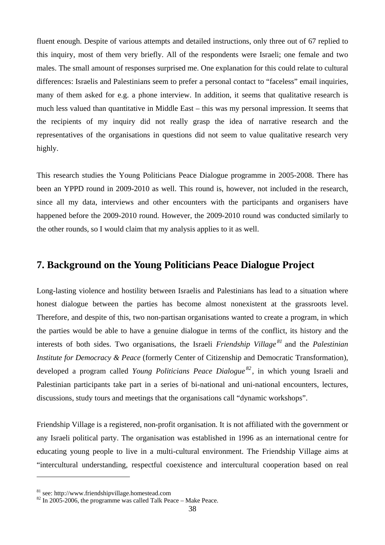fluent enough. Despite of various attempts and detailed instructions, only three out of 67 replied to this inquiry, most of them very briefly. All of the respondents were Israeli; one female and two males. The small amount of responses surprised me. One explanation for this could relate to cultural differences: Israelis and Palestinians seem to prefer a personal contact to "faceless" email inquiries, many of them asked for e.g. a phone interview. In addition, it seems that qualitative research is much less valued than quantitative in Middle East – this was my personal impression. It seems that the recipients of my inquiry did not really grasp the idea of narrative research and the representatives of the organisations in questions did not seem to value qualitative research very highly.

This research studies the Young Politicians Peace Dialogue programme in 2005-2008. There has been an YPPD round in 2009-2010 as well. This round is, however, not included in the research, since all my data, interviews and other encounters with the participants and organisers have happened before the 2009-2010 round. However, the 2009-2010 round was conducted similarly to the other rounds, so I would claim that my analysis applies to it as well.

## **7. Background on the Young Politicians Peace Dialogue Project**

Long-lasting violence and hostility between Israelis and Palestinians has lead to a situation where honest dialogue between the parties has become almost nonexistent at the grassroots level. Therefore, and despite of this, two non-partisan organisations wanted to create a program, in which the parties would be able to have a genuine dialogue in terms of the conflict, its history and the interests of both sides. Two organisations, the Israeli *Friendship Village [81](#page-40-0)* and the *Palestinian Institute for Democracy & Peace* (formerly Center of Citizenship and Democratic Transformation), developed a program called *Young Politicians Peace Dialogue [82](#page-40-1) ,* in which young Israeli and Palestinian participants take part in a series of bi-national and uni-national encounters, lectures, discussions, study tours and meetings that the organisations call "dynamic workshops".

Friendship Village is a registered, non-profit organisation. It is not affiliated with the government or any Israeli political party. The organisation was established in 1996 as an international centre for educating young people to live in a multi-cultural environment. The Friendship Village aims at "intercultural understanding, respectful coexistence and intercultural cooperation based on real

<span id="page-40-1"></span>

<span id="page-40-0"></span><sup>&</sup>lt;sup>81</sup> see: http://www.friendshipvillage.homestead.com  $82$  In 2005-2006, the programme was called Talk Peace – Make Peace.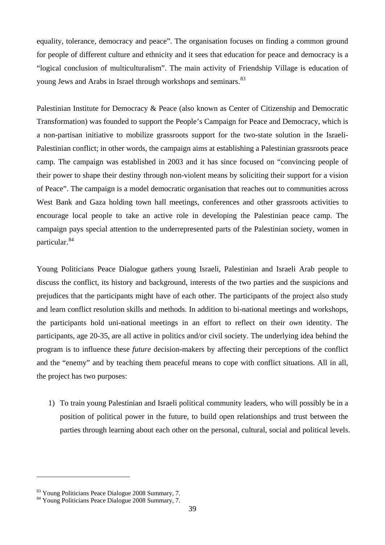equality, tolerance, democracy and peace". The organisation focuses on finding a common ground for people of different culture and ethnicity and it sees that education for peace and democracy is a "logical conclusion of multiculturalism". The main activity of Friendship Village is education of young Jews and Arabs in Israel through workshops and seminars.<sup>[83](#page-41-0)</sup>

Palestinian Institute for Democracy & Peace (also known as Center of Citizenship and Democratic Transformation) was founded to support the People's Campaign for Peace and Democracy, which is a non-partisan initiative to mobilize grassroots support for the two-state solution in the Israeli-Palestinian conflict; in other words, the campaign aims at establishing a Palestinian grassroots peace camp. The campaign was established in 2003 and it has since focused on "convincing people of their power to shape their destiny through non-violent means by soliciting their support for a vision of Peace". The campaign is a model democratic organisation that reaches out to communities across West Bank and Gaza holding town hall meetings, conferences and other grassroots activities to encourage local people to take an active role in developing the Palestinian peace camp. The campaign pays special attention to the underrepresented parts of the Palestinian society, women in particular.<sup>[84](#page-41-1)</sup>

Young Politicians Peace Dialogue gathers young Israeli, Palestinian and Israeli Arab people to discuss the conflict, its history and background, interests of the two parties and the suspicions and prejudices that the participants might have of each other. The participants of the project also study and learn conflict resolution skills and methods. In addition to bi-national meetings and workshops, the participants hold uni-national meetings in an effort to reflect on their *own* identity. The participants, age 20-35, are all active in politics and/or civil society. The underlying idea behind the program is to influence these *future* decision-makers by affecting their perceptions of the conflict and the "enemy" and by teaching them peaceful means to cope with conflict situations. All in all, the project has two purposes:

1) To train young Palestinian and Israeli political community leaders, who will possibly be in a position of political power in the future, to build open relationships and trust between the parties through learning about each other on the personal, cultural, social and political levels.

<span id="page-41-0"></span><sup>&</sup>lt;sup>83</sup> Young Politicians Peace Dialogue 2008 Summary, 7.<br><sup>84</sup> Young Politicians Peace Dialogue 2008 Summary, 7.

<span id="page-41-1"></span>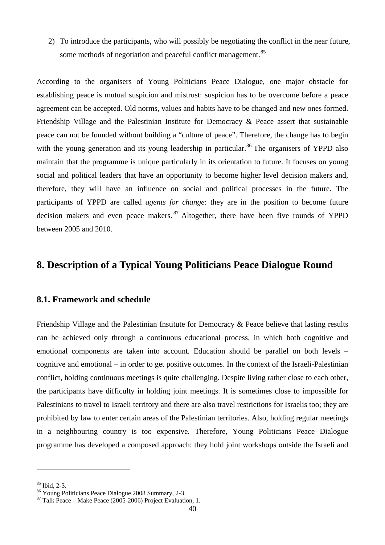2) To introduce the participants, who will possibly be negotiating the conflict in the near future, some methods of negotiation and peaceful conflict management.<sup>[85](#page-42-0)</sup>

According to the organisers of Young Politicians Peace Dialogue, one major obstacle for establishing peace is mutual suspicion and mistrust: suspicion has to be overcome before a peace agreement can be accepted. Old norms, values and habits have to be changed and new ones formed. Friendship Village and the Palestinian Institute for Democracy & Peace assert that sustainable peace can not be founded without building a "culture of peace". Therefore, the change has to begin with the young generation and its young leadership in particular.<sup>[86](#page-42-1)</sup> The organisers of YPPD also maintain that the programme is unique particularly in its orientation to future. It focuses on young social and political leaders that have an opportunity to become higher level decision makers and, therefore, they will have an influence on social and political processes in the future. The participants of YPPD are called *agents for change*: they are in the position to become future decision makers and even peace makers.  $87$  Altogether, there have been five rounds of YPPD between 2005 and 2010.

# **8. Description of a Typical Young Politicians Peace Dialogue Round**

## **8.1. Framework and schedule**

Friendship Village and the Palestinian Institute for Democracy & Peace believe that lasting results can be achieved only through a continuous educational process, in which both cognitive and emotional components are taken into account. Education should be parallel on both levels – cognitive and emotional – in order to get positive outcomes. In the context of the Israeli-Palestinian conflict, holding continuous meetings is quite challenging. Despite living rather close to each other, the participants have difficulty in holding joint meetings. It is sometimes close to impossible for Palestinians to travel to Israeli territory and there are also travel restrictions for Israelis too; they are prohibited by law to enter certain areas of the Palestinian territories. Also, holding regular meetings in a neighbouring country is too expensive. Therefore, Young Politicians Peace Dialogue programme has developed a composed approach: they hold joint workshops outside the Israeli and

<span id="page-42-1"></span><span id="page-42-0"></span><sup>&</sup>lt;sup>85</sup> Ibid, 2-3.<br><sup>86</sup> Young Politicians Peace Dialogue 2008 Summary, 2-3.<br><sup>87</sup> Talk Peace – Make Peace (2005-2006) Project Evaluation, 1.

<span id="page-42-2"></span>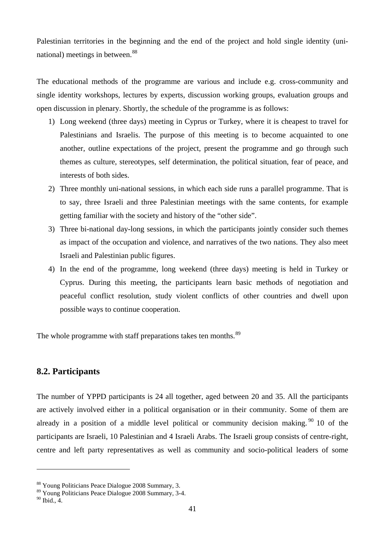Palestinian territories in the beginning and the end of the project and hold single identity (uni-national) meetings in between.<sup>[88](#page-43-0)</sup>

The educational methods of the programme are various and include e.g. cross-community and single identity workshops, lectures by experts, discussion working groups, evaluation groups and open discussion in plenary. Shortly, the schedule of the programme is as follows:

- 1) Long weekend (three days) meeting in Cyprus or Turkey, where it is cheapest to travel for Palestinians and Israelis. The purpose of this meeting is to become acquainted to one another, outline expectations of the project, present the programme and go through such themes as culture, stereotypes, self determination, the political situation, fear of peace, and interests of both sides.
- 2) Three monthly uni-national sessions, in which each side runs a parallel programme. That is to say, three Israeli and three Palestinian meetings with the same contents, for example getting familiar with the society and history of the "other side".
- 3) Three bi-national day-long sessions, in which the participants jointly consider such themes as impact of the occupation and violence, and narratives of the two nations. They also meet Israeli and Palestinian public figures.
- 4) In the end of the programme, long weekend (three days) meeting is held in Turkey or Cyprus. During this meeting, the participants learn basic methods of negotiation and peaceful conflict resolution, study violent conflicts of other countries and dwell upon possible ways to continue cooperation.

The whole programme with staff preparations takes ten months.<sup>[89](#page-43-1)</sup>

## **8.2. Participants**

The number of YPPD participants is 24 all together, aged between 20 and 35. All the participants are actively involved either in a political organisation or in their community. Some of them are already in a position of a middle level political or community decision making.  $90$  10 of the participants are Israeli, 10 Palestinian and 4 Israeli Arabs. The Israeli group consists of centre-right, centre and left party representatives as well as community and socio-political leaders of some

<span id="page-43-0"></span><sup>88</sup> Young Politicians Peace Dialogue 2008 Summary, 3.

<span id="page-43-1"></span><sup>89</sup> Young Politicians Peace Dialogue 2008 Summary, 3-4.

<span id="page-43-2"></span> $90$  Ibid., 4.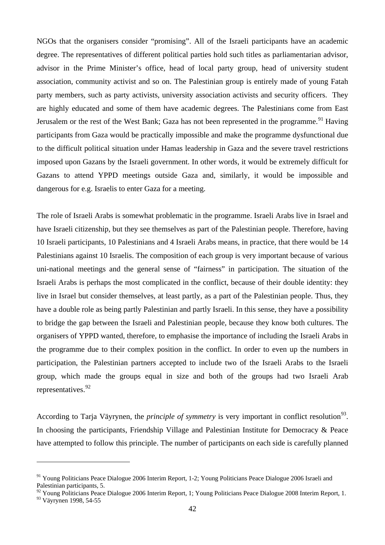NGOs that the organisers consider "promising". All of the Israeli participants have an academic degree. The representatives of different political parties hold such titles as parliamentarian advisor, advisor in the Prime Minister's office, head of local party group, head of university student association, community activist and so on. The Palestinian group is entirely made of young Fatah party members, such as party activists, university association activists and security officers. They are highly educated and some of them have academic degrees. The Palestinians come from East Jerusalem or the rest of the West Bank; Gaza has not been represented in the programme.<sup>[91](#page-44-0)</sup> Having participants from Gaza would be practically impossible and make the programme dysfunctional due to the difficult political situation under Hamas leadership in Gaza and the severe travel restrictions imposed upon Gazans by the Israeli government. In other words, it would be extremely difficult for Gazans to attend YPPD meetings outside Gaza and, similarly, it would be impossible and dangerous for e.g. Israelis to enter Gaza for a meeting.

The role of Israeli Arabs is somewhat problematic in the programme. Israeli Arabs live in Israel and have Israeli citizenship, but they see themselves as part of the Palestinian people. Therefore, having 10 Israeli participants, 10 Palestinians and 4 Israeli Arabs means, in practice, that there would be 14 Palestinians against 10 Israelis. The composition of each group is very important because of various uni-national meetings and the general sense of "fairness" in participation. The situation of the Israeli Arabs is perhaps the most complicated in the conflict, because of their double identity: they live in Israel but consider themselves, at least partly, as a part of the Palestinian people. Thus, they have a double role as being partly Palestinian and partly Israeli. In this sense, they have a possibility to bridge the gap between the Israeli and Palestinian people, because they know both cultures. The organisers of YPPD wanted, therefore, to emphasise the importance of including the Israeli Arabs in the programme due to their complex position in the conflict. In order to even up the numbers in participation, the Palestinian partners accepted to include two of the Israeli Arabs to the Israeli group, which made the groups equal in size and both of the groups had two Israeli Arab representatives.<sup>[92](#page-44-1)</sup>

According to Tarja Väyrynen, the *principle of symmetry* is very important in conflict resolution<sup>[93](#page-44-2)</sup>. In choosing the participants, Friendship Village and Palestinian Institute for Democracy & Peace have attempted to follow this principle. The number of participants on each side is carefully planned

<span id="page-44-0"></span><sup>&</sup>lt;sup>91</sup> Young Politicians Peace Dialogue 2006 Interim Report, 1-2; Young Politicians Peace Dialogue 2006 Israeli and Palestinian participants, 5.

<span id="page-44-1"></span><sup>&</sup>lt;sup>92</sup> Young Politicians Peace Dialogue 2006 Interim Report, 1; Young Politicians Peace Dialogue 2008 Interim Report, 1.

<span id="page-44-2"></span><sup>&</sup>lt;sup>93</sup> Väyrynen 1998, 54-55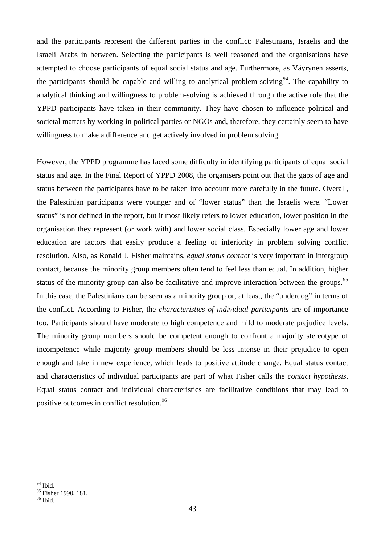and the participants represent the different parties in the conflict: Palestinians, Israelis and the Israeli Arabs in between. Selecting the participants is well reasoned and the organisations have attempted to choose participants of equal social status and age. Furthermore, as Väyrynen asserts, the participants should be capable and willing to analytical problem-solving<sup>94</sup>. The capability to analytical thinking and willingness to problem-solving is achieved through the active role that the YPPD participants have taken in their community. They have chosen to influence political and societal matters by working in political parties or NGOs and, therefore, they certainly seem to have willingness to make a difference and get actively involved in problem solving.

However, the YPPD programme has faced some difficulty in identifying participants of equal social status and age. In the Final Report of YPPD 2008, the organisers point out that the gaps of age and status between the participants have to be taken into account more carefully in the future. Overall, the Palestinian participants were younger and of "lower status" than the Israelis were. "Lower status" is not defined in the report, but it most likely refers to lower education, lower position in the organisation they represent (or work with) and lower social class. Especially lower age and lower education are factors that easily produce a feeling of inferiority in problem solving conflict resolution. Also, as Ronald J. Fisher maintains, *equal status contact* is very important in intergroup contact, because the minority group members often tend to feel less than equal. In addition, higher status of the minority group can also be facilitative and improve interaction between the groups.<sup>[95](#page-45-1)</sup> In this case, the Palestinians can be seen as a minority group or, at least, the "underdog" in terms of the conflict. According to Fisher, the *characteristics of individual participants* are of importance too. Participants should have moderate to high competence and mild to moderate prejudice levels. The minority group members should be competent enough to confront a majority stereotype of incompetence while majority group members should be less intense in their prejudice to open enough and take in new experience, which leads to positive attitude change. Equal status contact and characteristics of individual participants are part of what Fisher calls the *contact hypothesis*. Equal status contact and individual characteristics are facilitative conditions that may lead to positive outcomes in conflict resolution.[96](#page-45-2)

<span id="page-45-0"></span><sup>&</sup>lt;sup>94</sup> Ibid.

<span id="page-45-1"></span><sup>&</sup>lt;sup>95</sup> Fisher 1990, 181.<br><sup>96</sup> Ibid.

<span id="page-45-2"></span>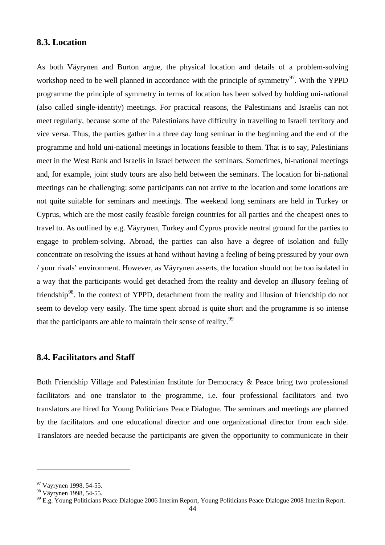### **8.3. Location**

As both Väyrynen and Burton argue, the physical location and details of a problem-solving workshop need to be well planned in accordance with the principle of symmetry<sup>97</sup>. With the YPPD programme the principle of symmetry in terms of location has been solved by holding uni-national (also called single-identity) meetings. For practical reasons, the Palestinians and Israelis can not meet regularly, because some of the Palestinians have difficulty in travelling to Israeli territory and vice versa. Thus, the parties gather in a three day long seminar in the beginning and the end of the programme and hold uni-national meetings in locations feasible to them. That is to say, Palestinians meet in the West Bank and Israelis in Israel between the seminars. Sometimes, bi-national meetings and, for example, joint study tours are also held between the seminars. The location for bi-national meetings can be challenging: some participants can not arrive to the location and some locations are not quite suitable for seminars and meetings. The weekend long seminars are held in Turkey or Cyprus, which are the most easily feasible foreign countries for all parties and the cheapest ones to travel to. As outlined by e.g. Väyrynen, Turkey and Cyprus provide neutral ground for the parties to engage to problem-solving. Abroad, the parties can also have a degree of isolation and fully concentrate on resolving the issues at hand without having a feeling of being pressured by your own / your rivals' environment. However, as Väyrynen asserts, the location should not be too isolated in a way that the participants would get detached from the reality and develop an illusory feeling of friendship<sup>98</sup>. In the context of YPPD, detachment from the reality and illusion of friendship do not seem to develop very easily. The time spent abroad is quite short and the programme is so intense that the participants are able to maintain their sense of reality.<sup>[99](#page-46-2)</sup>

### **8.4. Facilitators and Staff**

Both Friendship Village and Palestinian Institute for Democracy & Peace bring two professional facilitators and one translator to the programme, i.e. four professional facilitators and two translators are hired for Young Politicians Peace Dialogue. The seminars and meetings are planned by the facilitators and one educational director and one organizational director from each side. Translators are needed because the participants are given the opportunity to communicate in their

<span id="page-46-0"></span><sup>&</sup>lt;sup>97</sup> Väyrynen 1998, 54-55.<br><sup>98</sup> Väyrynen 1998, 54-55.

<span id="page-46-1"></span>

<span id="page-46-2"></span> $^{99}$  E.g. Young Politicians Peace Dialogue 2006 Interim Report, Young Politicians Peace Dialogue 2008 Interim Report.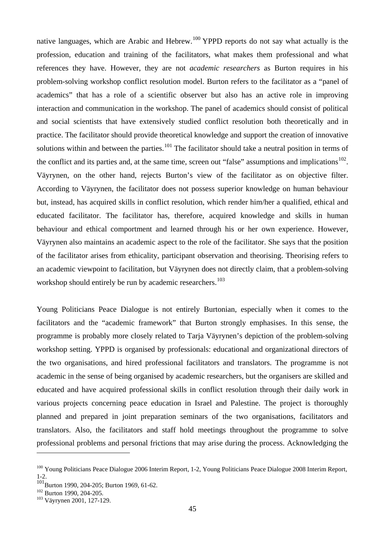native languages, which are Arabic and Hebrew.<sup>[100](#page-47-0)</sup> YPPD reports do not say what actually is the profession, education and training of the facilitators, what makes them professional and what references they have. However, they are not *academic researchers* as Burton requires in his problem-solving workshop conflict resolution model. Burton refers to the facilitator as a "panel of academics" that has a role of a scientific observer but also has an active role in improving interaction and communication in the workshop. The panel of academics should consist of political and social scientists that have extensively studied conflict resolution both theoretically and in practice. The facilitator should provide theoretical knowledge and support the creation of innovative solutions within and between the parties.<sup>[101](#page-47-1)</sup> The facilitator should take a neutral position in terms of the conflict and its parties and, at the same time, screen out "false" assumptions and implications<sup>102</sup>. Väyrynen, on the other hand, rejects Burton's view of the facilitator as on objective filter. According to Väyrynen, the facilitator does not possess superior knowledge on human behaviour but, instead, has acquired skills in conflict resolution, which render him/her a qualified, ethical and educated facilitator. The facilitator has, therefore, acquired knowledge and skills in human behaviour and ethical comportment and learned through his or her own experience. However, Väyrynen also maintains an academic aspect to the role of the facilitator. She says that the position of the facilitator arises from ethicality, participant observation and theorising. Theorising refers to an academic viewpoint to facilitation, but Väyrynen does not directly claim, that a problem-solving workshop should entirely be run by academic researchers.<sup>[103](#page-47-3)</sup>

Young Politicians Peace Dialogue is not entirely Burtonian, especially when it comes to the facilitators and the "academic framework" that Burton strongly emphasises. In this sense, the programme is probably more closely related to Tarja Väyrynen's depiction of the problem-solving workshop setting. YPPD is organised by professionals: educational and organizational directors of the two organisations, and hired professional facilitators and translators. The programme is not academic in the sense of being organised by academic researchers, but the organisers are skilled and educated and have acquired professional skills in conflict resolution through their daily work in various projects concerning peace education in Israel and Palestine. The project is thoroughly planned and prepared in joint preparation seminars of the two organisations, facilitators and translators. Also, the facilitators and staff hold meetings throughout the programme to solve professional problems and personal frictions that may arise during the process. Acknowledging the

<span id="page-47-0"></span><sup>&</sup>lt;sup>100</sup> Young Politicians Peace Dialogue 2006 Interim Report, 1-2, Young Politicians Peace Dialogue 2008 Interim Report, 1-2.

<span id="page-47-1"></span> $\frac{101}{102}$ Burton 1990, 204-205; Burton 1969, 61-62.<br><sup>102</sup> Burton 1990, 204-205.

<span id="page-47-2"></span>

<span id="page-47-3"></span><sup>&</sup>lt;sup>103</sup> Väyrynen 2001, 127-129.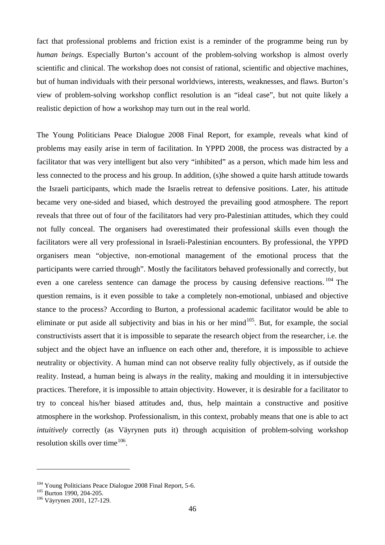fact that professional problems and friction exist is a reminder of the programme being run by *human beings*. Especially Burton's account of the problem-solving workshop is almost overly scientific and clinical. The workshop does not consist of rational, scientific and objective machines, but of human individuals with their personal worldviews, interests, weaknesses, and flaws. Burton's view of problem-solving workshop conflict resolution is an "ideal case", but not quite likely a realistic depiction of how a workshop may turn out in the real world.

The Young Politicians Peace Dialogue 2008 Final Report, for example, reveals what kind of problems may easily arise in term of facilitation. In YPPD 2008, the process was distracted by a facilitator that was very intelligent but also very "inhibited" as a person, which made him less and less connected to the process and his group. In addition, (s)he showed a quite harsh attitude towards the Israeli participants, which made the Israelis retreat to defensive positions. Later, his attitude became very one-sided and biased, which destroyed the prevailing good atmosphere. The report reveals that three out of four of the facilitators had very pro-Palestinian attitudes, which they could not fully conceal. The organisers had overestimated their professional skills even though the facilitators were all very professional in Israeli-Palestinian encounters. By professional, the YPPD organisers mean "objective, non-emotional management of the emotional process that the participants were carried through". Mostly the facilitators behaved professionally and correctly, but even a one careless sentence can damage the process by causing defensive reactions. [104](#page-48-0) The question remains, is it even possible to take a completely non-emotional, unbiased and objective stance to the process? According to Burton, a professional academic facilitator would be able to eliminate or put aside all subjectivity and bias in his or her mind<sup>[105](#page-48-1)</sup>. But, for example, the social constructivists assert that it is impossible to separate the research object from the researcher, i.e. the subject and the object have an influence on each other and, therefore, it is impossible to achieve neutrality or objectivity. A human mind can not observe reality fully objectively, as if outside the reality. Instead, a human being is always *in* the reality, making and moulding it in intersubjective practices. Therefore, it is impossible to attain objectivity. However, it is desirable for a facilitator to try to conceal his/her biased attitudes and, thus, help maintain a constructive and positive atmosphere in the workshop. Professionalism, in this context, probably means that one is able to act *intuitively* correctly (as Väyrynen puts it) through acquisition of problem-solving workshop resolution skills over time<sup>[106](#page-48-2)</sup>.

<span id="page-48-0"></span><sup>&</sup>lt;sup>104</sup> Young Politicians Peace Dialogue 2008 Final Report, 5-6.<br><sup>105</sup> Burton 1990, 204-205.<br><sup>106</sup> Väyrynen 2001, 127-129.

<span id="page-48-1"></span>

<span id="page-48-2"></span>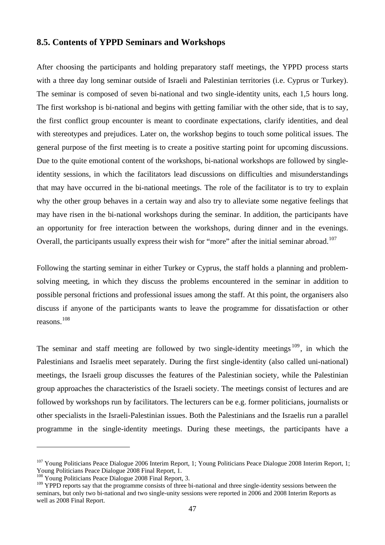#### **8.5. Contents of YPPD Seminars and Workshops**

After choosing the participants and holding preparatory staff meetings, the YPPD process starts with a three day long seminar outside of Israeli and Palestinian territories (i.e. Cyprus or Turkey). The seminar is composed of seven bi-national and two single-identity units, each 1,5 hours long. The first workshop is bi-national and begins with getting familiar with the other side, that is to say, the first conflict group encounter is meant to coordinate expectations, clarify identities, and deal with stereotypes and prejudices. Later on, the workshop begins to touch some political issues. The general purpose of the first meeting is to create a positive starting point for upcoming discussions. Due to the quite emotional content of the workshops, bi-national workshops are followed by singleidentity sessions, in which the facilitators lead discussions on difficulties and misunderstandings that may have occurred in the bi-national meetings. The role of the facilitator is to try to explain why the other group behaves in a certain way and also try to alleviate some negative feelings that may have risen in the bi-national workshops during the seminar. In addition, the participants have an opportunity for free interaction between the workshops, during dinner and in the evenings. Overall, the participants usually express their wish for "more" after the initial seminar abroad.<sup>[107](#page-49-0)</sup>

Following the starting seminar in either Turkey or Cyprus, the staff holds a planning and problemsolving meeting, in which they discuss the problems encountered in the seminar in addition to possible personal frictions and professional issues among the staff. At this point, the organisers also discuss if anyone of the participants wants to leave the programme for dissatisfaction or other reasons.[108](#page-49-1)

The seminar and staff meeting are followed by two single-identity meetings<sup>[109](#page-49-2)</sup>, in which the Palestinians and Israelis meet separately. During the first single-identity (also called uni-national) meetings, the Israeli group discusses the features of the Palestinian society, while the Palestinian group approaches the characteristics of the Israeli society. The meetings consist of lectures and are followed by workshops run by facilitators. The lecturers can be e.g. former politicians, journalists or other specialists in the Israeli-Palestinian issues. Both the Palestinians and the Israelis run a parallel programme in the single-identity meetings. During these meetings, the participants have a

<span id="page-49-0"></span><sup>&</sup>lt;sup>107</sup> Young Politicians Peace Dialogue 2006 Interim Report, 1; Young Politicians Peace Dialogue 2008 Interim Report, 1; Young Politicians Peace Dialogue 2008 Final Report, 1.

<span id="page-49-1"></span><sup>&</sup>lt;sup>108</sup> Young Politicians Peace Dialogue 2008 Final Report, 3.

<span id="page-49-2"></span><sup>&</sup>lt;sup>109</sup> YPPD reports say that the programme consists of three bi-national and three single-identity sessions between the seminars, but only two bi-national and two single-unity sessions were reported in 2006 and 2008 Interim Reports as well as 2008 Final Report.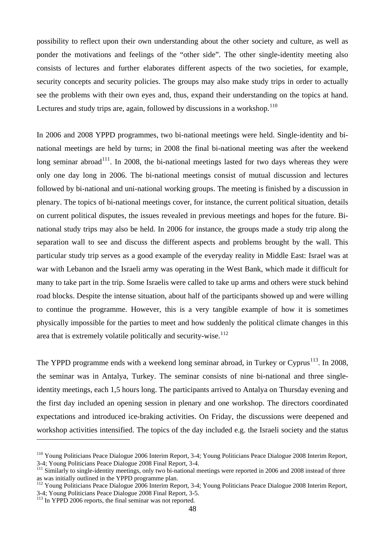possibility to reflect upon their own understanding about the other society and culture, as well as ponder the motivations and feelings of the "other side". The other single-identity meeting also consists of lectures and further elaborates different aspects of the two societies, for example, security concepts and security policies. The groups may also make study trips in order to actually see the problems with their own eyes and, thus, expand their understanding on the topics at hand. Lectures and study trips are, again, followed by discussions in a workshop. $110$ 

In 2006 and 2008 YPPD programmes, two bi-national meetings were held. Single-identity and binational meetings are held by turns; in 2008 the final bi-national meeting was after the weekend long seminar abroad<sup>[111](#page-50-1)</sup>. In 2008, the bi-national meetings lasted for two days whereas they were only one day long in 2006. The bi-national meetings consist of mutual discussion and lectures followed by bi-national and uni-national working groups. The meeting is finished by a discussion in plenary. The topics of bi-national meetings cover, for instance, the current political situation, details on current political disputes, the issues revealed in previous meetings and hopes for the future. Binational study trips may also be held. In 2006 for instance, the groups made a study trip along the separation wall to see and discuss the different aspects and problems brought by the wall. This particular study trip serves as a good example of the everyday reality in Middle East: Israel was at war with Lebanon and the Israeli army was operating in the West Bank, which made it difficult for many to take part in the trip. Some Israelis were called to take up arms and others were stuck behind road blocks. Despite the intense situation, about half of the participants showed up and were willing to continue the programme. However, this is a very tangible example of how it is sometimes physically impossible for the parties to meet and how suddenly the political climate changes in this area that is extremely volatile politically and security-wise.<sup>[112](#page-50-2)</sup>

The YPPD programme ends with a weekend long seminar abroad, in Turkey or Cyprus<sup>[113](#page-50-3)</sup>. In 2008, the seminar was in Antalya, Turkey. The seminar consists of nine bi-national and three singleidentity meetings, each 1,5 hours long. The participants arrived to Antalya on Thursday evening and the first day included an opening session in plenary and one workshop. The directors coordinated expectations and introduced ice-braking activities. On Friday, the discussions were deepened and workshop activities intensified. The topics of the day included e.g. the Israeli society and the status

<span id="page-50-0"></span><sup>&</sup>lt;sup>110</sup> Young Politicians Peace Dialogue 2006 Interim Report, 3-4; Young Politicians Peace Dialogue 2008 Interim Report, 3-4; Young Politicians Peace Dialogue 2008 Final Report, 3-4.

<span id="page-50-1"></span><sup>&</sup>lt;sup>111</sup> Similarly to single-identity meetings, only two bi-national meetings were reported in 2006 and 2008 instead of three as was initially outlined in the YPPD programme plan.

<span id="page-50-2"></span><sup>&</sup>lt;sup>112</sup> Young Politicians Peace Dialogue 2006 Interim Report, 3-4; Young Politicians Peace Dialogue 2008 Interim Report, 3-4; Young Politicians Peace Dialogue 2008 Final Report, 3-5. <sup>113</sup> In YPPD 2006 reports, the final seminar was not reported.

<span id="page-50-3"></span>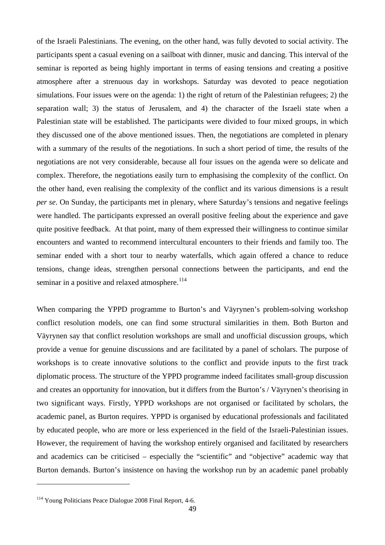of the Israeli Palestinians. The evening, on the other hand, was fully devoted to social activity. The participants spent a casual evening on a sailboat with dinner, music and dancing. This interval of the seminar is reported as being highly important in terms of easing tensions and creating a positive atmosphere after a strenuous day in workshops. Saturday was devoted to peace negotiation simulations. Four issues were on the agenda: 1) the right of return of the Palestinian refugees; 2) the separation wall; 3) the status of Jerusalem, and 4) the character of the Israeli state when a Palestinian state will be established. The participants were divided to four mixed groups, in which they discussed one of the above mentioned issues. Then, the negotiations are completed in plenary with a summary of the results of the negotiations. In such a short period of time, the results of the negotiations are not very considerable, because all four issues on the agenda were so delicate and complex. Therefore, the negotiations easily turn to emphasising the complexity of the conflict. On the other hand, even realising the complexity of the conflict and its various dimensions is a result *per se*. On Sunday, the participants met in plenary, where Saturday's tensions and negative feelings were handled. The participants expressed an overall positive feeling about the experience and gave quite positive feedback. At that point, many of them expressed their willingness to continue similar encounters and wanted to recommend intercultural encounters to their friends and family too. The seminar ended with a short tour to nearby waterfalls, which again offered a chance to reduce tensions, change ideas, strengthen personal connections between the participants, and end the seminar in a positive and relaxed atmosphere.<sup>[114](#page-51-0)</sup>

When comparing the YPPD programme to Burton's and Väyrynen's problem-solving workshop conflict resolution models, one can find some structural similarities in them. Both Burton and Väyrynen say that conflict resolution workshops are small and unofficial discussion groups, which provide a venue for genuine discussions and are facilitated by a panel of scholars. The purpose of workshops is to create innovative solutions to the conflict and provide inputs to the first track diplomatic process. The structure of the YPPD programme indeed facilitates small-group discussion and creates an opportunity for innovation, but it differs from the Burton's / Väyrynen's theorising in two significant ways. Firstly, YPPD workshops are not organised or facilitated by scholars, the academic panel, as Burton requires. YPPD is organised by educational professionals and facilitated by educated people, who are more or less experienced in the field of the Israeli-Palestinian issues. However, the requirement of having the workshop entirely organised and facilitated by researchers and academics can be criticised – especially the "scientific" and "objective" academic way that Burton demands. Burton's insistence on having the workshop run by an academic panel probably

<span id="page-51-0"></span><sup>&</sup>lt;sup>114</sup> Young Politicians Peace Dialogue 2008 Final Report, 4-6.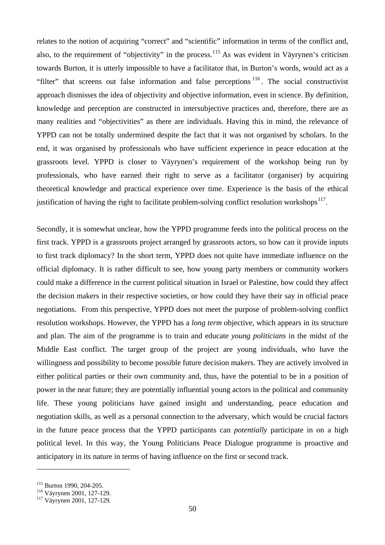relates to the notion of acquiring "correct" and "scientific" information in terms of the conflict and, also, to the requirement of "objectivity" in the process.<sup>[115](#page-52-0)</sup> As was evident in Väyrynen's criticism towards Burton, it is utterly impossible to have a facilitator that, in Burton's words, would act as a "filter" that screens out false information and false perceptions <sup>[116](#page-52-1)</sup>. The social constructivist approach dismisses the idea of objectivity and objective information, even in science. By definition, knowledge and perception are constructed in intersubjective practices and, therefore, there are as many realities and "objectivities" as there are individuals. Having this in mind, the relevance of YPPD can not be totally undermined despite the fact that it was not organised by scholars. In the end, it was organised by professionals who have sufficient experience in peace education at the grassroots level. YPPD is closer to Väyrynen's requirement of the workshop being run by professionals, who have earned their right to serve as a facilitator (organiser) by acquiring theoretical knowledge and practical experience over time. Experience is the basis of the ethical justification of having the right to facilitate problem-solving conflict resolution workshops $^{117}$ .

Secondly, it is somewhat unclear, how the YPPD programme feeds into the political process on the first track. YPPD is a grassroots project arranged by grassroots actors, so how can it provide inputs to first track diplomacy? In the short term, YPPD does not quite have immediate influence on the official diplomacy. It is rather difficult to see, how young party members or community workers could make a difference in the current political situation in Israel or Palestine, how could they affect the decision makers in their respective societies, or how could they have their say in official peace negotiations. From this perspective, YPPD does not meet the purpose of problem-solving conflict resolution workshops. However, the YPPD has a *long term* objective, which appears in its structure and plan. The aim of the programme is to train and educate *young politicians* in the midst of the Middle East conflict. The target group of the project are young individuals, who have the willingness and possibility to become possible future decision makers. They are actively involved in either political parties or their own community and, thus, have the potential to be in a position of power in the near future; they are potentially influential young actors in the political and community life. These young politicians have gained insight and understanding, peace education and negotiation skills, as well as a personal connection to the adversary, which would be crucial factors in the future peace process that the YPPD participants can *potentially* participate in on a high political level. In this way, the Young Politicians Peace Dialogue programme is proactive and anticipatory in its nature in terms of having influence on the first or second track.

<span id="page-52-1"></span>

<span id="page-52-0"></span><sup>&</sup>lt;sup>115</sup> Burton 1990, 204-205.<br><sup>116</sup> Väyrynen 2001, 127-129.<br><sup>117</sup> Väyrynen 2001, 127-129.

<span id="page-52-2"></span>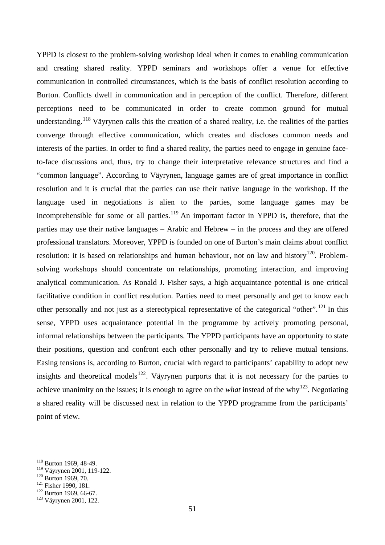YPPD is closest to the problem-solving workshop ideal when it comes to enabling communication and creating shared reality. YPPD seminars and workshops offer a venue for effective communication in controlled circumstances, which is the basis of conflict resolution according to Burton. Conflicts dwell in communication and in perception of the conflict. Therefore, different perceptions need to be communicated in order to create common ground for mutual understanding.<sup>[118](#page-53-0)</sup> Väyrynen calls this the creation of a shared reality, i.e. the realities of the parties converge through effective communication, which creates and discloses common needs and interests of the parties. In order to find a shared reality, the parties need to engage in genuine faceto-face discussions and, thus, try to change their interpretative relevance structures and find a "common language". According to Väyrynen, language games are of great importance in conflict resolution and it is crucial that the parties can use their native language in the workshop. If the language used in negotiations is alien to the parties, some language games may be incomprehensible for some or all parties.<sup>[119](#page-53-1)</sup> An important factor in YPPD is, therefore, that the parties may use their native languages – Arabic and Hebrew – in the process and they are offered professional translators. Moreover, YPPD is founded on one of Burton's main claims about conflict resolution: it is based on relationships and human behaviour, not on law and history<sup>120</sup>. Problemsolving workshops should concentrate on relationships, promoting interaction, and improving analytical communication. As Ronald J. Fisher says, a high acquaintance potential is one critical facilitative condition in conflict resolution. Parties need to meet personally and get to know each other personally and not just as a stereotypical representative of the categorical "other".<sup>[121](#page-53-3)</sup> In this sense, YPPD uses acquaintance potential in the programme by actively promoting personal, informal relationships between the participants. The YPPD participants have an opportunity to state their positions, question and confront each other personally and try to relieve mutual tensions. Easing tensions is, according to Burton, crucial with regard to participants' capability to adopt new insights and theoretical models<sup>[122](#page-53-4)</sup>. Väyrynen purports that it is not necessary for the parties to achieve unanimity on the issues; it is enough to agree on the *what* instead of the why<sup>[123](#page-53-5)</sup>. Negotiating a shared reality will be discussed next in relation to the YPPD programme from the participants' point of view.

<span id="page-53-0"></span><sup>&</sup>lt;sup>118</sup> Burton 1969, 48-49.<br><sup>119</sup> Väyrynen 2001, 119-122.

<span id="page-53-2"></span>

<span id="page-53-4"></span><span id="page-53-3"></span>

<span id="page-53-1"></span><sup>&</sup>lt;sup>120</sup> Burton 1969, 70.<br><sup>121</sup> Fisher 1990, 181.<br><sup>122</sup> Burton 1969, 66-67.<br><sup>123</sup> Väyrynen 2001, 122.

<span id="page-53-5"></span>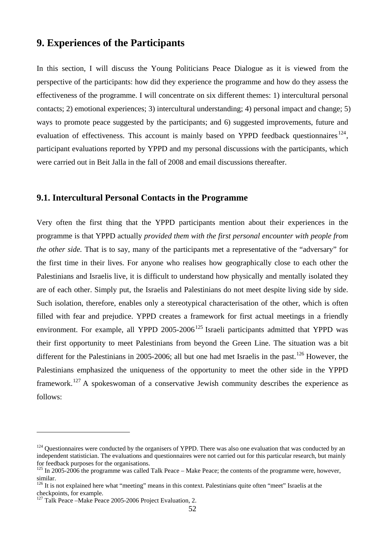## **9. Experiences of the Participants**

In this section, I will discuss the Young Politicians Peace Dialogue as it is viewed from the perspective of the participants: how did they experience the programme and how do they assess the effectiveness of the programme. I will concentrate on six different themes: 1) intercultural personal contacts; 2) emotional experiences; 3) intercultural understanding; 4) personal impact and change; 5) ways to promote peace suggested by the participants; and 6) suggested improvements, future and evaluation of effectiveness. This account is mainly based on YPPD feedback questionnaires<sup>[124](#page-54-0)</sup>, participant evaluations reported by YPPD and my personal discussions with the participants, which were carried out in Beit Jalla in the fall of 2008 and email discussions thereafter.

### **9.1. Intercultural Personal Contacts in the Programme**

Very often the first thing that the YPPD participants mention about their experiences in the programme is that YPPD actually *provided them with the first personal encounter with people from the other side.* That is to say, many of the participants met a representative of the "adversary" for the first time in their lives. For anyone who realises how geographically close to each other the Palestinians and Israelis live, it is difficult to understand how physically and mentally isolated they are of each other. Simply put, the Israelis and Palestinians do not meet despite living side by side. Such isolation, therefore, enables only a stereotypical characterisation of the other, which is often filled with fear and prejudice. YPPD creates a framework for first actual meetings in a friendly environment. For example, all YPPD  $2005-2006^{125}$  $2005-2006^{125}$  $2005-2006^{125}$  Israeli participants admitted that YPPD was their first opportunity to meet Palestinians from beyond the Green Line. The situation was a bit different for the Palestinians in 2005-2006; all but one had met Israelis in the past.<sup>[126](#page-54-2)</sup> However, the Palestinians emphasized the uniqueness of the opportunity to meet the other side in the YPPD framework.<sup>[127](#page-54-3)</sup> A spokeswoman of a conservative Jewish community describes the experience as follows:

<span id="page-54-0"></span> $124$  Questionnaires were conducted by the organisers of YPPD. There was also one evaluation that was conducted by an independent statistician. The evaluations and questionnaires were not carried out for this particular research, but mainly for feedback purposes for the organisations.

<span id="page-54-1"></span> $125$  In 2005-2006 the programme was called Talk Peace – Make Peace; the contents of the programme were, however, similar.

<span id="page-54-2"></span> $126$  It is not explained here what "meeting" means in this context. Palestinians quite often "meet" Israelis at the checkpoints, for example.

<span id="page-54-3"></span><sup>&</sup>lt;sup>127</sup> Talk Peace –Make Peace 2005-2006 Project Evaluation, 2.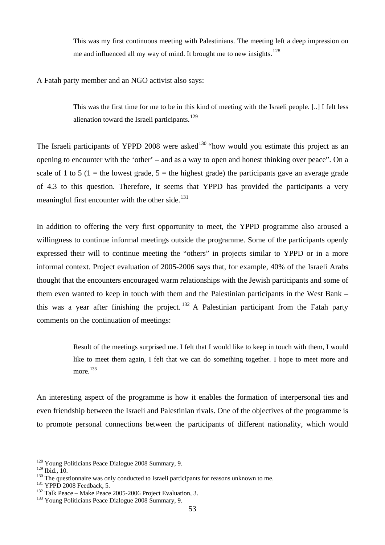This was my first continuous meeting with Palestinians. The meeting left a deep impression on me and influenced all my way of mind. It brought me to new insights.<sup>[128](#page-55-0)</sup>

A Fatah party member and an NGO activist also says:

This was the first time for me to be in this kind of meeting with the Israeli people. [..] I felt less alienation toward the Israeli participants.<sup>[129](#page-55-1)</sup>

The Israeli participants of YPPD 2008 were asked<sup>[130](#page-55-2)</sup> "how would you estimate this project as an opening to encounter with the 'other' – and as a way to open and honest thinking over peace". On a scale of 1 to 5 (1 = the lowest grade,  $5 =$  the highest grade) the participants gave an average grade of 4.3 to this question. Therefore, it seems that YPPD has provided the participants a very meaningful first encounter with the other side. $131$ 

In addition to offering the very first opportunity to meet, the YPPD programme also aroused a willingness to continue informal meetings outside the programme. Some of the participants openly expressed their will to continue meeting the "others" in projects similar to YPPD or in a more informal context. Project evaluation of 2005-2006 says that, for example, 40% of the Israeli Arabs thought that the encounters encouraged warm relationships with the Jewish participants and some of them even wanted to keep in touch with them and the Palestinian participants in the West Bank – this was a year after finishing the project.  $132$  A Palestinian participant from the Fatah party comments on the continuation of meetings:

> Result of the meetings surprised me. I felt that I would like to keep in touch with them, I would like to meet them again, I felt that we can do something together. I hope to meet more and more.<sup>[133](#page-55-5)</sup>

An interesting aspect of the programme is how it enables the formation of interpersonal ties and even friendship between the Israeli and Palestinian rivals. One of the objectives of the programme is to promote personal connections between the participants of different nationality, which would

<span id="page-55-0"></span><sup>&</sup>lt;sup>128</sup> Young Politicians Peace Dialogue 2008 Summary, 9.<br><sup>129</sup> Ibid.. 10.

<span id="page-55-2"></span><span id="page-55-1"></span><sup>&</sup>lt;sup>130</sup> The questionnaire was only conducted to Israeli participants for reasons unknown to me.<br><sup>131</sup> YPPD 2008 Feedback, 5.<br><sup>132</sup> Talk Peace – Make Peace 2005-2006 Project Evaluation, 3.<br><sup>133</sup> Young Politicians Peace Dialo

<span id="page-55-3"></span>

<span id="page-55-4"></span>

<span id="page-55-5"></span>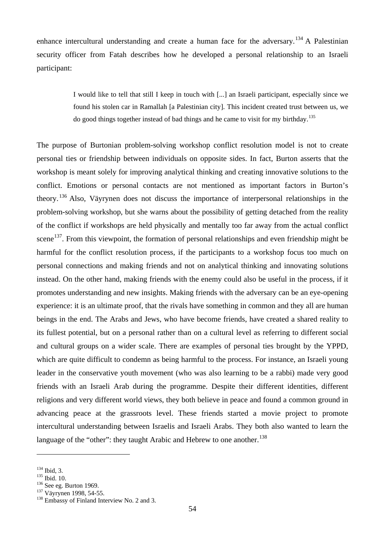enhance intercultural understanding and create a human face for the adversary.<sup>[134](#page-56-0)</sup> A Palestinian security officer from Fatah describes how he developed a personal relationship to an Israeli participant:

> I would like to tell that still I keep in touch with [...] an Israeli participant, especially since we found his stolen car in Ramallah [a Palestinian city]. This incident created trust between us, we do good things together instead of bad things and he came to visit for my birthday.[135](#page-56-1)

The purpose of Burtonian problem-solving workshop conflict resolution model is not to create personal ties or friendship between individuals on opposite sides. In fact, Burton asserts that the workshop is meant solely for improving analytical thinking and creating innovative solutions to the conflict. Emotions or personal contacts are not mentioned as important factors in Burton's theory. [136](#page-56-2) Also, Väyrynen does not discuss the importance of interpersonal relationships in the problem-solving workshop, but she warns about the possibility of getting detached from the reality of the conflict if workshops are held physically and mentally too far away from the actual conflict scene<sup>137</sup>. From this viewpoint, the formation of personal relationships and even friendship might be harmful for the conflict resolution process, if the participants to a workshop focus too much on personal connections and making friends and not on analytical thinking and innovating solutions instead. On the other hand, making friends with the enemy could also be useful in the process, if it promotes understanding and new insights. Making friends with the adversary can be an eye-opening experience: it is an ultimate proof, that the rivals have something in common and they all are human beings in the end. The Arabs and Jews, who have become friends, have created a shared reality to its fullest potential, but on a personal rather than on a cultural level as referring to different social and cultural groups on a wider scale. There are examples of personal ties brought by the YPPD, which are quite difficult to condemn as being harmful to the process. For instance, an Israeli young leader in the conservative youth movement (who was also learning to be a rabbi) made very good friends with an Israeli Arab during the programme. Despite their different identities, different religions and very different world views, they both believe in peace and found a common ground in advancing peace at the grassroots level. These friends started a movie project to promote intercultural understanding between Israelis and Israeli Arabs. They both also wanted to learn the language of the "other": they taught Arabic and Hebrew to one another.<sup>[138](#page-56-4)</sup>

<span id="page-56-1"></span>

<span id="page-56-2"></span>

<span id="page-56-4"></span><span id="page-56-3"></span>

<span id="page-56-0"></span><sup>&</sup>lt;sup>134</sup> Ibid, 3.<br><sup>135</sup> Ibid. 10.<br><sup>136</sup> See eg. Burton 1969.<br><sup>137</sup> Väyrynen 1998, 54-55.<br><sup>138</sup> Embassy of Finland Interview No. 2 and 3.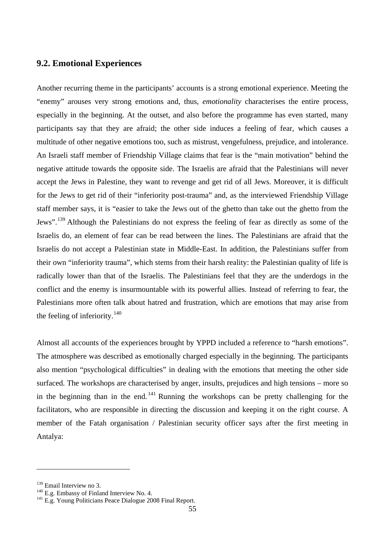### **9.2. Emotional Experiences**

Another recurring theme in the participants' accounts is a strong emotional experience. Meeting the "enemy" arouses very strong emotions and, thus, *emotionality* characterises the entire process, especially in the beginning. At the outset, and also before the programme has even started, many participants say that they are afraid; the other side induces a feeling of fear, which causes a multitude of other negative emotions too, such as mistrust, vengefulness, prejudice, and intolerance. An Israeli staff member of Friendship Village claims that fear is the "main motivation" behind the negative attitude towards the opposite side. The Israelis are afraid that the Palestinians will never accept the Jews in Palestine, they want to revenge and get rid of all Jews. Moreover, it is difficult for the Jews to get rid of their "inferiority post-trauma" and, as the interviewed Friendship Village staff member says, it is "easier to take the Jews out of the ghetto than take out the ghetto from the Jews".[139](#page-57-0) Although the Palestinians do not express the feeling of fear as directly as some of the Israelis do, an element of fear can be read between the lines. The Palestinians are afraid that the Israelis do not accept a Palestinian state in Middle-East. In addition, the Palestinians suffer from their own "inferiority trauma", which stems from their harsh reality: the Palestinian quality of life is radically lower than that of the Israelis. The Palestinians feel that they are the underdogs in the conflict and the enemy is insurmountable with its powerful allies. Instead of referring to fear, the Palestinians more often talk about hatred and frustration, which are emotions that may arise from the feeling of inferiority. $140$ 

Almost all accounts of the experiences brought by YPPD included a reference to "harsh emotions". The atmosphere was described as emotionally charged especially in the beginning. The participants also mention "psychological difficulties" in dealing with the emotions that meeting the other side surfaced. The workshops are characterised by anger, insults, prejudices and high tensions – more so in the beginning than in the end.  $\frac{141}{14}$  $\frac{141}{14}$  $\frac{141}{14}$  Running the workshops can be pretty challenging for the facilitators, who are responsible in directing the discussion and keeping it on the right course. A member of the Fatah organisation / Palestinian security officer says after the first meeting in Antalya:

<span id="page-57-2"></span><span id="page-57-1"></span>

<span id="page-57-0"></span><sup>&</sup>lt;sup>139</sup> Email Interview no 3.<br><sup>140</sup> E.g. Embassy of Finland Interview No. 4.<br><sup>141</sup> E.g. Young Politicians Peace Dialogue 2008 Final Report.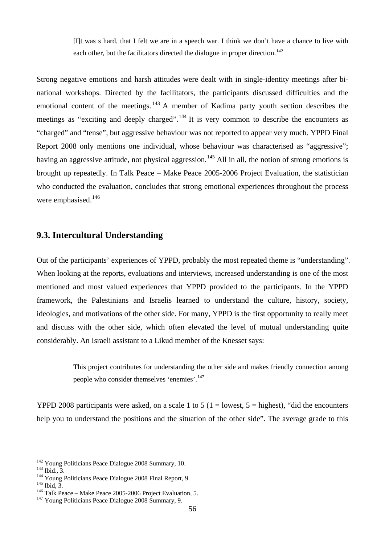[I]t was s hard, that I felt we are in a speech war. I think we don't have a chance to live with each other, but the facilitators directed the dialogue in proper direction.<sup>[142](#page-58-0)</sup>

Strong negative emotions and harsh attitudes were dealt with in single-identity meetings after binational workshops. Directed by the facilitators, the participants discussed difficulties and the emotional content of the meetings.  $\frac{143}{9}$  $\frac{143}{9}$  $\frac{143}{9}$  A member of Kadima party youth section describes the meetings as "exciting and deeply charged".<sup>[144](#page-58-2)</sup> It is very common to describe the encounters as "charged" and "tense", but aggressive behaviour was not reported to appear very much. YPPD Final Report 2008 only mentions one individual, whose behaviour was characterised as "aggressive"; having an aggressive attitude, not physical aggression.<sup>[145](#page-58-3)</sup> All in all, the notion of strong emotions is brought up repeatedly. In Talk Peace – Make Peace 2005-2006 Project Evaluation, the statistician who conducted the evaluation, concludes that strong emotional experiences throughout the process were emphasised.<sup>[146](#page-58-4)</sup>

#### **9.3. Intercultural Understanding**

Out of the participants' experiences of YPPD, probably the most repeated theme is "understanding". When looking at the reports, evaluations and interviews, increased understanding is one of the most mentioned and most valued experiences that YPPD provided to the participants. In the YPPD framework, the Palestinians and Israelis learned to understand the culture, history, society, ideologies, and motivations of the other side. For many, YPPD is the first opportunity to really meet and discuss with the other side, which often elevated the level of mutual understanding quite considerably. An Israeli assistant to a Likud member of the Knesset says:

> This project contributes for understanding the other side and makes friendly connection among people who consider themselves 'enemies'.<sup>[147](#page-58-5)</sup>

YPPD 2008 participants were asked, on a scale 1 to 5 (1 = lowest,  $5 =$  highest), "did the encounters help you to understand the positions and the situation of the other side". The average grade to this

<span id="page-58-2"></span><span id="page-58-1"></span>

<span id="page-58-0"></span><sup>&</sup>lt;sup>142</sup> Young Politicians Peace Dialogue 2008 Summary, 10.<br><sup>143</sup> Ibid., 3.<br><sup>144</sup> Young Politicians Peace Dialogue 2008 Final Report, 9.<br><sup>145</sup> Ibid, 3.<br><sup>146</sup> Talk Peace – Make Peace 2005-2006 Project Evaluation, 5.<br><sup>147</sup> You

<span id="page-58-3"></span>

<span id="page-58-4"></span>

<span id="page-58-5"></span>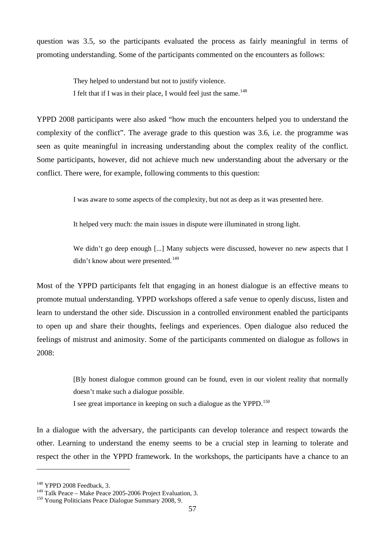question was 3.5, so the participants evaluated the process as fairly meaningful in terms of promoting understanding. Some of the participants commented on the encounters as follows:

> They helped to understand but not to justify violence. I felt that if I was in their place, I would feel just the same.<sup>[148](#page-59-0)</sup>

YPPD 2008 participants were also asked "how much the encounters helped you to understand the complexity of the conflict". The average grade to this question was 3.6, i.e. the programme was seen as quite meaningful in increasing understanding about the complex reality of the conflict. Some participants, however, did not achieve much new understanding about the adversary or the conflict. There were, for example, following comments to this question:

I was aware to some aspects of the complexity, but not as deep as it was presented here.

It helped very much: the main issues in dispute were illuminated in strong light.

We didn't go deep enough [...] Many subjects were discussed, however no new aspects that I didn't know about were presented.<sup>[149](#page-59-1)</sup>

Most of the YPPD participants felt that engaging in an honest dialogue is an effective means to promote mutual understanding. YPPD workshops offered a safe venue to openly discuss, listen and learn to understand the other side. Discussion in a controlled environment enabled the participants to open up and share their thoughts, feelings and experiences. Open dialogue also reduced the feelings of mistrust and animosity. Some of the participants commented on dialogue as follows in 2008:

> [B]y honest dialogue common ground can be found, even in our violent reality that normally doesn't make such a dialogue possible.

I see great importance in keeping on such a dialogue as the YPPD.<sup>[150](#page-59-2)</sup>

In a dialogue with the adversary, the participants can develop tolerance and respect towards the other. Learning to understand the enemy seems to be a crucial step in learning to tolerate and respect the other in the YPPD framework. In the workshops, the participants have a chance to an

<span id="page-59-0"></span><sup>&</sup>lt;sup>148</sup> YPPD 2008 Feedback, 3.<br><sup>149</sup> Talk Peace – Make Peace 2005-2006 Project Evaluation, 3.

<span id="page-59-2"></span><span id="page-59-1"></span><sup>&</sup>lt;sup>150</sup> Young Politicians Peace Dialogue Summary 2008, 9.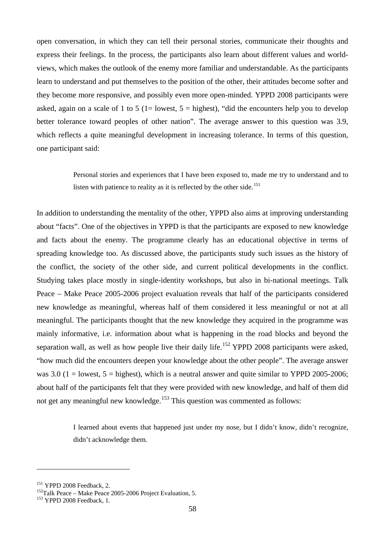open conversation, in which they can tell their personal stories, communicate their thoughts and express their feelings. In the process, the participants also learn about different values and worldviews, which makes the outlook of the enemy more familiar and understandable. As the participants learn to understand and put themselves to the position of the other, their attitudes become softer and they become more responsive, and possibly even more open-minded. YPPD 2008 participants were asked, again on a scale of 1 to 5 (1= lowest,  $5 =$  highest), "did the encounters help you to develop better tolerance toward peoples of other nation". The average answer to this question was 3.9, which reflects a quite meaningful development in increasing tolerance. In terms of this question, one participant said:

> Personal stories and experiences that I have been exposed to, made me try to understand and to listen with patience to reality as it is reflected by the other side.<sup>[151](#page-60-0)</sup>

In addition to understanding the mentality of the other, YPPD also aims at improving understanding about "facts". One of the objectives in YPPD is that the participants are exposed to new knowledge and facts about the enemy. The programme clearly has an educational objective in terms of spreading knowledge too. As discussed above, the participants study such issues as the history of the conflict, the society of the other side, and current political developments in the conflict. Studying takes place mostly in single-identity workshops, but also in bi-national meetings. Talk Peace – Make Peace 2005-2006 project evaluation reveals that half of the participants considered new knowledge as meaningful, whereas half of them considered it less meaningful or not at all meaningful. The participants thought that the new knowledge they acquired in the programme was mainly informative, i.e. information about what is happening in the road blocks and beyond the separation wall, as well as how people live their daily life.<sup>[152](#page-60-1)</sup> YPPD 2008 participants were asked, "how much did the encounters deepen your knowledge about the other people". The average answer was  $3.0$  (1 = lowest,  $5 =$  highest), which is a neutral answer and quite similar to YPPD 2005-2006; about half of the participants felt that they were provided with new knowledge, and half of them did not get any meaningful new knowledge.<sup>[153](#page-60-2)</sup> This question was commented as follows:

> I learned about events that happened just under my nose, but I didn't know, didn't recognize, didn't acknowledge them.

<span id="page-60-1"></span>

<span id="page-60-0"></span><sup>&</sup>lt;sup>151</sup> YPPD 2008 Feedback, 2.<br><sup>152</sup>Talk Peace – Make Peace 2005-2006 Project Evaluation, 5.<br><sup>153</sup> YPPD 2008 Feedback, 1.

<span id="page-60-2"></span>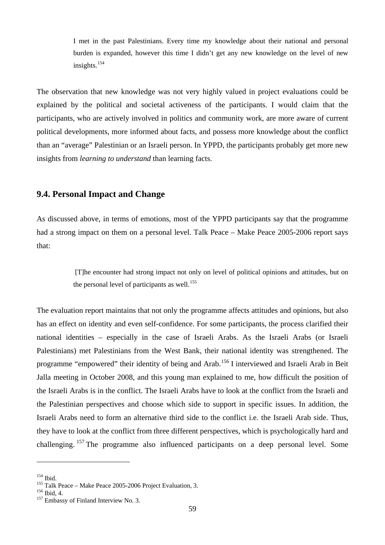I met in the past Palestinians. Every time my knowledge about their national and personal burden is expanded, however this time I didn't get any new knowledge on the level of new insights.<sup>[154](#page-61-0)</sup>

The observation that new knowledge was not very highly valued in project evaluations could be explained by the political and societal activeness of the participants. I would claim that the participants, who are actively involved in politics and community work, are more aware of current political developments, more informed about facts, and possess more knowledge about the conflict than an "average" Palestinian or an Israeli person. In YPPD, the participants probably get more new insights from *learning to understand* than learning facts.

### **9.4. Personal Impact and Change**

As discussed above, in terms of emotions, most of the YPPD participants say that the programme had a strong impact on them on a personal level. Talk Peace – Make Peace 2005-2006 report says that:

> [T]he encounter had strong impact not only on level of political opinions and attitudes, but on the personal level of participants as well.<sup>[155](#page-61-1)</sup>

The evaluation report maintains that not only the programme affects attitudes and opinions, but also has an effect on identity and even self-confidence. For some participants, the process clarified their national identities – especially in the case of Israeli Arabs. As the Israeli Arabs (or Israeli Palestinians) met Palestinians from the West Bank, their national identity was strengthened. The programme "empowered" their identity of being and Arab.[156](#page-61-2) I interviewed and Israeli Arab in Beit Jalla meeting in October 2008, and this young man explained to me, how difficult the position of the Israeli Arabs is in the conflict. The Israeli Arabs have to look at the conflict from the Israeli and the Palestinian perspectives and choose which side to support in specific issues. In addition, the Israeli Arabs need to form an alternative third side to the conflict i.e. the Israeli Arab side. Thus, they have to look at the conflict from three different perspectives, which is psychologically hard and challenging. <sup>[157](#page-61-3)</sup> The programme also influenced participants on a deep personal level. Some

<span id="page-61-0"></span> $^{154}$  Ibid.

<span id="page-61-1"></span><sup>&</sup>lt;sup>155</sup> Talk Peace – Make Peace 2005-2006 Project Evaluation, 3.<br><sup>156</sup> Ibid, 4.<br><sup>157</sup> Embassy of Finland Interview No. 3.

<span id="page-61-2"></span>

<span id="page-61-3"></span>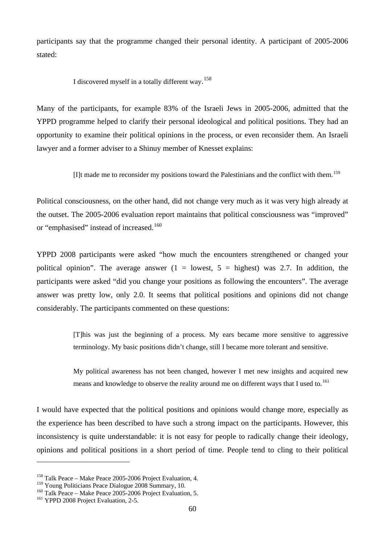participants say that the programme changed their personal identity. A participant of 2005-2006 stated:

I discovered myself in a totally different way. [158](#page-62-0)

Many of the participants, for example 83% of the Israeli Jews in 2005-2006, admitted that the YPPD programme helped to clarify their personal ideological and political positions. They had an opportunity to examine their political opinions in the process, or even reconsider them. An Israeli lawyer and a former adviser to a Shinuy member of Knesset explains:

 $[]$ It made me to reconsider my positions toward the Palestinians and the conflict with them.<sup>[159](#page-62-1)</sup>

Political consciousness, on the other hand, did not change very much as it was very high already at the outset. The 2005-2006 evaluation report maintains that political consciousness was "improved" or "emphasised" instead of increased.<sup>[160](#page-62-2)</sup>

YPPD 2008 participants were asked "how much the encounters strengthened or changed your political opinion". The average answer  $(1 =$  lowest,  $5 =$  highest) was 2.7. In addition, the participants were asked "did you change your positions as following the encounters". The average answer was pretty low, only 2.0. It seems that political positions and opinions did not change considerably. The participants commented on these questions:

> [T]his was just the beginning of a process. My ears became more sensitive to aggressive terminology. My basic positions didn't change, still I became more tolerant and sensitive.

> My political awareness has not been changed, however I met new insights and acquired new means and knowledge to observe the reality around me on different ways that I used to.<sup>[161](#page-62-3)</sup>

I would have expected that the political positions and opinions would change more, especially as the experience has been described to have such a strong impact on the participants. However, this inconsistency is quite understandable: it is not easy for people to radically change their ideology, opinions and political positions in a short period of time. People tend to cling to their political

<span id="page-62-0"></span><sup>&</sup>lt;sup>158</sup> Talk Peace – Make Peace 2005-2006 Project Evaluation, 4.<br><sup>159</sup> Young Politicians Peace Dialogue 2008 Summary, 10.

<span id="page-62-1"></span>

<span id="page-62-2"></span><sup>&</sup>lt;sup>160</sup> Talk Peace – Make Peace 2005-2006 Project Evaluation, 5. <sup>161</sup> YPPD 2008 Project Evaluation, 2-5.

<span id="page-62-3"></span>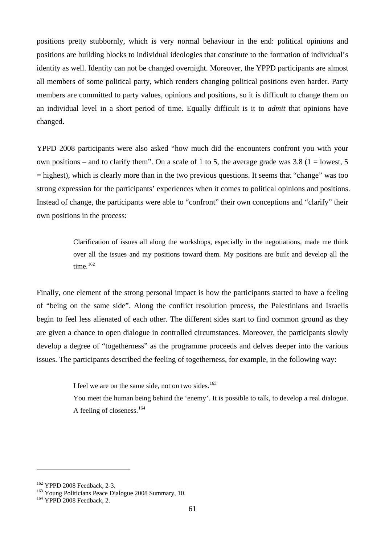positions pretty stubbornly, which is very normal behaviour in the end: political opinions and positions are building blocks to individual ideologies that constitute to the formation of individual's identity as well. Identity can not be changed overnight. Moreover, the YPPD participants are almost all members of some political party, which renders changing political positions even harder. Party members are committed to party values, opinions and positions, so it is difficult to change them on an individual level in a short period of time. Equally difficult is it to *admit* that opinions have changed.

YPPD 2008 participants were also asked "how much did the encounters confront you with your own positions – and to clarify them". On a scale of 1 to 5, the average grade was 3.8 (1 = lowest, 5)  $=$  highest), which is clearly more than in the two previous questions. It seems that "change" was too strong expression for the participants' experiences when it comes to political opinions and positions. Instead of change, the participants were able to "confront" their own conceptions and "clarify" their own positions in the process:

> Clarification of issues all along the workshops, especially in the negotiations, made me think over all the issues and my positions toward them. My positions are built and develop all the time. $162$

Finally, one element of the strong personal impact is how the participants started to have a feeling of "being on the same side". Along the conflict resolution process, the Palestinians and Israelis begin to feel less alienated of each other. The different sides start to find common ground as they are given a chance to open dialogue in controlled circumstances. Moreover, the participants slowly develop a degree of "togetherness" as the programme proceeds and delves deeper into the various issues. The participants described the feeling of togetherness, for example, in the following way:

I feel we are on the same side, not on two sides.<sup>[163](#page-63-1)</sup>

You meet the human being behind the 'enemy'. It is possible to talk, to develop a real dialogue. A feeling of closeness.<sup>[164](#page-63-2)</sup>

<span id="page-63-1"></span><span id="page-63-0"></span><sup>&</sup>lt;sup>162</sup> YPPD 2008 Feedback, 2-3.<br><sup>163</sup> Young Politicians Peace Dialogue 2008 Summary, 10.<br><sup>164</sup> YPPD 2008 Feedback, 2.

<span id="page-63-2"></span>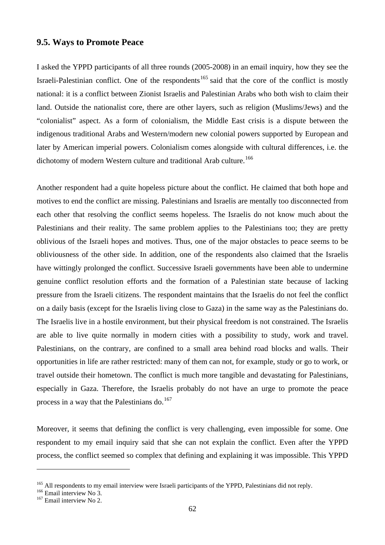### **9.5. Ways to Promote Peace**

I asked the YPPD participants of all three rounds (2005-2008) in an email inquiry, how they see the Israeli-Palestinian conflict. One of the respondents<sup>[165](#page-64-0)</sup> said that the core of the conflict is mostly national: it is a conflict between Zionist Israelis and Palestinian Arabs who both wish to claim their land. Outside the nationalist core, there are other layers, such as religion (Muslims/Jews) and the "colonialist" aspect. As a form of colonialism, the Middle East crisis is a dispute between the indigenous traditional Arabs and Western/modern new colonial powers supported by European and later by American imperial powers. Colonialism comes alongside with cultural differences, i.e. the dichotomy of modern Western culture and traditional Arab culture.<sup>[166](#page-64-1)</sup>

Another respondent had a quite hopeless picture about the conflict. He claimed that both hope and motives to end the conflict are missing. Palestinians and Israelis are mentally too disconnected from each other that resolving the conflict seems hopeless. The Israelis do not know much about the Palestinians and their reality. The same problem applies to the Palestinians too; they are pretty oblivious of the Israeli hopes and motives. Thus, one of the major obstacles to peace seems to be obliviousness of the other side. In addition, one of the respondents also claimed that the Israelis have wittingly prolonged the conflict. Successive Israeli governments have been able to undermine genuine conflict resolution efforts and the formation of a Palestinian state because of lacking pressure from the Israeli citizens. The respondent maintains that the Israelis do not feel the conflict on a daily basis (except for the Israelis living close to Gaza) in the same way as the Palestinians do. The Israelis live in a hostile environment, but their physical freedom is not constrained. The Israelis are able to live quite normally in modern cities with a possibility to study, work and travel. Palestinians, on the contrary, are confined to a small area behind road blocks and walls. Their opportunities in life are rather restricted: many of them can not, for example, study or go to work, or travel outside their hometown. The conflict is much more tangible and devastating for Palestinians, especially in Gaza. Therefore, the Israelis probably do not have an urge to promote the peace process in a way that the Palestinians do.<sup>[167](#page-64-2)</sup>

Moreover, it seems that defining the conflict is very challenging, even impossible for some. One respondent to my email inquiry said that she can not explain the conflict. Even after the YPPD process, the conflict seemed so complex that defining and explaining it was impossible. This YPPD

<span id="page-64-0"></span><sup>&</sup>lt;sup>165</sup> All respondents to my email interview were Israeli participants of the YPPD, Palestinians did not reply.<br><sup>166</sup> Email interview No 3.<br><sup>167</sup> Email interview No 2.

<span id="page-64-1"></span>

<span id="page-64-2"></span>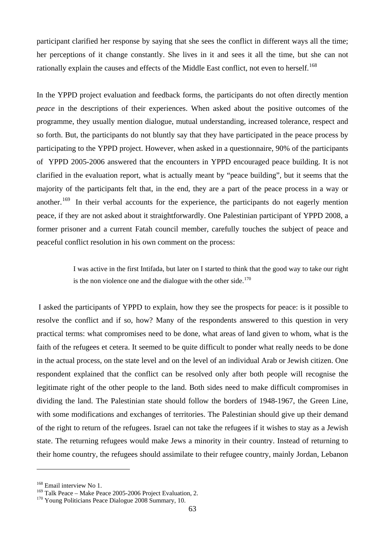participant clarified her response by saying that she sees the conflict in different ways all the time; her perceptions of it change constantly. She lives in it and sees it all the time, but she can not rationally explain the causes and effects of the Middle East conflict, not even to herself.<sup>[168](#page-65-0)</sup>

In the YPPD project evaluation and feedback forms, the participants do not often directly mention *peace* in the descriptions of their experiences. When asked about the positive outcomes of the programme, they usually mention dialogue, mutual understanding, increased tolerance, respect and so forth. But, the participants do not bluntly say that they have participated in the peace process by participating to the YPPD project. However, when asked in a questionnaire, 90% of the participants of YPPD 2005-2006 answered that the encounters in YPPD encouraged peace building. It is not clarified in the evaluation report, what is actually meant by "peace building", but it seems that the majority of the participants felt that, in the end, they are a part of the peace process in a way or another.<sup>169</sup> In their verbal accounts for the experience, the participants do not eagerly mention peace, if they are not asked about it straightforwardly. One Palestinian participant of YPPD 2008, a former prisoner and a current Fatah council member, carefully touches the subject of peace and peaceful conflict resolution in his own comment on the process:

> I was active in the first Intifada, but later on I started to think that the good way to take our right is the non violence one and the dialogue with the other side.<sup>[170](#page-65-2)</sup>

I asked the participants of YPPD to explain, how they see the prospects for peace: is it possible to resolve the conflict and if so, how? Many of the respondents answered to this question in very practical terms: what compromises need to be done, what areas of land given to whom, what is the faith of the refugees et cetera. It seemed to be quite difficult to ponder what really needs to be done in the actual process, on the state level and on the level of an individual Arab or Jewish citizen. One respondent explained that the conflict can be resolved only after both people will recognise the legitimate right of the other people to the land. Both sides need to make difficult compromises in dividing the land. The Palestinian state should follow the borders of 1948-1967, the Green Line, with some modifications and exchanges of territories. The Palestinian should give up their demand of the right to return of the refugees. Israel can not take the refugees if it wishes to stay as a Jewish state. The returning refugees would make Jews a minority in their country. Instead of returning to their home country, the refugees should assimilate to their refugee country, mainly Jordan, Lebanon

<span id="page-65-1"></span><span id="page-65-0"></span><sup>&</sup>lt;sup>168</sup> Email interview No 1.<br><sup>169</sup> Talk Peace – Make Peace 2005-2006 Project Evaluation, 2.

<span id="page-65-2"></span> $170$  Young Politicians Peace Dialogue 2008 Summary, 10.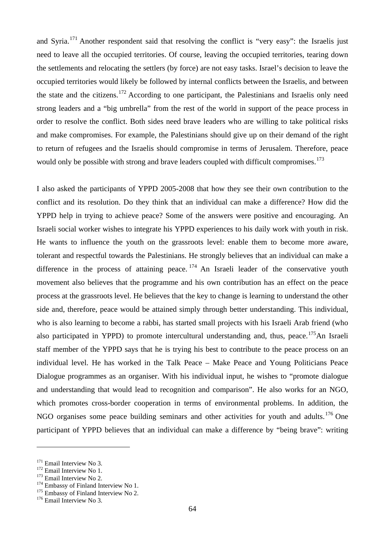and Syria.<sup>[171](#page-66-0)</sup> Another respondent said that resolving the conflict is "very easy": the Israelis just need to leave all the occupied territories. Of course, leaving the occupied territories, tearing down the settlements and relocating the settlers (by force) are not easy tasks. Israel's decision to leave the occupied territories would likely be followed by internal conflicts between the Israelis, and between the state and the citizens.[172](#page-66-1) According to one participant, the Palestinians and Israelis only need strong leaders and a "big umbrella" from the rest of the world in support of the peace process in order to resolve the conflict. Both sides need brave leaders who are willing to take political risks and make compromises. For example, the Palestinians should give up on their demand of the right to return of refugees and the Israelis should compromise in terms of Jerusalem. Therefore, peace would only be possible with strong and brave leaders coupled with difficult compromises.<sup>[173](#page-66-2)</sup>

I also asked the participants of YPPD 2005-2008 that how they see their own contribution to the conflict and its resolution. Do they think that an individual can make a difference? How did the YPPD help in trying to achieve peace? Some of the answers were positive and encouraging. An Israeli social worker wishes to integrate his YPPD experiences to his daily work with youth in risk. He wants to influence the youth on the grassroots level: enable them to become more aware, tolerant and respectful towards the Palestinians. He strongly believes that an individual can make a difference in the process of attaining peace.  $174$  An Israeli leader of the conservative youth movement also believes that the programme and his own contribution has an effect on the peace process at the grassroots level. He believes that the key to change is learning to understand the other side and, therefore, peace would be attained simply through better understanding. This individual, who is also learning to become a rabbi, has started small projects with his Israeli Arab friend (who also participated in YPPD) to promote intercultural understanding and, thus, peace.<sup>[175](#page-66-4)</sup>An Israeli staff member of the YPPD says that he is trying his best to contribute to the peace process on an individual level. He has worked in the Talk Peace – Make Peace and Young Politicians Peace Dialogue programmes as an organiser. With his individual input, he wishes to "promote dialogue and understanding that would lead to recognition and comparison". He also works for an NGO, which promotes cross-border cooperation in terms of environmental problems. In addition, the NGO organises some peace building seminars and other activities for youth and adults.<sup>[176](#page-66-5)</sup> One participant of YPPD believes that an individual can make a difference by "being brave": writing

<span id="page-66-0"></span> $171$  Email Interview No 3.<br> $172$  Email Interview No 1.

<span id="page-66-3"></span>

<span id="page-66-2"></span><span id="page-66-1"></span><sup>&</sup>lt;sup>173</sup> Email Interview No 2.<br><sup>174</sup> Embassy of Finland Interview No 1.<br><sup>175</sup> Embassy of Finland Interview No 2.<br><sup>176</sup> Email Interview No 3.

<span id="page-66-4"></span>

<span id="page-66-5"></span>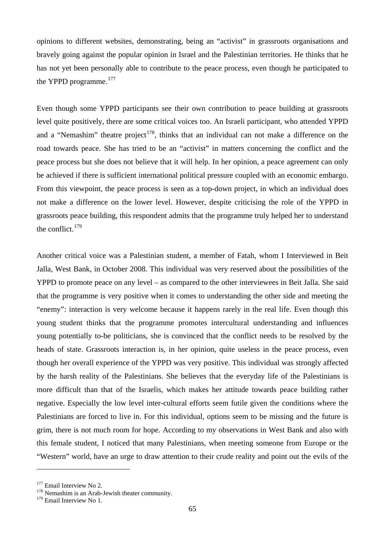opinions to different websites, demonstrating, being an "activist" in grassroots organisations and bravely going against the popular opinion in Israel and the Palestinian territories. He thinks that he has not yet been personally able to contribute to the peace process, even though he participated to the YPPD programme.<sup>[177](#page-67-0)</sup>

Even though some YPPD participants see their own contribution to peace building at grassroots level quite positively, there are some critical voices too. An Israeli participant, who attended YPPD and a "Nemashim" theatre project<sup>178</sup>, thinks that an individual can not make a difference on the road towards peace. She has tried to be an "activist" in matters concerning the conflict and the peace process but she does not believe that it will help. In her opinion, a peace agreement can only be achieved if there is sufficient international political pressure coupled with an economic embargo. From this viewpoint, the peace process is seen as a top-down project, in which an individual does not make a difference on the lower level. However, despite criticising the role of the YPPD in grassroots peace building, this respondent admits that the programme truly helped her to understand the conflict. $179$ 

Another critical voice was a Palestinian student, a member of Fatah, whom I Interviewed in Beit Jalla, West Bank, in October 2008. This individual was very reserved about the possibilities of the YPPD to promote peace on any level – as compared to the other interviewees in Beit Jalla. She said that the programme is very positive when it comes to understanding the other side and meeting the "enemy": interaction is very welcome because it happens rarely in the real life. Even though this young student thinks that the programme promotes intercultural understanding and influences young potentially to-be politicians, she is convinced that the conflict needs to be resolved by the heads of state. Grassroots interaction is, in her opinion, quite useless in the peace process, even though her overall experience of the YPPD was very positive. This individual was strongly affected by the harsh reality of the Palestinians. She believes that the everyday life of the Palestinians is more difficult than that of the Israelis, which makes her attitude towards peace building rather negative. Especially the low level inter-cultural efforts seem futile given the conditions where the Palestinians are forced to live in. For this individual, options seem to be missing and the future is grim, there is not much room for hope. According to my observations in West Bank and also with this female student, I noticed that many Palestinians, when meeting someone from Europe or the "Western" world, have an urge to draw attention to their crude reality and point out the evils of the

<span id="page-67-0"></span><sup>&</sup>lt;sup>177</sup> Email Interview No 2.  $178$  Nemashim is an Arab-Jewish theater community.

<span id="page-67-2"></span><span id="page-67-1"></span><sup>&</sup>lt;sup>179</sup> Email Interview No 1.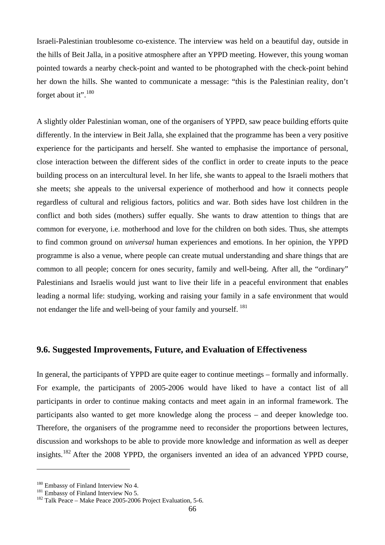Israeli-Palestinian troublesome co-existence. The interview was held on a beautiful day, outside in the hills of Beit Jalla, in a positive atmosphere after an YPPD meeting. However, this young woman pointed towards a nearby check-point and wanted to be photographed with the check-point behind her down the hills. She wanted to communicate a message: "this is the Palestinian reality, don't forget about it".<sup>[180](#page-68-0)</sup>

A slightly older Palestinian woman, one of the organisers of YPPD, saw peace building efforts quite differently. In the interview in Beit Jalla, she explained that the programme has been a very positive experience for the participants and herself. She wanted to emphasise the importance of personal, close interaction between the different sides of the conflict in order to create inputs to the peace building process on an intercultural level. In her life, she wants to appeal to the Israeli mothers that she meets; she appeals to the universal experience of motherhood and how it connects people regardless of cultural and religious factors, politics and war. Both sides have lost children in the conflict and both sides (mothers) suffer equally. She wants to draw attention to things that are common for everyone, i.e. motherhood and love for the children on both sides. Thus, she attempts to find common ground on *universal* human experiences and emotions. In her opinion, the YPPD programme is also a venue, where people can create mutual understanding and share things that are common to all people; concern for ones security, family and well-being. After all, the "ordinary" Palestinians and Israelis would just want to live their life in a peaceful environment that enables leading a normal life: studying, working and raising your family in a safe environment that would not endanger the life and well-being of your family and yourself. [181](#page-68-1)

### **9.6. Suggested Improvements, Future, and Evaluation of Effectiveness**

In general, the participants of YPPD are quite eager to continue meetings – formally and informally. For example, the participants of 2005-2006 would have liked to have a contact list of all participants in order to continue making contacts and meet again in an informal framework. The participants also wanted to get more knowledge along the process – and deeper knowledge too. Therefore, the organisers of the programme need to reconsider the proportions between lectures, discussion and workshops to be able to provide more knowledge and information as well as deeper insights.<sup>[182](#page-68-2)</sup> After the 2008 YPPD, the organisers invented an idea of an advanced YPPD course,

<span id="page-68-0"></span> $^{180}$  Embassy of Finland Interview No 4.<br> $^{181}$  Embassy of Finland Interview No 5.

<span id="page-68-1"></span>

<span id="page-68-2"></span> $182$  Talk Peace – Make Peace 2005-2006 Project Evaluation, 5-6.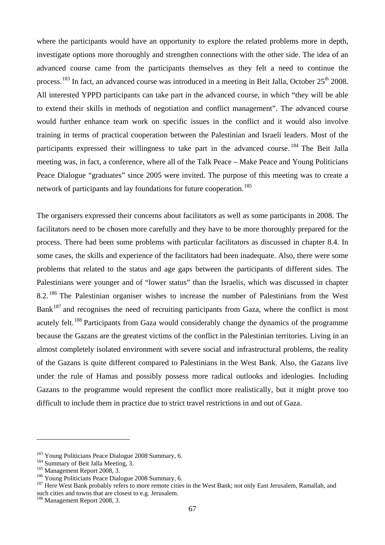where the participants would have an opportunity to explore the related problems more in depth. investigate options more thoroughly and strengthen connections with the other side. The idea of an advanced course came from the participants themselves as they felt a need to continue the process.<sup>[183](#page-69-0)</sup> In fact, an advanced course was introduced in a meeting in Beit Jalla, October 25<sup>th</sup> 2008. All interested YPPD participants can take part in the advanced course, in which "they will be able to extend their skills in methods of negotiation and conflict management". The advanced course would further enhance team work on specific issues in the conflict and it would also involve training in terms of practical cooperation between the Palestinian and Israeli leaders. Most of the participants expressed their willingness to take part in the advanced course.<sup>[184](#page-69-1)</sup> The Beit Jalla meeting was, in fact, a conference, where all of the Talk Peace – Make Peace and Young Politicians Peace Dialogue "graduates" since 2005 were invited. The purpose of this meeting was to create a network of participants and lay foundations for future cooperation.<sup>[185](#page-69-2)</sup>

The organisers expressed their concerns about facilitators as well as some participants in 2008. The facilitators need to be chosen more carefully and they have to be more thoroughly prepared for the process. There had been some problems with particular facilitators as discussed in chapter 8.4. In some cases, the skills and experience of the facilitators had been inadequate. Also, there were some problems that related to the status and age gaps between the participants of different sides. The Palestinians were younger and of "lower status" than the Israelis, which was discussed in chapter 8.2. <sup>[186](#page-69-3)</sup> The Palestinian organiser wishes to increase the number of Palestinians from the West  $Bank<sup>187</sup>$  $Bank<sup>187</sup>$  $Bank<sup>187</sup>$  and recognises the need of recruiting participants from Gaza, where the conflict is most acutely felt.<sup>[188](#page-69-5)</sup> Participants from Gaza would considerably change the dynamics of the programme because the Gazans are the greatest victims of the conflict in the Palestinian territories. Living in an almost completely isolated environment with severe social and infrastructural problems, the reality of the Gazans is quite different compared to Palestinians in the West Bank. Also, the Gazans live under the rule of Hamas and possibly possess more radical outlooks and ideologies. Including Gazans to the programme would represent the conflict more realistically, but it might prove too difficult to include them in practice due to strict travel restrictions in and out of Gaza.

<span id="page-69-1"></span>

<span id="page-69-2"></span>

<span id="page-69-4"></span><span id="page-69-3"></span>

<span id="page-69-0"></span><sup>&</sup>lt;sup>183</sup> Young Politicians Peace Dialogue 2008 Summary, 6.<br><sup>184</sup> Summary of Beit Jalla Meeting, 3.<br><sup>185</sup> Management Report 2008, 3.<br><sup>186</sup> Young Politicians Peace Dialogue 2008 Summary, 6.<br><sup>187</sup> Here West Bank probably refers such cities and towns that are closest to e.g. Jerusalem.<br><sup>188</sup> Management Report 2008, 3.

<span id="page-69-5"></span>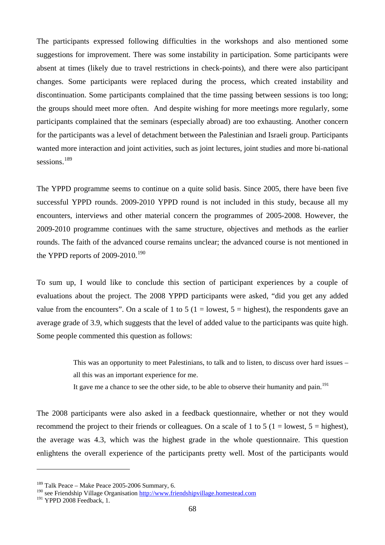The participants expressed following difficulties in the workshops and also mentioned some suggestions for improvement. There was some instability in participation. Some participants were absent at times (likely due to travel restrictions in check-points), and there were also participant changes. Some participants were replaced during the process, which created instability and discontinuation. Some participants complained that the time passing between sessions is too long; the groups should meet more often. And despite wishing for more meetings more regularly, some participants complained that the seminars (especially abroad) are too exhausting. Another concern for the participants was a level of detachment between the Palestinian and Israeli group. Participants wanted more interaction and joint activities, such as joint lectures, joint studies and more bi-national sessions.<sup>[189](#page-70-0)</sup>

The YPPD programme seems to continue on a quite solid basis. Since 2005, there have been five successful YPPD rounds. 2009-2010 YPPD round is not included in this study, because all my encounters, interviews and other material concern the programmes of 2005-2008. However, the 2009-2010 programme continues with the same structure, objectives and methods as the earlier rounds. The faith of the advanced course remains unclear; the advanced course is not mentioned in the YPPD reports of 2009-2010.<sup>[190](#page-70-1)</sup>

To sum up, I would like to conclude this section of participant experiences by a couple of evaluations about the project. The 2008 YPPD participants were asked, "did you get any added value from the encounters". On a scale of 1 to 5 (1 = lowest,  $5 =$  highest), the respondents gave an average grade of 3.9, which suggests that the level of added value to the participants was quite high. Some people commented this question as follows:

> This was an opportunity to meet Palestinians, to talk and to listen, to discuss over hard issues – all this was an important experience for me.

It gave me a chance to see the other side, to be able to observe their humanity and pain.<sup>[191](#page-70-2)</sup>

The 2008 participants were also asked in a feedback questionnaire, whether or not they would recommend the project to their friends or colleagues. On a scale of 1 to 5 (1 = lowest,  $5 =$  highest), the average was 4.3, which was the highest grade in the whole questionnaire. This question enlightens the overall experience of the participants pretty well. Most of the participants would

<span id="page-70-0"></span> $189$  Talk Peace – Make Peace 2005-2006 Summary, 6.

<span id="page-70-1"></span><sup>&</sup>lt;sup>190</sup> see Friendship Village Organisation [http://www.friendshipvillage.homestead.com](http://www.friendshipvillage.homestead.com/)

<span id="page-70-2"></span><sup>&</sup>lt;sup>191</sup> YPPD 2008 Feedback, 1.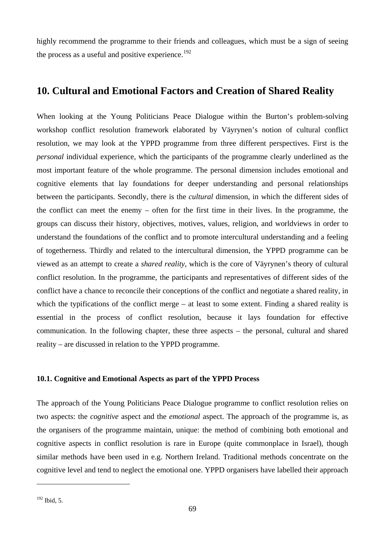highly recommend the programme to their friends and colleagues, which must be a sign of seeing the process as a useful and positive experience.<sup>[192](#page-71-0)</sup>

# **10. Cultural and Emotional Factors and Creation of Shared Reality**

When looking at the Young Politicians Peace Dialogue within the Burton's problem-solving workshop conflict resolution framework elaborated by Väyrynen's notion of cultural conflict resolution, we may look at the YPPD programme from three different perspectives. First is the *personal* individual experience, which the participants of the programme clearly underlined as the most important feature of the whole programme. The personal dimension includes emotional and cognitive elements that lay foundations for deeper understanding and personal relationships between the participants. Secondly, there is the *cultural* dimension, in which the different sides of the conflict can meet the enemy – often for the first time in their lives. In the programme, the groups can discuss their history, objectives, motives, values, religion, and worldviews in order to understand the foundations of the conflict and to promote intercultural understanding and a feeling of togetherness. Thirdly and related to the intercultural dimension, the YPPD programme can be viewed as an attempt to create a *shared reality*, which is the core of Väyrynen's theory of cultural conflict resolution. In the programme, the participants and representatives of different sides of the conflict have a chance to reconcile their conceptions of the conflict and negotiate a shared reality, in which the typifications of the conflict merge – at least to some extent. Finding a shared reality is essential in the process of conflict resolution, because it lays foundation for effective communication. In the following chapter, these three aspects – the personal, cultural and shared reality – are discussed in relation to the YPPD programme.

### **10.1. Cognitive and Emotional Aspects as part of the YPPD Process**

The approach of the Young Politicians Peace Dialogue programme to conflict resolution relies on two aspects: the *cognitive* aspect and the *emotional* aspect. The approach of the programme is, as the organisers of the programme maintain, unique: the method of combining both emotional and cognitive aspects in conflict resolution is rare in Europe (quite commonplace in Israel), though similar methods have been used in e.g. Northern Ireland. Traditional methods concentrate on the cognitive level and tend to neglect the emotional one. YPPD organisers have labelled their approach

<span id="page-71-0"></span><sup>&</sup>lt;sup>192</sup> Ibid, 5.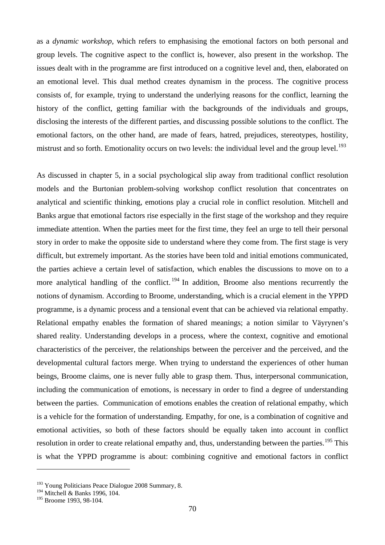as a *dynamic workshop*, which refers to emphasising the emotional factors on both personal and group levels. The cognitive aspect to the conflict is, however, also present in the workshop. The issues dealt with in the programme are first introduced on a cognitive level and, then, elaborated on an emotional level. This dual method creates dynamism in the process. The cognitive process consists of, for example, trying to understand the underlying reasons for the conflict, learning the history of the conflict, getting familiar with the backgrounds of the individuals and groups, disclosing the interests of the different parties, and discussing possible solutions to the conflict. The emotional factors, on the other hand, are made of fears, hatred, prejudices, stereotypes, hostility, mistrust and so forth. Emotionality occurs on two levels: the individual level and the group level.<sup>[193](#page-72-0)</sup>

As discussed in chapter 5, in a social psychological slip away from traditional conflict resolution models and the Burtonian problem-solving workshop conflict resolution that concentrates on analytical and scientific thinking, emotions play a crucial role in conflict resolution. Mitchell and Banks argue that emotional factors rise especially in the first stage of the workshop and they require immediate attention. When the parties meet for the first time, they feel an urge to tell their personal story in order to make the opposite side to understand where they come from. The first stage is very difficult, but extremely important. As the stories have been told and initial emotions communicated, the parties achieve a certain level of satisfaction, which enables the discussions to move on to a more analytical handling of the conflict.  $194$  In addition, Broome also mentions recurrently the notions of dynamism. According to Broome, understanding, which is a crucial element in the YPPD programme, is a dynamic process and a tensional event that can be achieved via relational empathy. Relational empathy enables the formation of shared meanings; a notion similar to Väyrynen's shared reality. Understanding develops in a process, where the context, cognitive and emotional characteristics of the perceiver, the relationships between the perceiver and the perceived, and the developmental cultural factors merge. When trying to understand the experiences of other human beings, Broome claims, one is never fully able to grasp them. Thus, interpersonal communication, including the communication of emotions, is necessary in order to find a degree of understanding between the parties. Communication of emotions enables the creation of relational empathy, which is a vehicle for the formation of understanding. Empathy, for one, is a combination of cognitive and emotional activities, so both of these factors should be equally taken into account in conflict resolution in order to create relational empathy and, thus, understanding between the parties.<sup>[195](#page-72-2)</sup> This is what the YPPD programme is about: combining cognitive and emotional factors in conflict

<span id="page-72-0"></span><sup>&</sup>lt;sup>193</sup> Young Politicians Peace Dialogue 2008 Summary, 8.

<span id="page-72-1"></span><sup>&</sup>lt;sup>194</sup> Mitchell & Banks 1996, 104.

<span id="page-72-2"></span><sup>&</sup>lt;sup>195</sup> Broome 1993, 98-104.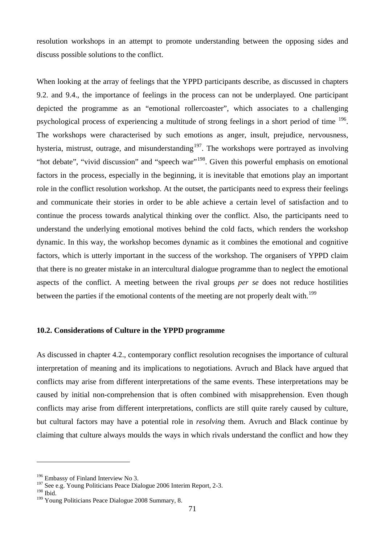resolution workshops in an attempt to promote understanding between the opposing sides and discuss possible solutions to the conflict.

When looking at the array of feelings that the YPPD participants describe, as discussed in chapters 9.2. and 9.4., the importance of feelings in the process can not be underplayed. One participant depicted the programme as an "emotional rollercoaster", which associates to a challenging psychological process of experiencing a multitude of strong feelings in a short period of time [196.](#page-73-0) The workshops were characterised by such emotions as anger, insult, prejudice, nervousness, hysteria, mistrust, outrage, and misunderstanding<sup>[197](#page-73-1)</sup>. The workshops were portrayed as involving "hot debate", "vivid discussion" and "speech war"<sup>[198](#page-73-2)</sup>. Given this powerful emphasis on emotional factors in the process, especially in the beginning, it is inevitable that emotions play an important role in the conflict resolution workshop. At the outset, the participants need to express their feelings and communicate their stories in order to be able achieve a certain level of satisfaction and to continue the process towards analytical thinking over the conflict. Also, the participants need to understand the underlying emotional motives behind the cold facts, which renders the workshop dynamic. In this way, the workshop becomes dynamic as it combines the emotional and cognitive factors, which is utterly important in the success of the workshop. The organisers of YPPD claim that there is no greater mistake in an intercultural dialogue programme than to neglect the emotional aspects of the conflict. A meeting between the rival groups *per se* does not reduce hostilities between the parties if the emotional contents of the meeting are not properly dealt with.<sup>[199](#page-73-3)</sup>

## **10.2. Considerations of Culture in the YPPD programme**

As discussed in chapter 4.2., contemporary conflict resolution recognises the importance of cultural interpretation of meaning and its implications to negotiations. Avruch and Black have argued that conflicts may arise from different interpretations of the same events. These interpretations may be caused by initial non-comprehension that is often combined with misapprehension. Even though conflicts may arise from different interpretations, conflicts are still quite rarely caused by culture, but cultural factors may have a potential role in *resolving* them. Avruch and Black continue by claiming that culture always moulds the ways in which rivals understand the conflict and how they

<span id="page-73-0"></span><sup>&</sup>lt;sup>196</sup> Embassy of Finland Interview No 3.

<sup>&</sup>lt;sup>197</sup> See e.g. Young Politicians Peace Dialogue 2006 Interim Report, 2-3.

<span id="page-73-2"></span><span id="page-73-1"></span><sup>198</sup> Ibid.

<span id="page-73-3"></span><sup>&</sup>lt;sup>199</sup> Young Politicians Peace Dialogue 2008 Summary, 8.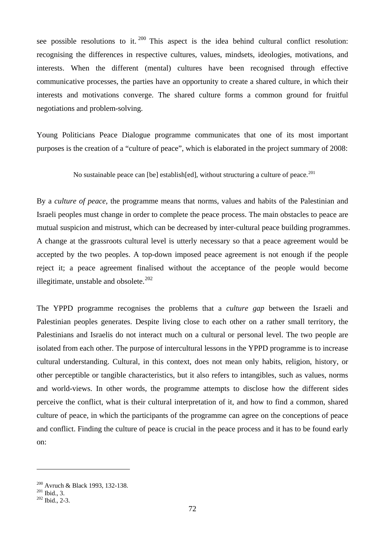see possible resolutions to it.  $200$  This aspect is the idea behind cultural conflict resolution: recognising the differences in respective cultures, values, mindsets, ideologies, motivations, and interests. When the different (mental) cultures have been recognised through effective communicative processes, the parties have an opportunity to create a shared culture, in which their interests and motivations converge. The shared culture forms a common ground for fruitful negotiations and problem-solving.

Young Politicians Peace Dialogue programme communicates that one of its most important purposes is the creation of a "culture of peace", which is elaborated in the project summary of 2008:

No sustainable peace can [be] establish [ed], without structuring a culture of peace.<sup>[201](#page-74-1)</sup>

By a *culture of peace*, the programme means that norms, values and habits of the Palestinian and Israeli peoples must change in order to complete the peace process. The main obstacles to peace are mutual suspicion and mistrust, which can be decreased by inter-cultural peace building programmes. A change at the grassroots cultural level is utterly necessary so that a peace agreement would be accepted by the two peoples. A top-down imposed peace agreement is not enough if the people reject it; a peace agreement finalised without the acceptance of the people would become illegitimate, unstable and obsolete. $202$ 

The YPPD programme recognises the problems that a *culture gap* between the Israeli and Palestinian peoples generates. Despite living close to each other on a rather small territory, the Palestinians and Israelis do not interact much on a cultural or personal level. The two people are isolated from each other. The purpose of intercultural lessons in the YPPD programme is to increase cultural understanding. Cultural, in this context, does not mean only habits, religion, history, or other perceptible or tangible characteristics, but it also refers to intangibles, such as values, norms and world-views. In other words, the programme attempts to disclose how the different sides perceive the conflict, what is their cultural interpretation of it, and how to find a common, shared culture of peace, in which the participants of the programme can agree on the conceptions of peace and conflict. Finding the culture of peace is crucial in the peace process and it has to be found early on:

<span id="page-74-0"></span><sup>&</sup>lt;sup>200</sup> Avruch & Black 1993, 132-138.<br><sup>201</sup> Ibid., 3.<br><sup>202</sup> Ibid., 2-3.

<span id="page-74-1"></span>

<span id="page-74-2"></span>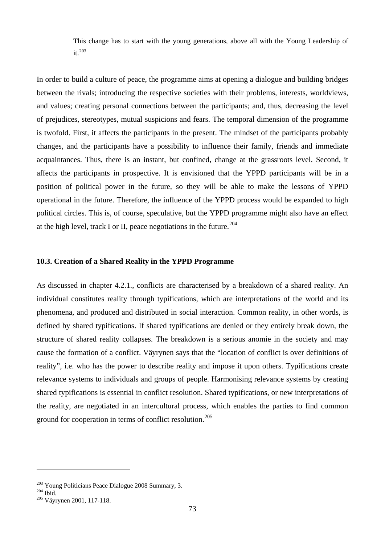This change has to start with the young generations, above all with the Young Leadership of  $it.$ <sup>[203](#page-75-0)</sup>

In order to build a culture of peace, the programme aims at opening a dialogue and building bridges between the rivals; introducing the respective societies with their problems, interests, worldviews, and values; creating personal connections between the participants; and, thus, decreasing the level of prejudices, stereotypes, mutual suspicions and fears. The temporal dimension of the programme is twofold. First, it affects the participants in the present. The mindset of the participants probably changes, and the participants have a possibility to influence their family, friends and immediate acquaintances. Thus, there is an instant, but confined, change at the grassroots level. Second, it affects the participants in prospective. It is envisioned that the YPPD participants will be in a position of political power in the future, so they will be able to make the lessons of YPPD operational in the future. Therefore, the influence of the YPPD process would be expanded to high political circles. This is, of course, speculative, but the YPPD programme might also have an effect at the high level, track I or II, peace negotiations in the future.<sup>[204](#page-75-1)</sup>

#### **10.3. Creation of a Shared Reality in the YPPD Programme**

As discussed in chapter 4.2.1., conflicts are characterised by a breakdown of a shared reality. An individual constitutes reality through typifications, which are interpretations of the world and its phenomena, and produced and distributed in social interaction. Common reality, in other words, is defined by shared typifications. If shared typifications are denied or they entirely break down, the structure of shared reality collapses. The breakdown is a serious anomie in the society and may cause the formation of a conflict. Väyrynen says that the "location of conflict is over definitions of reality", i.e. who has the power to describe reality and impose it upon others. Typifications create relevance systems to individuals and groups of people. Harmonising relevance systems by creating shared typifications is essential in conflict resolution. Shared typifications, or new interpretations of the reality, are negotiated in an intercultural process, which enables the parties to find common ground for cooperation in terms of conflict resolution.[205](#page-75-2)

<span id="page-75-0"></span><sup>&</sup>lt;sup>203</sup> Young Politicians Peace Dialogue 2008 Summary, 3.<br><sup>204</sup> Ibid. <sup>205</sup> Väyrynen 2001, 117-118.

<span id="page-75-1"></span>

<span id="page-75-2"></span>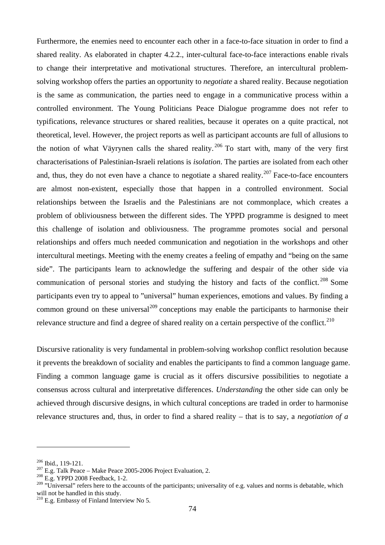Furthermore, the enemies need to encounter each other in a face-to-face situation in order to find a shared reality. As elaborated in chapter 4.2.2., inter-cultural face-to-face interactions enable rivals to change their interpretative and motivational structures. Therefore, an intercultural problemsolving workshop offers the parties an opportunity to *negotiate* a shared reality. Because negotiation is the same as communication, the parties need to engage in a communicative process within a controlled environment. The Young Politicians Peace Dialogue programme does not refer to typifications, relevance structures or shared realities, because it operates on a quite practical, not theoretical, level. However, the project reports as well as participant accounts are full of allusions to the notion of what Väyrynen calls the shared reality.<sup>[206](#page-76-0)</sup> To start with, many of the very first characterisations of Palestinian-Israeli relations is *isolation*. The parties are isolated from each other and, thus, they do not even have a chance to negotiate a shared reality.<sup>[207](#page-76-1)</sup> Face-to-face encounters are almost non-existent, especially those that happen in a controlled environment. Social relationships between the Israelis and the Palestinians are not commonplace, which creates a problem of obliviousness between the different sides. The YPPD programme is designed to meet this challenge of isolation and obliviousness. The programme promotes social and personal relationships and offers much needed communication and negotiation in the workshops and other intercultural meetings. Meeting with the enemy creates a feeling of empathy and "being on the same side". The participants learn to acknowledge the suffering and despair of the other side via communication of personal stories and studying the history and facts of the conflict.<sup>[208](#page-76-2)</sup> Some participants even try to appeal to "universal" human experiences, emotions and values. By finding a common ground on these universal<sup>[209](#page-76-3)</sup> conceptions may enable the participants to harmonise their relevance structure and find a degree of shared reality on a certain perspective of the conflict.<sup>[210](#page-76-4)</sup>

Discursive rationality is very fundamental in problem-solving workshop conflict resolution because it prevents the breakdown of sociality and enables the participants to find a common language game. Finding a common language game is crucial as it offers discursive possibilities to negotiate a consensus across cultural and interpretative differences. *Understanding* the other side can only be achieved through discursive designs, in which cultural conceptions are traded in order to harmonise relevance structures and, thus, in order to find a shared reality – that is to say, a *negotiation of a* 

<span id="page-76-1"></span><span id="page-76-0"></span><sup>&</sup>lt;sup>206</sup> Ibid., 119-121.<br><sup>207</sup> E.g. Talk Peace – Make Peace 2005-2006 Project Evaluation, 2.<br><sup>208</sup> E.g. YPPD 2008 Feedback, 1-2.

<span id="page-76-3"></span><span id="page-76-2"></span><sup>&</sup>lt;sup>209</sup> "Universal" refers here to the accounts of the participants; universality of e.g. values and norms is debatable, which will not be handled in this study.

<span id="page-76-4"></span><sup>&</sup>lt;sup>210</sup> E.g. Embassy of Finland Interview No 5.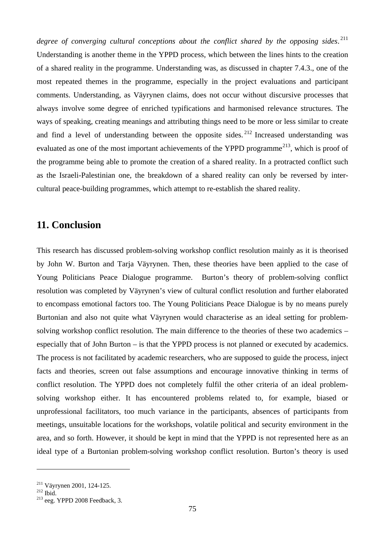*degree of converging cultural conceptions about the conflict shared by the opposing sides*. [211](#page-77-0) Understanding is another theme in the YPPD process, which between the lines hints to the creation of a shared reality in the programme. Understanding was, as discussed in chapter 7.4.3., one of the most repeated themes in the programme, especially in the project evaluations and participant comments. Understanding, as Väyrynen claims, does not occur without discursive processes that always involve some degree of enriched typifications and harmonised relevance structures. The ways of speaking, creating meanings and attributing things need to be more or less similar to create and find a level of understanding between the opposite sides.<sup>[212](#page-77-1)</sup> Increased understanding was evaluated as one of the most important achievements of the YPPD programme<sup>[213](#page-77-2)</sup>, which is proof of the programme being able to promote the creation of a shared reality. In a protracted conflict such as the Israeli-Palestinian one, the breakdown of a shared reality can only be reversed by intercultural peace-building programmes, which attempt to re-establish the shared reality.

# **11. Conclusion**

This research has discussed problem-solving workshop conflict resolution mainly as it is theorised by John W. Burton and Tarja Väyrynen. Then, these theories have been applied to the case of Young Politicians Peace Dialogue programme. Burton's theory of problem-solving conflict resolution was completed by Väyrynen's view of cultural conflict resolution and further elaborated to encompass emotional factors too. The Young Politicians Peace Dialogue is by no means purely Burtonian and also not quite what Väyrynen would characterise as an ideal setting for problemsolving workshop conflict resolution. The main difference to the theories of these two academics – especially that of John Burton – is that the YPPD process is not planned or executed by academics. The process is not facilitated by academic researchers, who are supposed to guide the process, inject facts and theories, screen out false assumptions and encourage innovative thinking in terms of conflict resolution. The YPPD does not completely fulfil the other criteria of an ideal problemsolving workshop either. It has encountered problems related to, for example, biased or unprofessional facilitators, too much variance in the participants, absences of participants from meetings, unsuitable locations for the workshops, volatile political and security environment in the area, and so forth. However, it should be kept in mind that the YPPD is not represented here as an ideal type of a Burtonian problem-solving workshop conflict resolution. Burton's theory is used

<span id="page-77-2"></span>

<span id="page-77-1"></span><span id="page-77-0"></span><sup>&</sup>lt;sup>211</sup> Väyrynen 2001, 124-125.<br><sup>212</sup> Ibid. <sup>213</sup> eeg. YPPD 2008 Feedback, 3.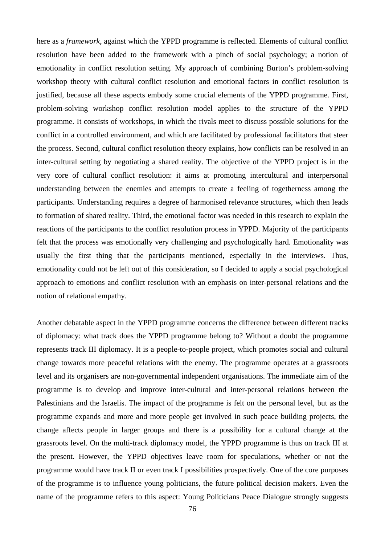here as a *framework*, against which the YPPD programme is reflected. Elements of cultural conflict resolution have been added to the framework with a pinch of social psychology; a notion of emotionality in conflict resolution setting. My approach of combining Burton's problem-solving workshop theory with cultural conflict resolution and emotional factors in conflict resolution is justified, because all these aspects embody some crucial elements of the YPPD programme. First, problem-solving workshop conflict resolution model applies to the structure of the YPPD programme. It consists of workshops, in which the rivals meet to discuss possible solutions for the conflict in a controlled environment, and which are facilitated by professional facilitators that steer the process. Second, cultural conflict resolution theory explains, how conflicts can be resolved in an inter-cultural setting by negotiating a shared reality. The objective of the YPPD project is in the very core of cultural conflict resolution: it aims at promoting intercultural and interpersonal understanding between the enemies and attempts to create a feeling of togetherness among the participants. Understanding requires a degree of harmonised relevance structures, which then leads to formation of shared reality. Third, the emotional factor was needed in this research to explain the reactions of the participants to the conflict resolution process in YPPD. Majority of the participants felt that the process was emotionally very challenging and psychologically hard. Emotionality was usually the first thing that the participants mentioned, especially in the interviews. Thus, emotionality could not be left out of this consideration, so I decided to apply a social psychological approach to emotions and conflict resolution with an emphasis on inter-personal relations and the notion of relational empathy.

Another debatable aspect in the YPPD programme concerns the difference between different tracks of diplomacy: what track does the YPPD programme belong to? Without a doubt the programme represents track III diplomacy. It is a people-to-people project, which promotes social and cultural change towards more peaceful relations with the enemy. The programme operates at a grassroots level and its organisers are non-governmental independent organisations. The immediate aim of the programme is to develop and improve inter-cultural and inter-personal relations between the Palestinians and the Israelis. The impact of the programme is felt on the personal level, but as the programme expands and more and more people get involved in such peace building projects, the change affects people in larger groups and there is a possibility for a cultural change at the grassroots level. On the multi-track diplomacy model, the YPPD programme is thus on track III at the present. However, the YPPD objectives leave room for speculations, whether or not the programme would have track II or even track I possibilities prospectively. One of the core purposes of the programme is to influence young politicians, the future political decision makers. Even the name of the programme refers to this aspect: Young Politicians Peace Dialogue strongly suggests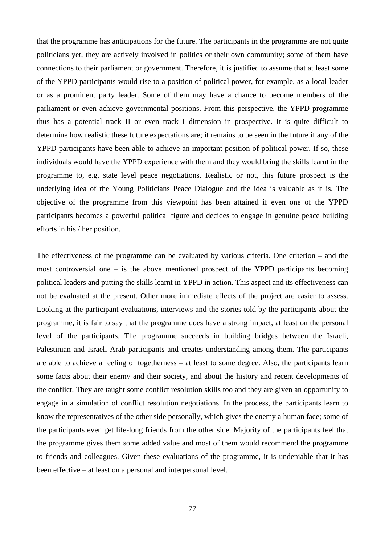that the programme has anticipations for the future. The participants in the programme are not quite politicians yet, they are actively involved in politics or their own community; some of them have connections to their parliament or government. Therefore, it is justified to assume that at least some of the YPPD participants would rise to a position of political power, for example, as a local leader or as a prominent party leader. Some of them may have a chance to become members of the parliament or even achieve governmental positions. From this perspective, the YPPD programme thus has a potential track II or even track I dimension in prospective. It is quite difficult to determine how realistic these future expectations are; it remains to be seen in the future if any of the YPPD participants have been able to achieve an important position of political power. If so, these individuals would have the YPPD experience with them and they would bring the skills learnt in the programme to, e.g. state level peace negotiations. Realistic or not, this future prospect is the underlying idea of the Young Politicians Peace Dialogue and the idea is valuable as it is. The objective of the programme from this viewpoint has been attained if even one of the YPPD participants becomes a powerful political figure and decides to engage in genuine peace building efforts in his / her position.

The effectiveness of the programme can be evaluated by various criteria. One criterion – and the most controversial one – is the above mentioned prospect of the YPPD participants becoming political leaders and putting the skills learnt in YPPD in action. This aspect and its effectiveness can not be evaluated at the present. Other more immediate effects of the project are easier to assess. Looking at the participant evaluations, interviews and the stories told by the participants about the programme, it is fair to say that the programme does have a strong impact, at least on the personal level of the participants. The programme succeeds in building bridges between the Israeli, Palestinian and Israeli Arab participants and creates understanding among them. The participants are able to achieve a feeling of togetherness – at least to some degree. Also, the participants learn some facts about their enemy and their society, and about the history and recent developments of the conflict. They are taught some conflict resolution skills too and they are given an opportunity to engage in a simulation of conflict resolution negotiations. In the process, the participants learn to know the representatives of the other side personally, which gives the enemy a human face; some of the participants even get life-long friends from the other side. Majority of the participants feel that the programme gives them some added value and most of them would recommend the programme to friends and colleagues. Given these evaluations of the programme, it is undeniable that it has been effective – at least on a personal and interpersonal level.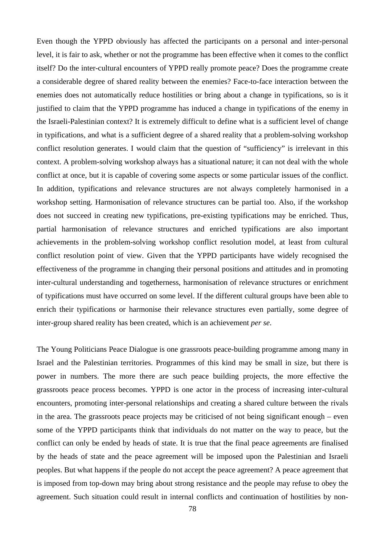Even though the YPPD obviously has affected the participants on a personal and inter-personal level, it is fair to ask, whether or not the programme has been effective when it comes to the conflict itself? Do the inter-cultural encounters of YPPD really promote peace? Does the programme create a considerable degree of shared reality between the enemies? Face-to-face interaction between the enemies does not automatically reduce hostilities or bring about a change in typifications, so is it justified to claim that the YPPD programme has induced a change in typifications of the enemy in the Israeli-Palestinian context? It is extremely difficult to define what is a sufficient level of change in typifications, and what is a sufficient degree of a shared reality that a problem-solving workshop conflict resolution generates. I would claim that the question of "sufficiency" is irrelevant in this context. A problem-solving workshop always has a situational nature; it can not deal with the whole conflict at once, but it is capable of covering some aspects or some particular issues of the conflict. In addition, typifications and relevance structures are not always completely harmonised in a workshop setting. Harmonisation of relevance structures can be partial too. Also, if the workshop does not succeed in creating new typifications, pre-existing typifications may be enriched. Thus, partial harmonisation of relevance structures and enriched typifications are also important achievements in the problem-solving workshop conflict resolution model, at least from cultural conflict resolution point of view. Given that the YPPD participants have widely recognised the effectiveness of the programme in changing their personal positions and attitudes and in promoting inter-cultural understanding and togetherness, harmonisation of relevance structures or enrichment of typifications must have occurred on some level. If the different cultural groups have been able to enrich their typifications or harmonise their relevance structures even partially, some degree of inter-group shared reality has been created, which is an achievement *per se*.

The Young Politicians Peace Dialogue is one grassroots peace-building programme among many in Israel and the Palestinian territories. Programmes of this kind may be small in size, but there is power in numbers. The more there are such peace building projects, the more effective the grassroots peace process becomes. YPPD is one actor in the process of increasing inter-cultural encounters, promoting inter-personal relationships and creating a shared culture between the rivals in the area. The grassroots peace projects may be criticised of not being significant enough – even some of the YPPD participants think that individuals do not matter on the way to peace, but the conflict can only be ended by heads of state. It is true that the final peace agreements are finalised by the heads of state and the peace agreement will be imposed upon the Palestinian and Israeli peoples. But what happens if the people do not accept the peace agreement? A peace agreement that is imposed from top-down may bring about strong resistance and the people may refuse to obey the agreement. Such situation could result in internal conflicts and continuation of hostilities by non-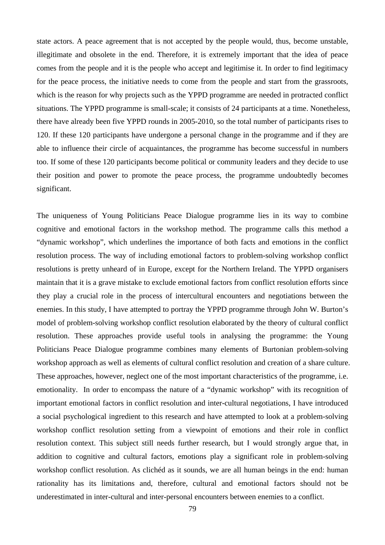state actors. A peace agreement that is not accepted by the people would, thus, become unstable, illegitimate and obsolete in the end. Therefore, it is extremely important that the idea of peace comes from the people and it is the people who accept and legitimise it. In order to find legitimacy for the peace process, the initiative needs to come from the people and start from the grassroots, which is the reason for why projects such as the YPPD programme are needed in protracted conflict situations. The YPPD programme is small-scale; it consists of 24 participants at a time. Nonetheless, there have already been five YPPD rounds in 2005-2010, so the total number of participants rises to 120. If these 120 participants have undergone a personal change in the programme and if they are able to influence their circle of acquaintances, the programme has become successful in numbers too. If some of these 120 participants become political or community leaders and they decide to use their position and power to promote the peace process, the programme undoubtedly becomes significant.

The uniqueness of Young Politicians Peace Dialogue programme lies in its way to combine cognitive and emotional factors in the workshop method. The programme calls this method a "dynamic workshop", which underlines the importance of both facts and emotions in the conflict resolution process. The way of including emotional factors to problem-solving workshop conflict resolutions is pretty unheard of in Europe, except for the Northern Ireland. The YPPD organisers maintain that it is a grave mistake to exclude emotional factors from conflict resolution efforts since they play a crucial role in the process of intercultural encounters and negotiations between the enemies. In this study, I have attempted to portray the YPPD programme through John W. Burton's model of problem-solving workshop conflict resolution elaborated by the theory of cultural conflict resolution. These approaches provide useful tools in analysing the programme: the Young Politicians Peace Dialogue programme combines many elements of Burtonian problem-solving workshop approach as well as elements of cultural conflict resolution and creation of a share culture. These approaches, however, neglect one of the most important characteristics of the programme, i.e. emotionality. In order to encompass the nature of a "dynamic workshop" with its recognition of important emotional factors in conflict resolution and inter-cultural negotiations, I have introduced a social psychological ingredient to this research and have attempted to look at a problem-solving workshop conflict resolution setting from a viewpoint of emotions and their role in conflict resolution context. This subject still needs further research, but I would strongly argue that, in addition to cognitive and cultural factors, emotions play a significant role in problem-solving workshop conflict resolution. As clichéd as it sounds, we are all human beings in the end: human rationality has its limitations and, therefore, cultural and emotional factors should not be underestimated in inter-cultural and inter-personal encounters between enemies to a conflict.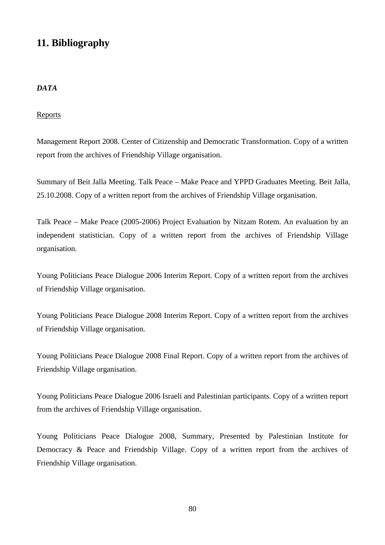# **11. Bibliography**

## *DATA*

## **Reports**

Management Report 2008. Center of Citizenship and Democratic Transformation. Copy of a written report from the archives of Friendship Village organisation.

Summary of Beit Jalla Meeting. Talk Peace – Make Peace and YPPD Graduates Meeting. Beit Jalla, 25.10.2008. Copy of a written report from the archives of Friendship Village organisation.

Talk Peace – Make Peace (2005-2006) Project Evaluation by Nitzam Rotem. An evaluation by an independent statistician. Copy of a written report from the archives of Friendship Village organisation.

Young Politicians Peace Dialogue 2006 Interim Report. Copy of a written report from the archives of Friendship Village organisation.

Young Politicians Peace Dialogue 2008 Interim Report. Copy of a written report from the archives of Friendship Village organisation.

Young Politicians Peace Dialogue 2008 Final Report. Copy of a written report from the archives of Friendship Village organisation.

Young Politicians Peace Dialogue 2006 Israeli and Palestinian participants. Copy of a written report from the archives of Friendship Village organisation.

Young Politicians Peace Dialogue 2008, Summary, Presented by Palestinian Institute for Democracy & Peace and Friendship Village. Copy of a written report from the archives of Friendship Village organisation.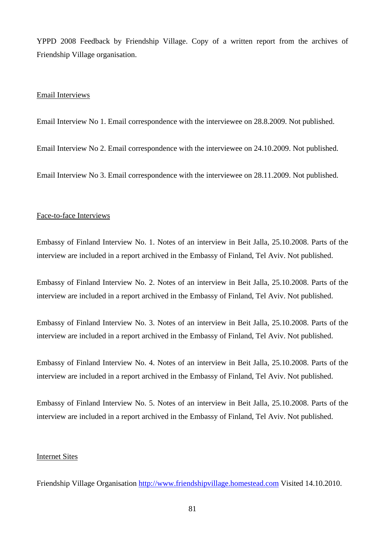YPPD 2008 Feedback by Friendship Village. Copy of a written report from the archives of Friendship Village organisation.

#### Email Interviews

Email Interview No 1. Email correspondence with the interviewee on 28.8.2009. Not published.

Email Interview No 2. Email correspondence with the interviewee on 24.10.2009. Not published.

Email Interview No 3. Email correspondence with the interviewee on 28.11.2009. Not published.

#### Face-to-face Interviews

Embassy of Finland Interview No. 1. Notes of an interview in Beit Jalla, 25.10.2008. Parts of the interview are included in a report archived in the Embassy of Finland, Tel Aviv. Not published.

Embassy of Finland Interview No. 2. Notes of an interview in Beit Jalla, 25.10.2008. Parts of the interview are included in a report archived in the Embassy of Finland, Tel Aviv. Not published.

Embassy of Finland Interview No. 3. Notes of an interview in Beit Jalla, 25.10.2008. Parts of the interview are included in a report archived in the Embassy of Finland, Tel Aviv. Not published.

Embassy of Finland Interview No. 4. Notes of an interview in Beit Jalla, 25.10.2008. Parts of the interview are included in a report archived in the Embassy of Finland, Tel Aviv. Not published.

Embassy of Finland Interview No. 5. Notes of an interview in Beit Jalla, 25.10.2008. Parts of the interview are included in a report archived in the Embassy of Finland, Tel Aviv. Not published.

### Internet Sites

Friendship Village Organisation [http://www.friendshipvillage.homestead.com](http://www.friendshipvillage.homestead.com/) Visited 14.10.2010.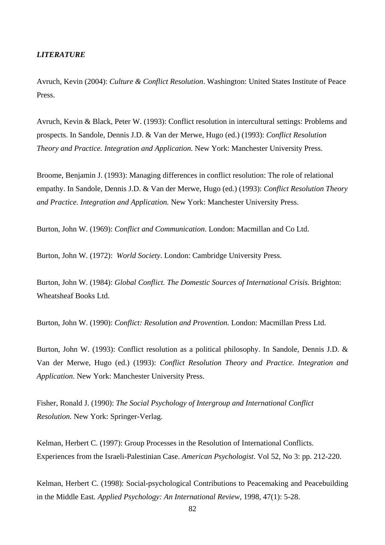### *LITERATURE*

Avruch, Kevin (2004): *Culture & Conflict Resolution*. Washington: United States Institute of Peace Press.

Avruch, Kevin & Black, Peter W. (1993): Conflict resolution in intercultural settings: Problems and prospects. In Sandole, Dennis J.D. & Van der Merwe, Hugo (ed.) (1993): *Conflict Resolution Theory and Practice. Integration and Application.* New York: Manchester University Press.

Broome, Benjamin J. (1993): Managing differences in conflict resolution: The role of relational empathy. In Sandole, Dennis J.D. & Van der Merwe, Hugo (ed.) (1993): *Conflict Resolution Theory and Practice. Integration and Application.* New York: Manchester University Press.

Burton, John W. (1969): *Conflict and Communication*. London: Macmillan and Co Ltd.

Burton, John W. (1972): *World Society*. London: Cambridge University Press.

Burton, John W. (1984): *Global Conflict. The Domestic Sources of International Crisis.* Brighton: Wheatsheaf Books Ltd.

Burton, John W. (1990): *Conflict: Resolution and Provention.* London: Macmillan Press Ltd.

Burton, John W. (1993): Conflict resolution as a political philosophy. In Sandole, Dennis J.D. & Van der Merwe, Hugo (ed.) (1993): *Conflict Resolution Theory and Practice. Integration and Application.* New York: Manchester University Press.

Fisher, Ronald J. (1990): *The Social Psychology of Intergroup and International Conflict Resolution.* New York: Springer-Verlag.

Kelman, Herbert C. (1997): Group Processes in the Resolution of International Conflicts. Experiences from the Israeli-Palestinian Case. *American Psychologist*. Vol 52, No 3: pp. 212-220.

Kelman, Herbert C. (1998): Social-psychological Contributions to Peacemaking and Peacebuilding in the Middle East*. Applied Psychology: An International Review*, 1998, 47(1): 5-28.